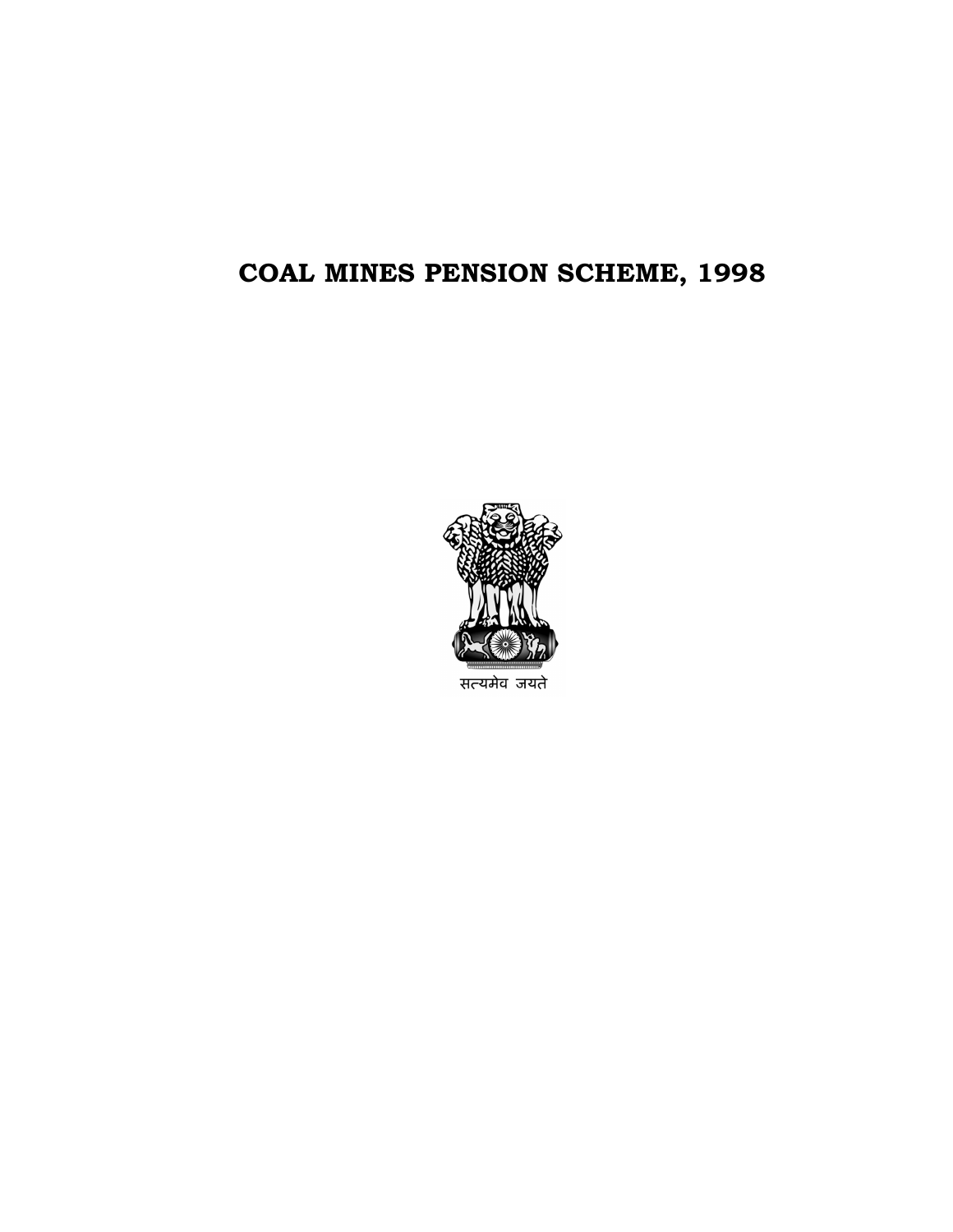# COAL MINES PENSION SCHEME, 1998



सत्यमेव जयते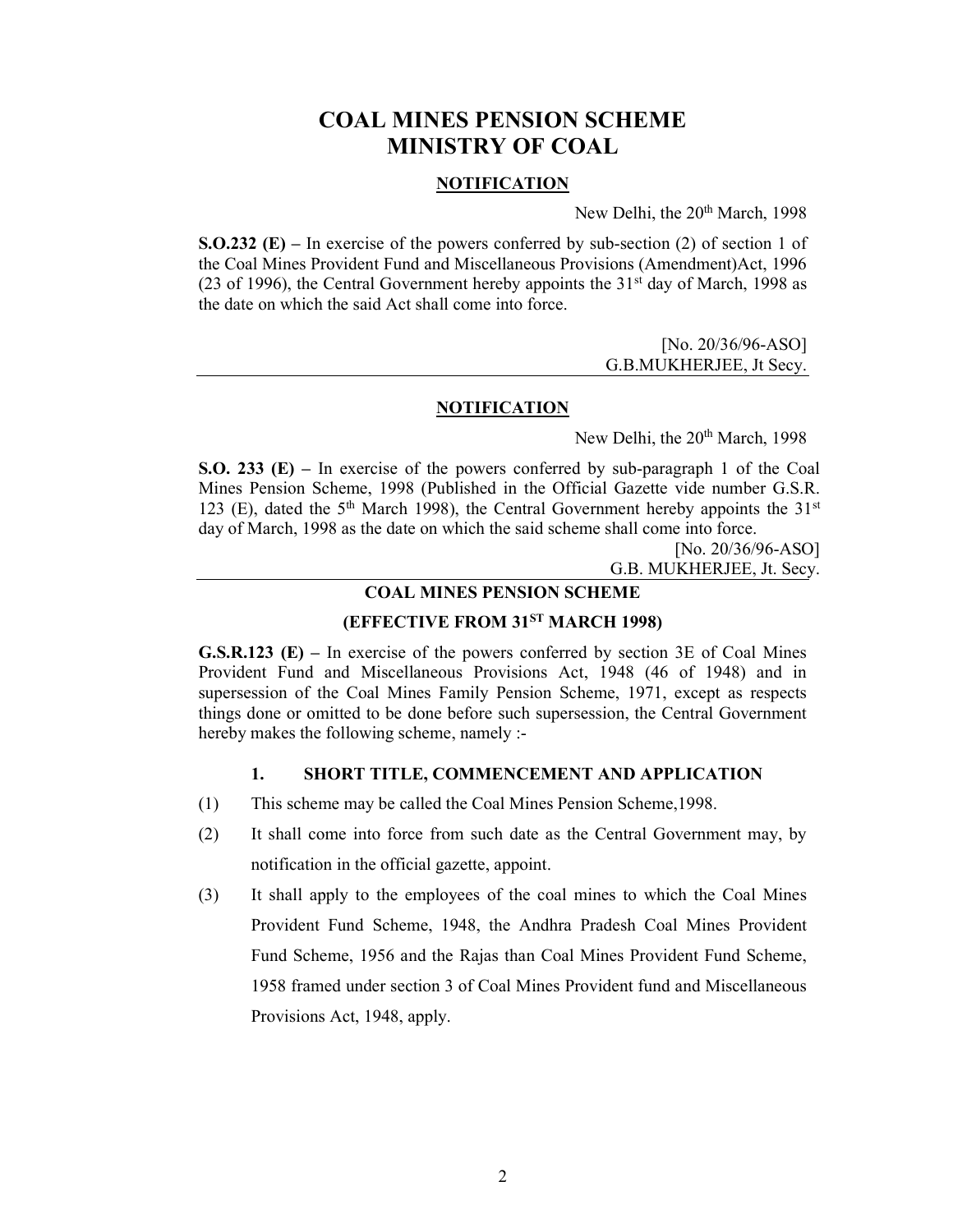# COAL MINES PENSION SCHEME MINISTRY OF COAL

## NOTIFICATION

New Delhi, the 20<sup>th</sup> March, 1998

**S.O.232 (E)** – In exercise of the powers conferred by sub-section (2) of section 1 of the Coal Mines Provident Fund and Miscellaneous Provisions (Amendment)Act, 1996 (23 of 1996), the Central Government hereby appoints the  $31<sup>st</sup>$  day of March, 1998 as the date on which the said Act shall come into force.

> [No. 20/36/96-ASO] G.B.MUKHERJEE, Jt Secy.

#### **NOTIFICATION**

New Delhi, the 20<sup>th</sup> March, 1998

S.O. 233 (E) – In exercise of the powers conferred by sub-paragraph 1 of the Coal Mines Pension Scheme, 1998 (Published in the Official Gazette vide number G.S.R. 123 (E), dated the  $5<sup>th</sup>$  March 1998), the Central Government hereby appoints the  $31<sup>st</sup>$ day of March, 1998 as the date on which the said scheme shall come into force.

> [No. 20/36/96-ASO] G.B. MUKHERJEE, Jt. Secy.

## COAL MINES PENSION SCHEME

## (EFFECTIVE FROM 31ST MARCH 1998)

G.S.R.123 (E) – In exercise of the powers conferred by section 3E of Coal Mines Provident Fund and Miscellaneous Provisions Act, 1948 (46 of 1948) and in supersession of the Coal Mines Family Pension Scheme, 1971, except as respects things done or omitted to be done before such supersession, the Central Government hereby makes the following scheme, namely :-

#### 1. SHORT TITLE, COMMENCEMENT AND APPLICATION

- (1) This scheme may be called the Coal Mines Pension Scheme,1998.
- (2) It shall come into force from such date as the Central Government may, by notification in the official gazette, appoint.
- (3) It shall apply to the employees of the coal mines to which the Coal Mines Provident Fund Scheme, 1948, the Andhra Pradesh Coal Mines Provident Fund Scheme, 1956 and the Rajas than Coal Mines Provident Fund Scheme, 1958 framed under section 3 of Coal Mines Provident fund and Miscellaneous Provisions Act, 1948, apply.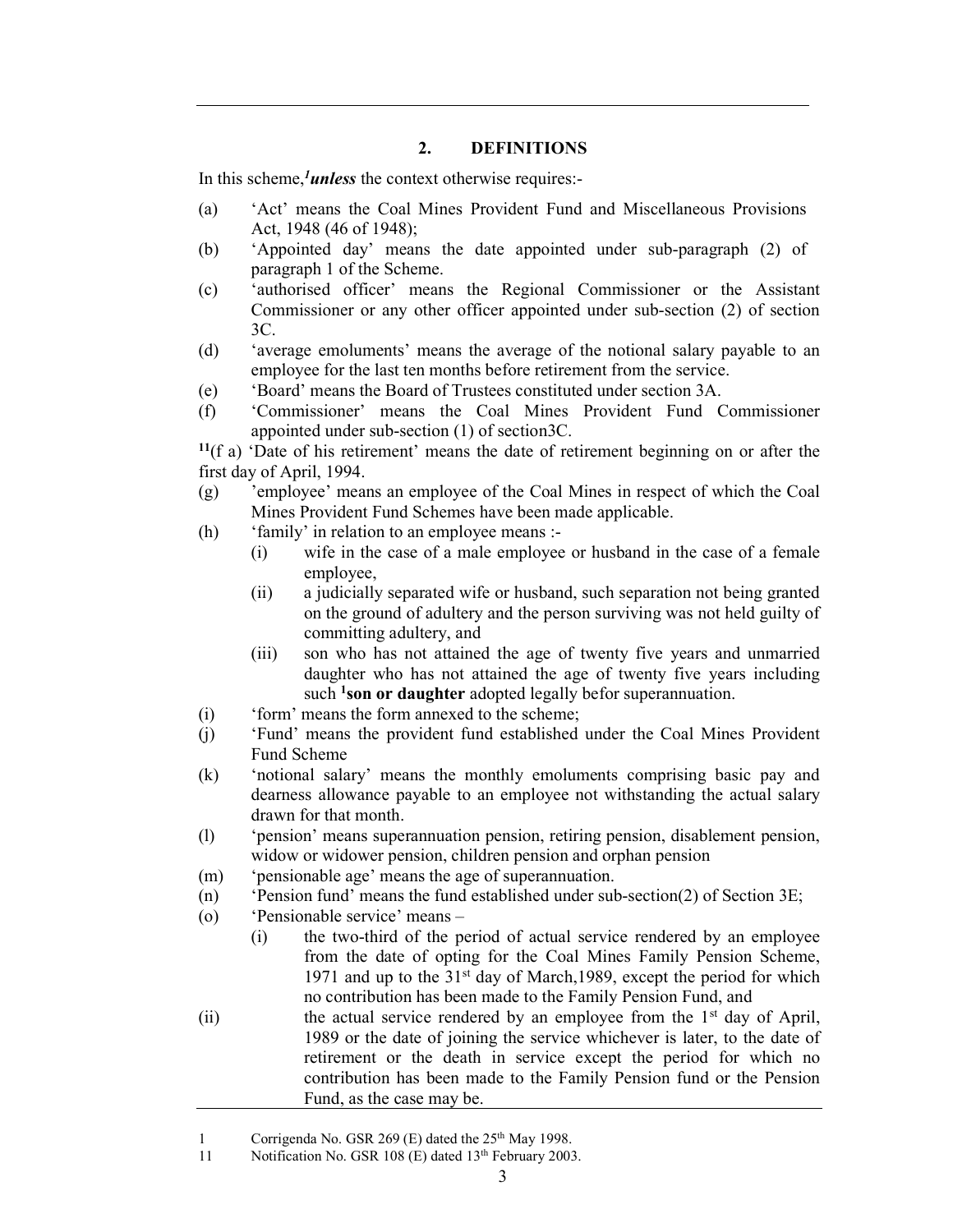## 2. DEFINITIONS

In this scheme, $1$ unless the context otherwise requires:-

- (a) 'Act' means the Coal Mines Provident Fund and Miscellaneous Provisions Act, 1948 (46 of 1948);
- (b) 'Appointed day' means the date appointed under sub-paragraph (2) of paragraph 1 of the Scheme.
- (c) 'authorised officer' means the Regional Commissioner or the Assistant Commissioner or any other officer appointed under sub-section (2) of section 3C.
- (d) 'average emoluments' means the average of the notional salary payable to an employee for the last ten months before retirement from the service.
- (e) 'Board' means the Board of Trustees constituted under section 3A.
- (f) 'Commissioner' means the Coal Mines Provident Fund Commissioner appointed under sub-section (1) of section3C.

 $11(f a)$  'Date of his retirement' means the date of retirement beginning on or after the first day of April, 1994.

- (g) 'employee' means an employee of the Coal Mines in respect of which the Coal Mines Provident Fund Schemes have been made applicable.
- (h) 'family' in relation to an employee means :-
	- (i) wife in the case of a male employee or husband in the case of a female employee,
	- (ii) a judicially separated wife or husband, such separation not being granted on the ground of adultery and the person surviving was not held guilty of committing adultery, and
	- (iii) son who has not attained the age of twenty five years and unmarried daughter who has not attained the age of twenty five years including such <sup>1</sup>son or daughter adopted legally befor superannuation.
- (i) 'form' means the form annexed to the scheme;
- (j) 'Fund' means the provident fund established under the Coal Mines Provident Fund Scheme
- (k) 'notional salary' means the monthly emoluments comprising basic pay and dearness allowance payable to an employee not withstanding the actual salary drawn for that month.
- (l) 'pension' means superannuation pension, retiring pension, disablement pension, widow or widower pension, children pension and orphan pension
- (m) 'pensionable age' means the age of superannuation.
- (n) 'Pension fund' means the fund established under sub-section(2) of Section 3E;
- (o) 'Pensionable service' means
	- (i) the two-third of the period of actual service rendered by an employee from the date of opting for the Coal Mines Family Pension Scheme, 1971 and up to the  $31<sup>st</sup>$  day of March, 1989, except the period for which no contribution has been made to the Family Pension Fund, and
- (ii) the actual service rendered by an employee from the  $1<sup>st</sup>$  day of April, 1989 or the date of joining the service whichever is later, to the date of retirement or the death in service except the period for which no contribution has been made to the Family Pension fund or the Pension Fund, as the case may be.

<sup>1</sup> Corrigenda No. GSR 269 (E) dated the 25<sup>th</sup> May 1998.

<sup>11</sup> Notification No. GSR 108 (E) dated 13<sup>th</sup> February 2003.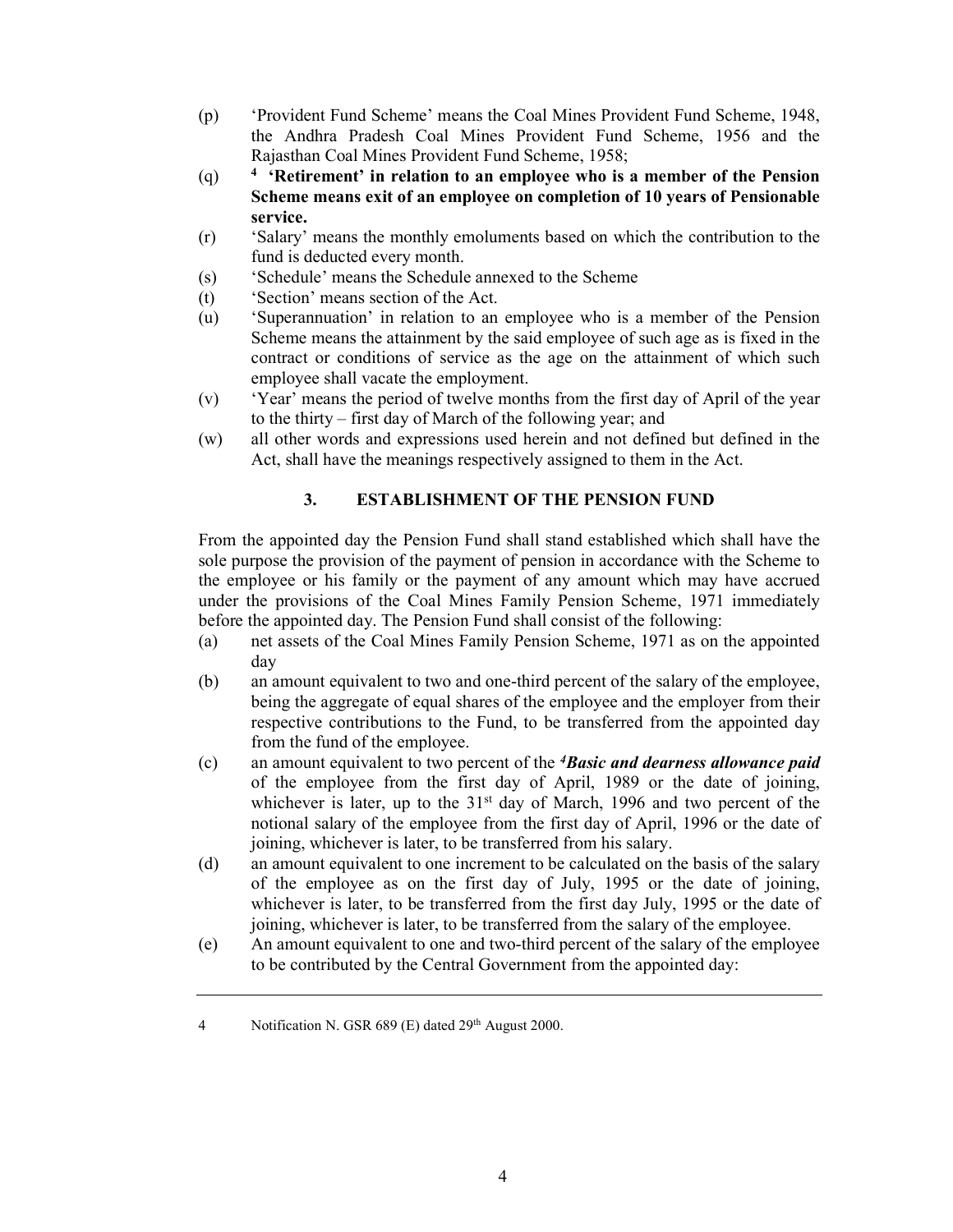- (p) 'Provident Fund Scheme' means the Coal Mines Provident Fund Scheme, 1948, the Andhra Pradesh Coal Mines Provident Fund Scheme, 1956 and the Rajasthan Coal Mines Provident Fund Scheme, 1958;
- $(q)$ <sup>4</sup> 'Retirement' in relation to an employee who is a member of the Pension Scheme means exit of an employee on completion of 10 years of Pensionable service.
- (r) 'Salary' means the monthly emoluments based on which the contribution to the fund is deducted every month.
- (s) 'Schedule' means the Schedule annexed to the Scheme
- (t) 'Section' means section of the Act.
- (u) 'Superannuation' in relation to an employee who is a member of the Pension Scheme means the attainment by the said employee of such age as is fixed in the contract or conditions of service as the age on the attainment of which such employee shall vacate the employment.
- (v) 'Year' means the period of twelve months from the first day of April of the year to the thirty – first day of March of the following year; and
- (w) all other words and expressions used herein and not defined but defined in the Act, shall have the meanings respectively assigned to them in the Act.

## 3. ESTABLISHMENT OF THE PENSION FUND

From the appointed day the Pension Fund shall stand established which shall have the sole purpose the provision of the payment of pension in accordance with the Scheme to the employee or his family or the payment of any amount which may have accrued under the provisions of the Coal Mines Family Pension Scheme, 1971 immediately before the appointed day. The Pension Fund shall consist of the following:

- (a) net assets of the Coal Mines Family Pension Scheme, 1971 as on the appointed day
- (b) an amount equivalent to two and one-third percent of the salary of the employee, being the aggregate of equal shares of the employee and the employer from their respective contributions to the Fund, to be transferred from the appointed day from the fund of the employee.
- (c) an amount equivalent to two percent of the  $4$ Basic and dearness allowance paid of the employee from the first day of April, 1989 or the date of joining, whichever is later, up to the  $31<sup>st</sup>$  day of March, 1996 and two percent of the notional salary of the employee from the first day of April, 1996 or the date of joining, whichever is later, to be transferred from his salary.
- (d) an amount equivalent to one increment to be calculated on the basis of the salary of the employee as on the first day of July, 1995 or the date of joining, whichever is later, to be transferred from the first day July, 1995 or the date of joining, whichever is later, to be transferred from the salary of the employee.
- (e) An amount equivalent to one and two-third percent of the salary of the employee to be contributed by the Central Government from the appointed day:

<sup>4</sup> Notification N. GSR 689 (E) dated 29<sup>th</sup> August 2000.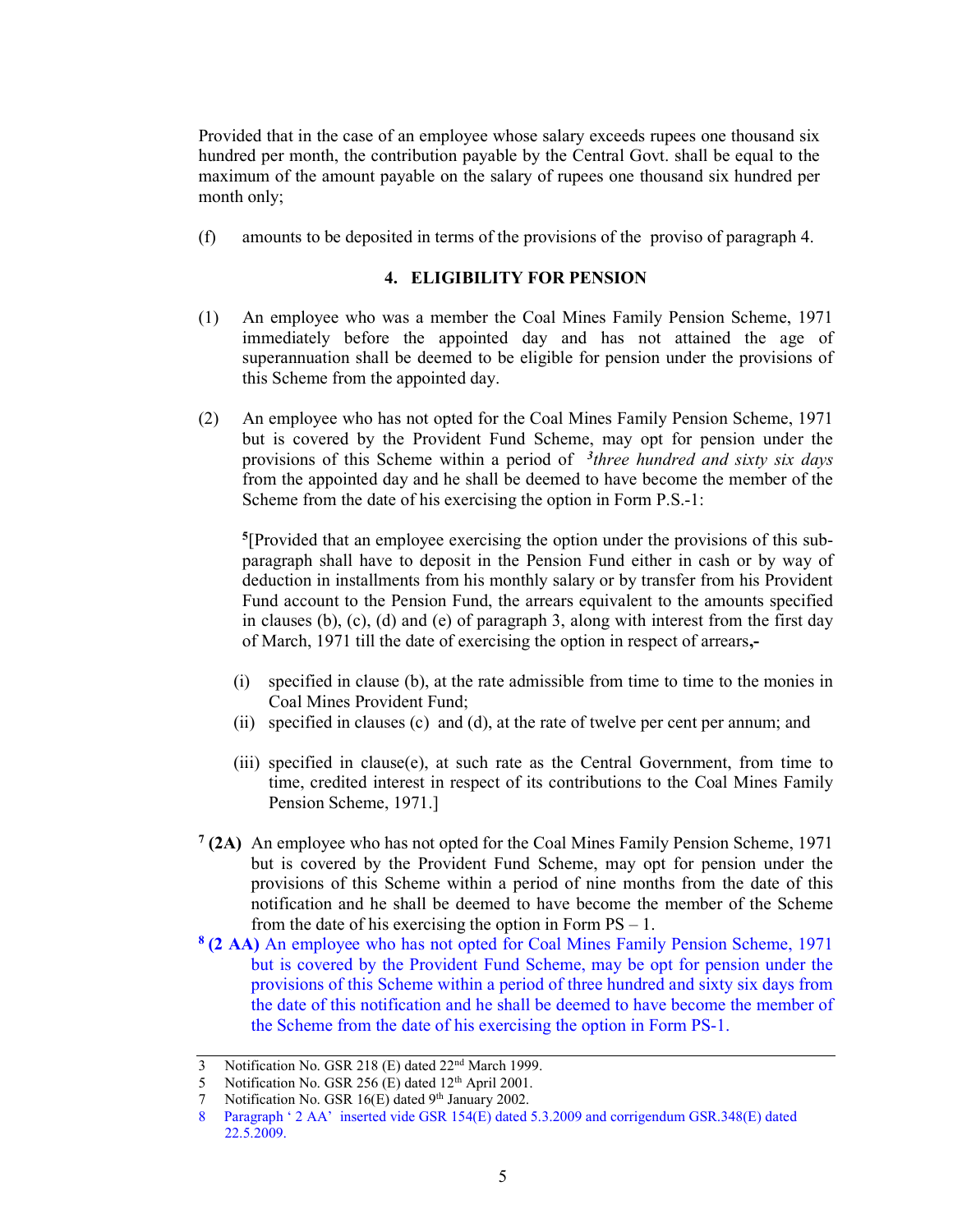Provided that in the case of an employee whose salary exceeds rupees one thousand six hundred per month, the contribution payable by the Central Govt. shall be equal to the maximum of the amount payable on the salary of rupees one thousand six hundred per month only;

(f) amounts to be deposited in terms of the provisions of the proviso of paragraph 4.

## 4. ELIGIBILITY FOR PENSION

- (1) An employee who was a member the Coal Mines Family Pension Scheme, 1971 immediately before the appointed day and has not attained the age of superannuation shall be deemed to be eligible for pension under the provisions of this Scheme from the appointed day.
- (2) An employee who has not opted for the Coal Mines Family Pension Scheme, 1971 but is covered by the Provident Fund Scheme, may opt for pension under the provisions of this Scheme within a period of  $<sup>3</sup>$ three hundred and sixty six days</sup> from the appointed day and he shall be deemed to have become the member of the Scheme from the date of his exercising the option in Form P.S.-1:

5 [Provided that an employee exercising the option under the provisions of this subparagraph shall have to deposit in the Pension Fund either in cash or by way of deduction in installments from his monthly salary or by transfer from his Provident Fund account to the Pension Fund, the arrears equivalent to the amounts specified in clauses (b),  $(c)$ ,  $(d)$  and  $(e)$  of paragraph 3, along with interest from the first day of March, 1971 till the date of exercising the option in respect of arrears,-

- (i) specified in clause (b), at the rate admissible from time to time to the monies in Coal Mines Provident Fund;
- (ii) specified in clauses (c) and (d), at the rate of twelve per cent per annum; and
- (iii) specified in clause(e), at such rate as the Central Government, from time to time, credited interest in respect of its contributions to the Coal Mines Family Pension Scheme, 1971.]
- $7(2A)$  An employee who has not opted for the Coal Mines Family Pension Scheme, 1971 but is covered by the Provident Fund Scheme, may opt for pension under the provisions of this Scheme within a period of nine months from the date of this notification and he shall be deemed to have become the member of the Scheme from the date of his exercising the option in Form  $PS - 1$ .
- <sup>8</sup>(2 AA) An employee who has not opted for Coal Mines Family Pension Scheme, 1971 but is covered by the Provident Fund Scheme, may be opt for pension under the provisions of this Scheme within a period of three hundred and sixty six days from the date of this notification and he shall be deemed to have become the member of the Scheme from the date of his exercising the option in Form PS-1.

<sup>3</sup> Notification No. GSR 218 (E) dated 22<sup>nd</sup> March 1999.

<sup>5</sup> Notification No. GSR 256 (E) dated  $12<sup>th</sup>$  April 2001.

<sup>7</sup> Notification No. GSR 16(E) dated 9th January 2002.

<sup>8</sup> Paragraph ' 2 AA' inserted vide GSR 154(E) dated 5.3.2009 and corrigendum GSR.348(E) dated 22.5.2009.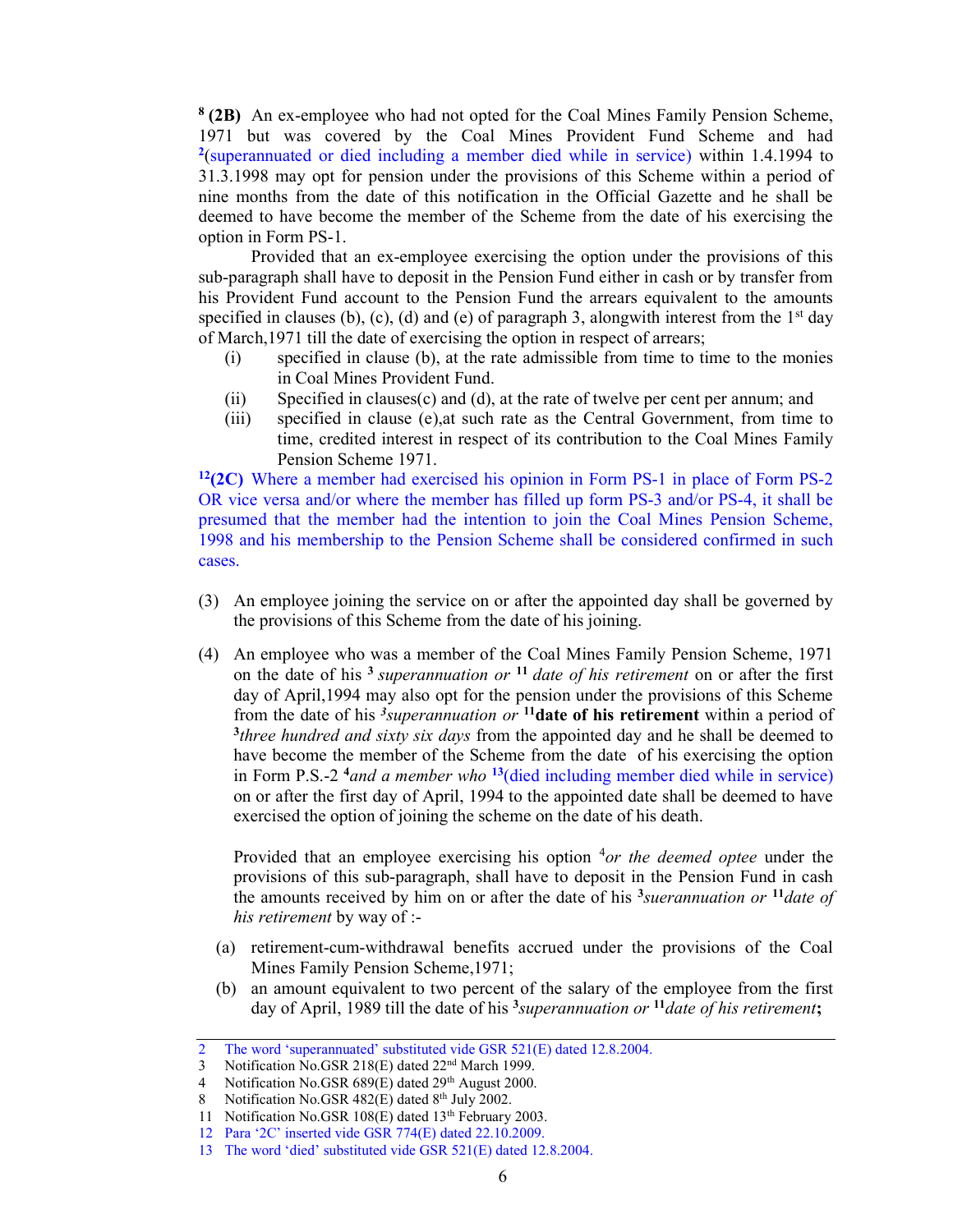<sup>8</sup> (2B) An ex-employee who had not opted for the Coal Mines Family Pension Scheme, 1971 but was covered by the Coal Mines Provident Fund Scheme and had <sup>2</sup>(superannuated or died including a member died while in service) within 1.4.1994 to 31.3.1998 may opt for pension under the provisions of this Scheme within a period of nine months from the date of this notification in the Official Gazette and he shall be deemed to have become the member of the Scheme from the date of his exercising the option in Form PS-1.

Provided that an ex-employee exercising the option under the provisions of this sub-paragraph shall have to deposit in the Pension Fund either in cash or by transfer from his Provident Fund account to the Pension Fund the arrears equivalent to the amounts specified in clauses (b), (c), (d) and (e) of paragraph 3, alongwith interest from the  $1<sup>st</sup>$  day of March,1971 till the date of exercising the option in respect of arrears;

- (i) specified in clause (b), at the rate admissible from time to time to the monies in Coal Mines Provident Fund.
- (ii) Specified in clauses(c) and (d), at the rate of twelve per cent per annum; and
- (iii) specified in clause (e),at such rate as the Central Government, from time to time, credited interest in respect of its contribution to the Coal Mines Family Pension Scheme 1971.

 $12(2)$  Where a member had exercised his opinion in Form PS-1 in place of Form PS-2 OR vice versa and/or where the member has filled up form PS-3 and/or PS-4, it shall be presumed that the member had the intention to join the Coal Mines Pension Scheme, 1998 and his membership to the Pension Scheme shall be considered confirmed in such cases.

- (3) An employee joining the service on or after the appointed day shall be governed by the provisions of this Scheme from the date of his joining.
- (4) An employee who was a member of the Coal Mines Family Pension Scheme, 1971 on the date of his  $3$  superannuation or  $11$  date of his retirement on or after the first day of April,1994 may also opt for the pension under the provisions of this Scheme from the date of his  $\frac{3}{s}$ uperannuation or  $\frac{11}{s}$  date of his retirement within a period of <sup>3</sup>three hundred and sixty six days from the appointed day and he shall be deemed to have become the member of the Scheme from the date of his exercising the option in Form P.S.-2  $4$  and a member who <sup>13</sup>(died including member died while in service) on or after the first day of April, 1994 to the appointed date shall be deemed to have exercised the option of joining the scheme on the date of his death.

Provided that an employee exercising his option  $4$ or the deemed optee under the provisions of this sub-paragraph, shall have to deposit in the Pension Fund in cash the amounts received by him on or after the date of his  $\frac{3}{s}$ suerannuation or  $\frac{11}{\text{date of}}$ his retirement by way of :-

- (a) retirement-cum-withdrawal benefits accrued under the provisions of the Coal Mines Family Pension Scheme,1971;
- (b) an amount equivalent to two percent of the salary of the employee from the first day of April, 1989 till the date of his  $\frac{3}{s}$ uperannuation or  $\frac{11}{s}$  date of his retirement;

<sup>2</sup> The word 'superannuated' substituted vide GSR 521(E) dated 12.8.2004.

<sup>3</sup> Notification No.GSR 218(E) dated 22<sup>nd</sup> March 1999.

<sup>4</sup> Notification No.GSR 689(E) dated 29<sup>th</sup> August 2000.

<sup>8</sup> Notification No.GSR  $482(E)$  dated  $8<sup>th</sup>$  July 2002.

<sup>11</sup> Notification No.GSR 108(E) dated 13<sup>th</sup> February 2003.

<sup>12</sup> Para '2C' inserted vide GSR 774(E) dated 22.10.2009.

<sup>13</sup> The word 'died' substituted vide GSR 521(E) dated 12.8.2004.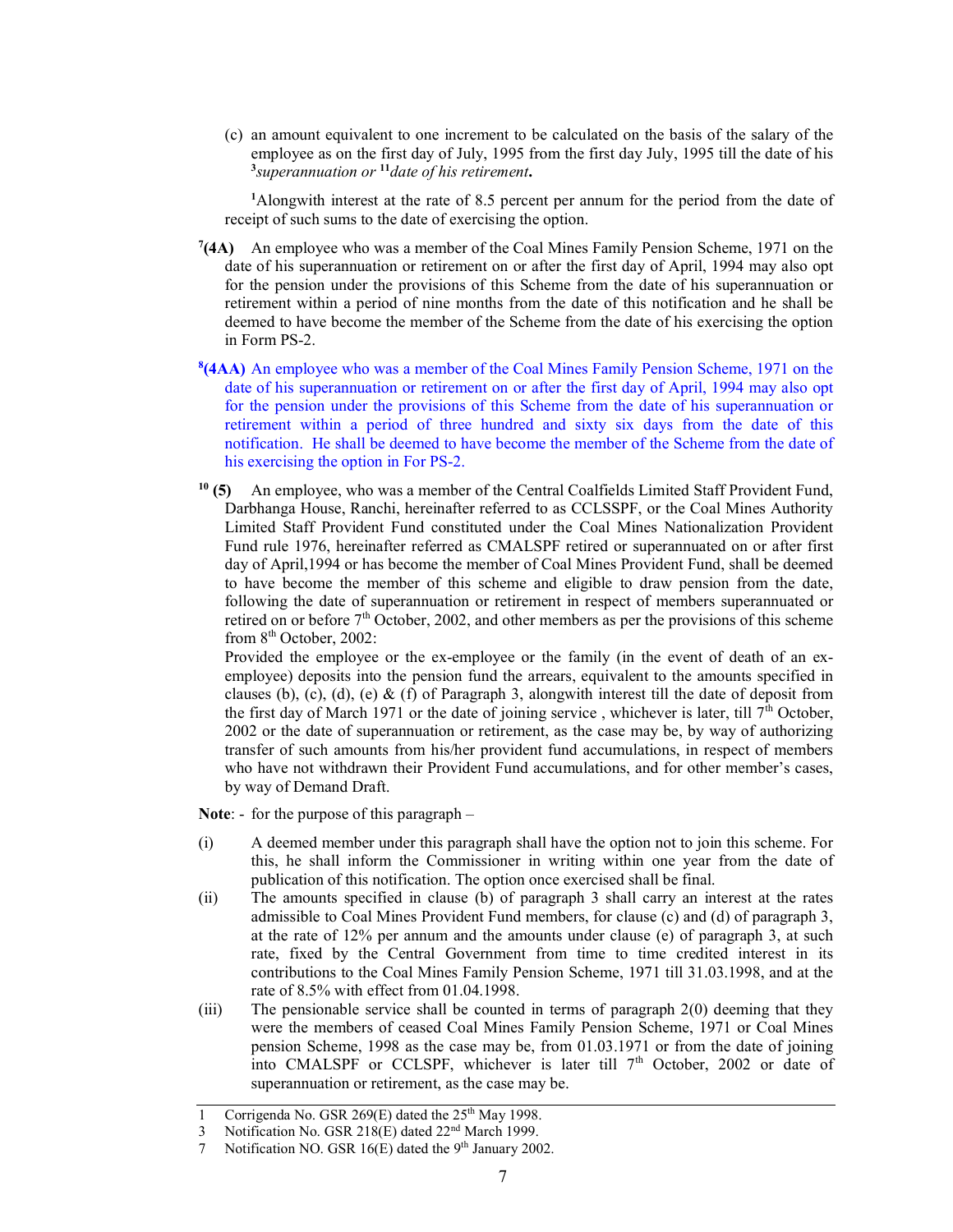(c) an amount equivalent to one increment to be calculated on the basis of the salary of the employee as on the first day of July, 1995 from the first day July, 1995 till the date of his  $3$ superannuation or  $11$  date of his retirement.

<sup>1</sup>Alongwith interest at the rate of 8.5 percent per annum for the period from the date of receipt of such sums to the date of exercising the option.

- $7(4A)$  An employee who was a member of the Coal Mines Family Pension Scheme, 1971 on the date of his superannuation or retirement on or after the first day of April, 1994 may also opt for the pension under the provisions of this Scheme from the date of his superannuation or retirement within a period of nine months from the date of this notification and he shall be deemed to have become the member of the Scheme from the date of his exercising the option in Form PS-2.
- <sup>8</sup>(4AA) An employee who was a member of the Coal Mines Family Pension Scheme, 1971 on the date of his superannuation or retirement on or after the first day of April, 1994 may also opt for the pension under the provisions of this Scheme from the date of his superannuation or retirement within a period of three hundred and sixty six days from the date of this notification. He shall be deemed to have become the member of the Scheme from the date of his exercising the option in For PS-2.
- $10$  (5) An employee, who was a member of the Central Coalfields Limited Staff Provident Fund, Darbhanga House, Ranchi, hereinafter referred to as CCLSSPF, or the Coal Mines Authority Limited Staff Provident Fund constituted under the Coal Mines Nationalization Provident Fund rule 1976, hereinafter referred as CMALSPF retired or superannuated on or after first day of April,1994 or has become the member of Coal Mines Provident Fund, shall be deemed to have become the member of this scheme and eligible to draw pension from the date, following the date of superannuation or retirement in respect of members superannuated or retired on or before  $7<sup>th</sup>$  October, 2002, and other members as per the provisions of this scheme from  $8<sup>th</sup>$  October, 2002:

 Provided the employee or the ex-employee or the family (in the event of death of an exemployee) deposits into the pension fund the arrears, equivalent to the amounts specified in clauses (b), (c), (d), (e) & (f) of Paragraph 3, alongwith interest till the date of deposit from the first day of March 1971 or the date of joining service, whichever is later, till  $7<sup>th</sup>$  October, 2002 or the date of superannuation or retirement, as the case may be, by way of authorizing transfer of such amounts from his/her provident fund accumulations, in respect of members who have not withdrawn their Provident Fund accumulations, and for other member's cases, by way of Demand Draft.

Note: - for the purpose of this paragraph –

- (i) A deemed member under this paragraph shall have the option not to join this scheme. For this, he shall inform the Commissioner in writing within one year from the date of publication of this notification. The option once exercised shall be final.
- (ii) The amounts specified in clause (b) of paragraph 3 shall carry an interest at the rates admissible to Coal Mines Provident Fund members, for clause (c) and (d) of paragraph 3, at the rate of 12% per annum and the amounts under clause (e) of paragraph 3, at such rate, fixed by the Central Government from time to time credited interest in its contributions to the Coal Mines Family Pension Scheme, 1971 till 31.03.1998, and at the rate of 8.5% with effect from 01.04.1998.
- (iii) The pensionable service shall be counted in terms of paragraph 2(0) deeming that they were the members of ceased Coal Mines Family Pension Scheme, 1971 or Coal Mines pension Scheme, 1998 as the case may be, from 01.03.1971 or from the date of joining into CMALSPF or CCLSPF, whichever is later till  $7<sup>th</sup>$  October, 2002 or date of superannuation or retirement, as the case may be.

<sup>1</sup> Corrigenda No. GSR 269 $(E)$  dated the 25<sup>th</sup> May 1998.

<sup>3</sup> Notification No. GSR 218(E) dated 22nd March 1999.

<sup>7</sup> Notification NO. GSR 16(E) dated the 9<sup>th</sup> January 2002.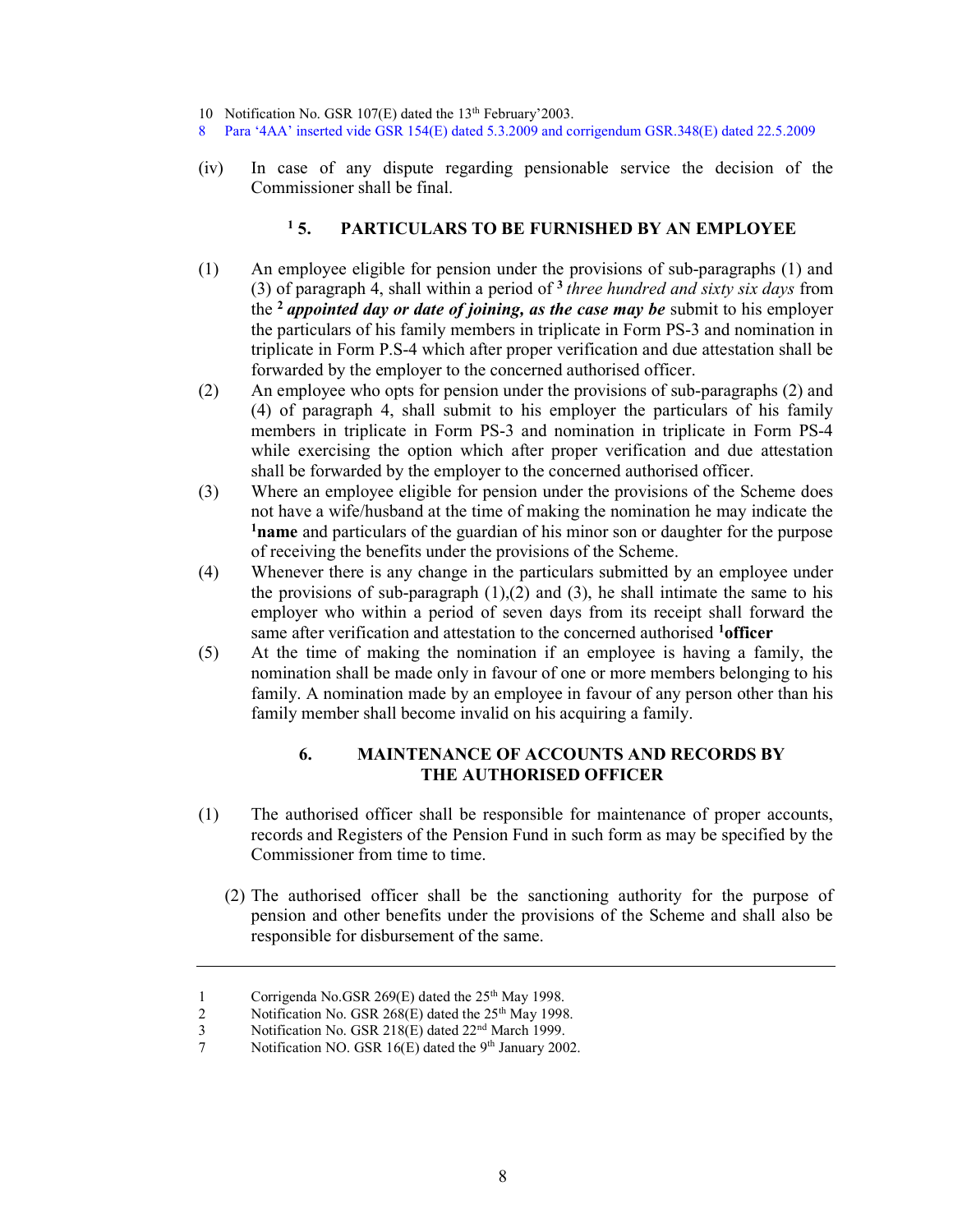10 Notification No. GSR 107(E) dated the 13<sup>th</sup> February'2003.

- 8 Para '4AA' inserted vide GSR 154(E) dated 5.3.2009 and corrigendum GSR.348(E) dated 22.5.2009
- (iv) In case of any dispute regarding pensionable service the decision of the Commissioner shall be final.

#### $15.$ PARTICULARS TO BE FURNISHED BY AN EMPLOYEE

- (1) An employee eligible for pension under the provisions of sub-paragraphs (1) and (3) of paragraph 4, shall within a period of  $3$  three hundred and sixty six days from the <sup>2</sup> appointed day or date of joining, as the case may be submit to his employer the particulars of his family members in triplicate in Form PS-3 and nomination in triplicate in Form P.S-4 which after proper verification and due attestation shall be forwarded by the employer to the concerned authorised officer.
- (2) An employee who opts for pension under the provisions of sub-paragraphs (2) and (4) of paragraph 4, shall submit to his employer the particulars of his family members in triplicate in Form PS-3 and nomination in triplicate in Form PS-4 while exercising the option which after proper verification and due attestation shall be forwarded by the employer to the concerned authorised officer.
- (3) Where an employee eligible for pension under the provisions of the Scheme does not have a wife/husband at the time of making the nomination he may indicate the <sup>1</sup>name and particulars of the guardian of his minor son or daughter for the purpose of receiving the benefits under the provisions of the Scheme.
- (4) Whenever there is any change in the particulars submitted by an employee under the provisions of sub-paragraph  $(1)$ , $(2)$  and  $(3)$ , he shall intimate the same to his employer who within a period of seven days from its receipt shall forward the same after verification and attestation to the concerned authorised <sup>1</sup>officer
- (5) At the time of making the nomination if an employee is having a family, the nomination shall be made only in favour of one or more members belonging to his family. A nomination made by an employee in favour of any person other than his family member shall become invalid on his acquiring a family.

## 6. MAINTENANCE OF ACCOUNTS AND RECORDS BY THE AUTHORISED OFFICER

- (1) The authorised officer shall be responsible for maintenance of proper accounts, records and Registers of the Pension Fund in such form as may be specified by the Commissioner from time to time.
	- (2) The authorised officer shall be the sanctioning authority for the purpose of pension and other benefits under the provisions of the Scheme and shall also be responsible for disbursement of the same.

<sup>1</sup> Corrigenda No.GSR 269(E) dated the  $25<sup>th</sup>$  May 1998.<br>2 Notification No. GSR 268(E) dated the  $25<sup>th</sup>$  May 1998

Notification No. GSR 268(E) dated the 25<sup>th</sup> May 1998.

<sup>3</sup> Notification No. GSR 218(E) dated 22nd March 1999.

<sup>7</sup> Notification NO. GSR 16(E) dated the  $9<sup>th</sup>$  January 2002.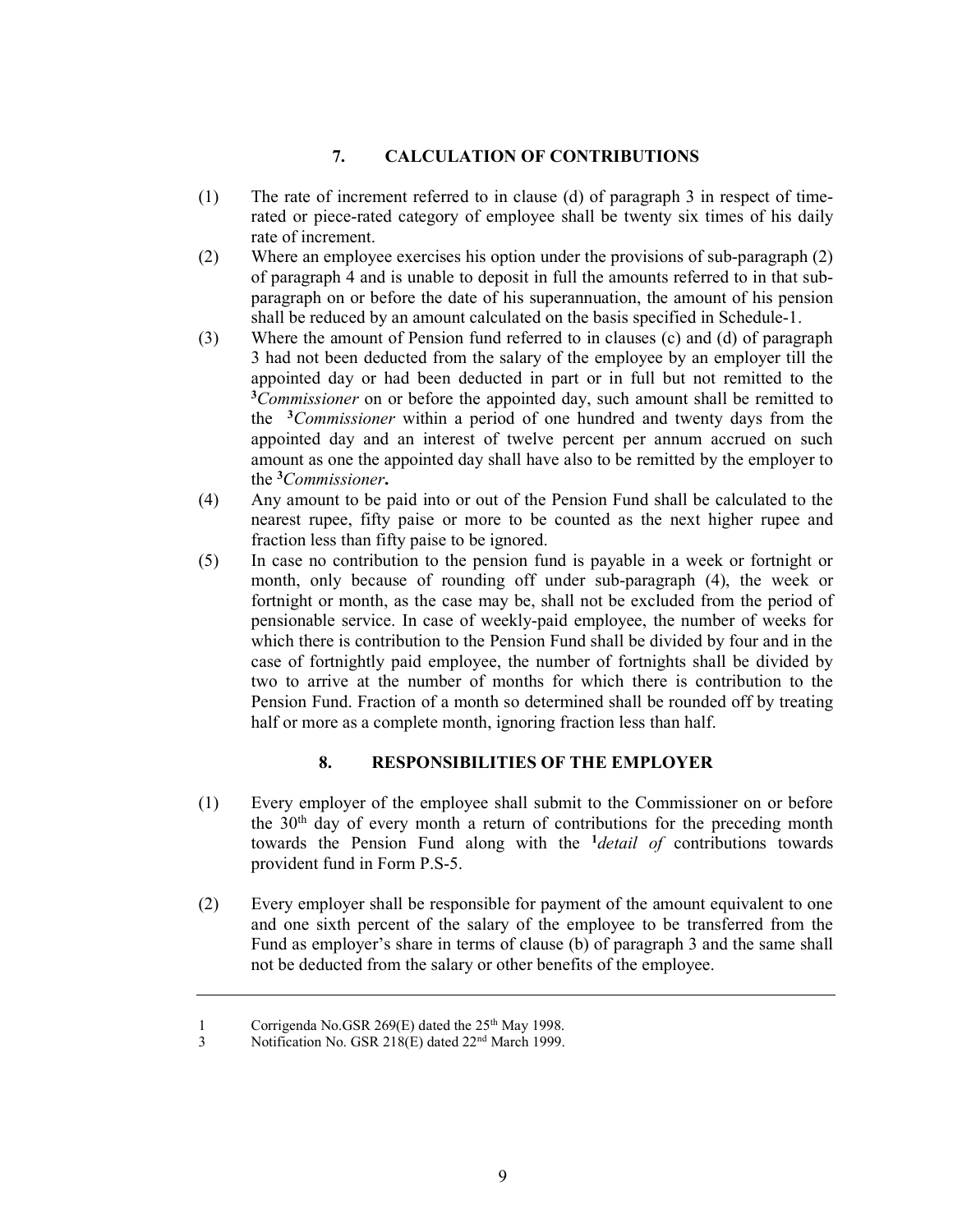## 7. CALCULATION OF CONTRIBUTIONS

- (1) The rate of increment referred to in clause (d) of paragraph 3 in respect of timerated or piece-rated category of employee shall be twenty six times of his daily rate of increment.
- (2) Where an employee exercises his option under the provisions of sub-paragraph (2) of paragraph 4 and is unable to deposit in full the amounts referred to in that subparagraph on or before the date of his superannuation, the amount of his pension shall be reduced by an amount calculated on the basis specified in Schedule-1.
- (3) Where the amount of Pension fund referred to in clauses (c) and (d) of paragraph 3 had not been deducted from the salary of the employee by an employer till the appointed day or had been deducted in part or in full but not remitted to the  $3$ Commissioner on or before the appointed day, such amount shall be remitted to the  $3$ Commissioner within a period of one hundred and twenty days from the appointed day and an interest of twelve percent per annum accrued on such amount as one the appointed day shall have also to be remitted by the employer to the <sup>3</sup>Commissioner.
- (4) Any amount to be paid into or out of the Pension Fund shall be calculated to the nearest rupee, fifty paise or more to be counted as the next higher rupee and fraction less than fifty paise to be ignored.
- (5) In case no contribution to the pension fund is payable in a week or fortnight or month, only because of rounding off under sub-paragraph (4), the week or fortnight or month, as the case may be, shall not be excluded from the period of pensionable service. In case of weekly-paid employee, the number of weeks for which there is contribution to the Pension Fund shall be divided by four and in the case of fortnightly paid employee, the number of fortnights shall be divided by two to arrive at the number of months for which there is contribution to the Pension Fund. Fraction of a month so determined shall be rounded off by treating half or more as a complete month, ignoring fraction less than half.

## 8. RESPONSIBILITIES OF THE EMPLOYER

- (1) Every employer of the employee shall submit to the Commissioner on or before the  $30<sup>th</sup>$  day of every month a return of contributions for the preceding month towards the Pension Fund along with the  $\frac{1}{\theta}$  detail of contributions towards provident fund in Form P.S-5.
- (2) Every employer shall be responsible for payment of the amount equivalent to one and one sixth percent of the salary of the employee to be transferred from the Fund as employer's share in terms of clause (b) of paragraph 3 and the same shall not be deducted from the salary or other benefits of the employee.

<sup>1</sup> Corrigenda No.GSR 269(E) dated the 25<sup>th</sup> May 1998.

<sup>3</sup> Notification No. GSR 218(E) dated 22<sup>nd</sup> March 1999.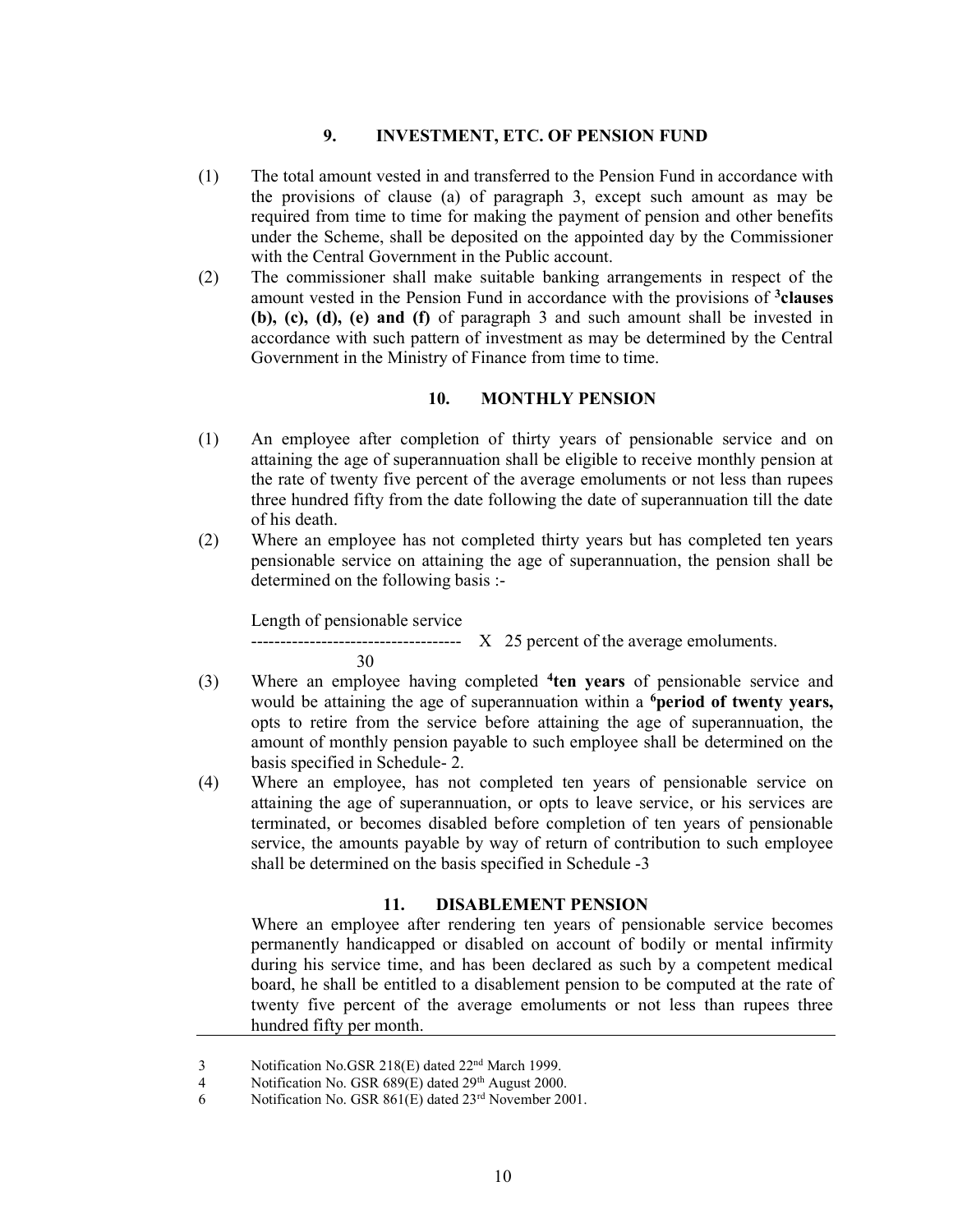## 9. INVESTMENT, ETC. OF PENSION FUND

- (1) The total amount vested in and transferred to the Pension Fund in accordance with the provisions of clause (a) of paragraph 3, except such amount as may be required from time to time for making the payment of pension and other benefits under the Scheme, shall be deposited on the appointed day by the Commissioner with the Central Government in the Public account.
- (2) The commissioner shall make suitable banking arrangements in respect of the amount vested in the Pension Fund in accordance with the provisions of <sup>3</sup>clauses (b), (c), (d), (e) and (f) of paragraph 3 and such amount shall be invested in accordance with such pattern of investment as may be determined by the Central Government in the Ministry of Finance from time to time.

## 10. MONTHLY PENSION

- (1) An employee after completion of thirty years of pensionable service and on attaining the age of superannuation shall be eligible to receive monthly pension at the rate of twenty five percent of the average emoluments or not less than rupees three hundred fifty from the date following the date of superannuation till the date of his death.
- (2) Where an employee has not completed thirty years but has completed ten years pensionable service on attaining the age of superannuation, the pension shall be determined on the following basis :-

Length of pensionable service

 $\text{---}$  X 25 percent of the average emoluments.

30

- 
- (3) Where an employee having completed <sup>4</sup>ten years of pensionable service and would be attaining the age of superannuation within a <sup>6</sup>period of twenty years, opts to retire from the service before attaining the age of superannuation, the amount of monthly pension payable to such employee shall be determined on the basis specified in Schedule- 2.
- (4) Where an employee, has not completed ten years of pensionable service on attaining the age of superannuation, or opts to leave service, or his services are terminated, or becomes disabled before completion of ten years of pensionable service, the amounts payable by way of return of contribution to such employee shall be determined on the basis specified in Schedule -3

#### 11. DISABLEMENT PENSION

Where an employee after rendering ten years of pensionable service becomes permanently handicapped or disabled on account of bodily or mental infirmity during his service time, and has been declared as such by a competent medical board, he shall be entitled to a disablement pension to be computed at the rate of twenty five percent of the average emoluments or not less than rupees three hundred fifty per month.

<sup>3</sup> Notification No.GSR 218(E) dated  $22<sup>nd</sup>$  March 1999.<br>4 Notification No. GSR 689(E) dated  $29<sup>th</sup>$  August 2000

Notification No. GSR  $689(E)$  dated  $29<sup>th</sup>$  August 2000.

<sup>6</sup> Notification No. GSR 861(E) dated 23rd November 2001.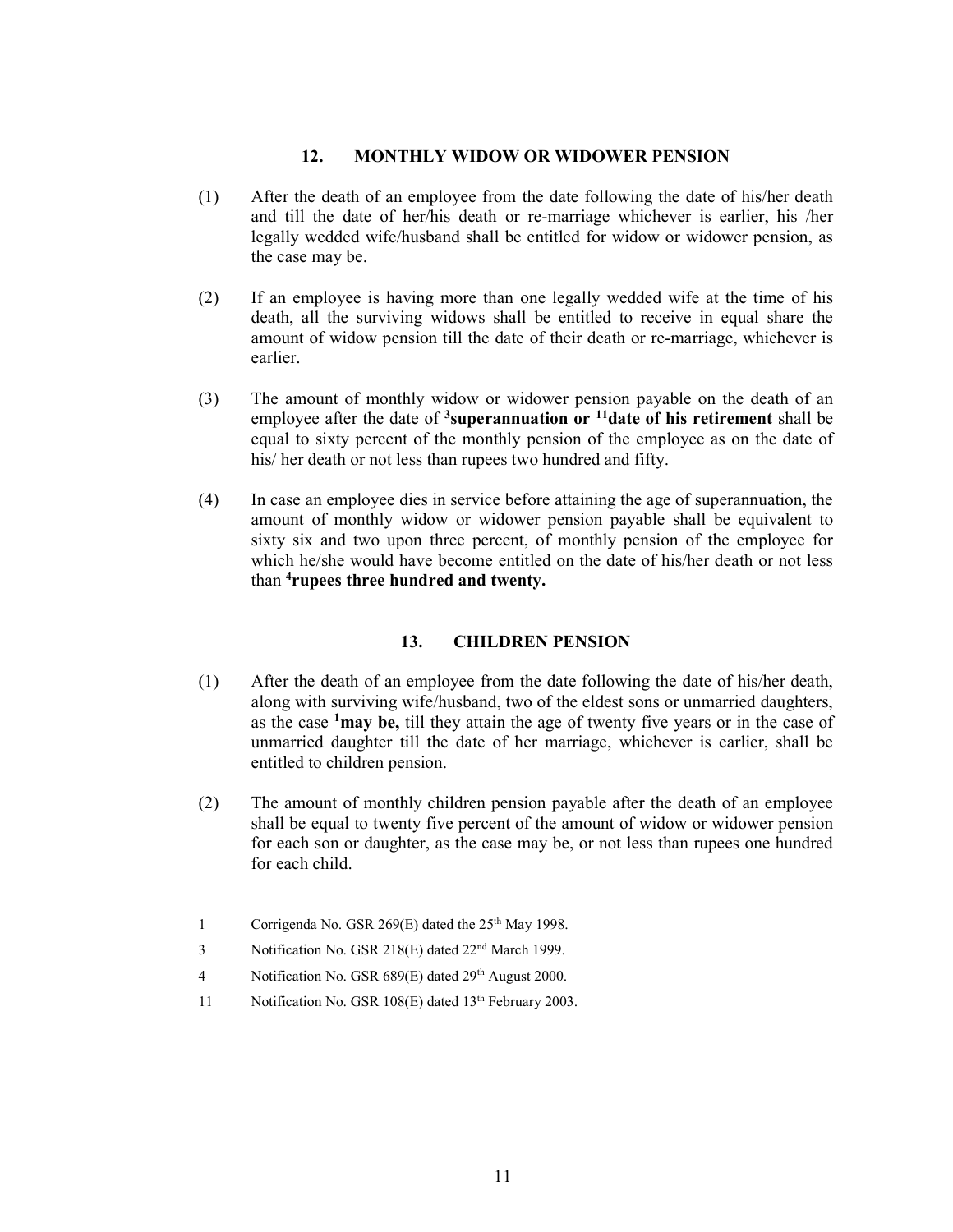## 12. MONTHLY WIDOW OR WIDOWER PENSION

- (1) After the death of an employee from the date following the date of his/her death and till the date of her/his death or re-marriage whichever is earlier, his /her legally wedded wife/husband shall be entitled for widow or widower pension, as the case may be.
- (2) If an employee is having more than one legally wedded wife at the time of his death, all the surviving widows shall be entitled to receive in equal share the amount of widow pension till the date of their death or re-marriage, whichever is earlier.
- (3) The amount of monthly widow or widower pension payable on the death of an employee after the date of <sup>3</sup>superannuation or <sup>11</sup>date of his retirement shall be equal to sixty percent of the monthly pension of the employee as on the date of his/ her death or not less than rupees two hundred and fifty.
- (4) In case an employee dies in service before attaining the age of superannuation, the amount of monthly widow or widower pension payable shall be equivalent to sixty six and two upon three percent, of monthly pension of the employee for which he/she would have become entitled on the date of his/her death or not less than <sup>4</sup>rupees three hundred and twenty.

## 13. CHILDREN PENSION

- (1) After the death of an employee from the date following the date of his/her death, along with surviving wife/husband, two of the eldest sons or unmarried daughters, as the case  $\frac{1}{2}$  may be, till they attain the age of twenty five years or in the case of unmarried daughter till the date of her marriage, whichever is earlier, shall be entitled to children pension.
- (2) The amount of monthly children pension payable after the death of an employee shall be equal to twenty five percent of the amount of widow or widower pension for each son or daughter, as the case may be, or not less than rupees one hundred for each child.

<sup>1</sup> Corrigenda No. GSR 269(E) dated the 25<sup>th</sup> May 1998.

<sup>3</sup> Notification No. GSR 218(E) dated 22nd March 1999.

<sup>4</sup> Notification No. GSR 689(E) dated 29<sup>th</sup> August 2000.

<sup>11</sup> Notification No. GSR 108(E) dated 13<sup>th</sup> February 2003.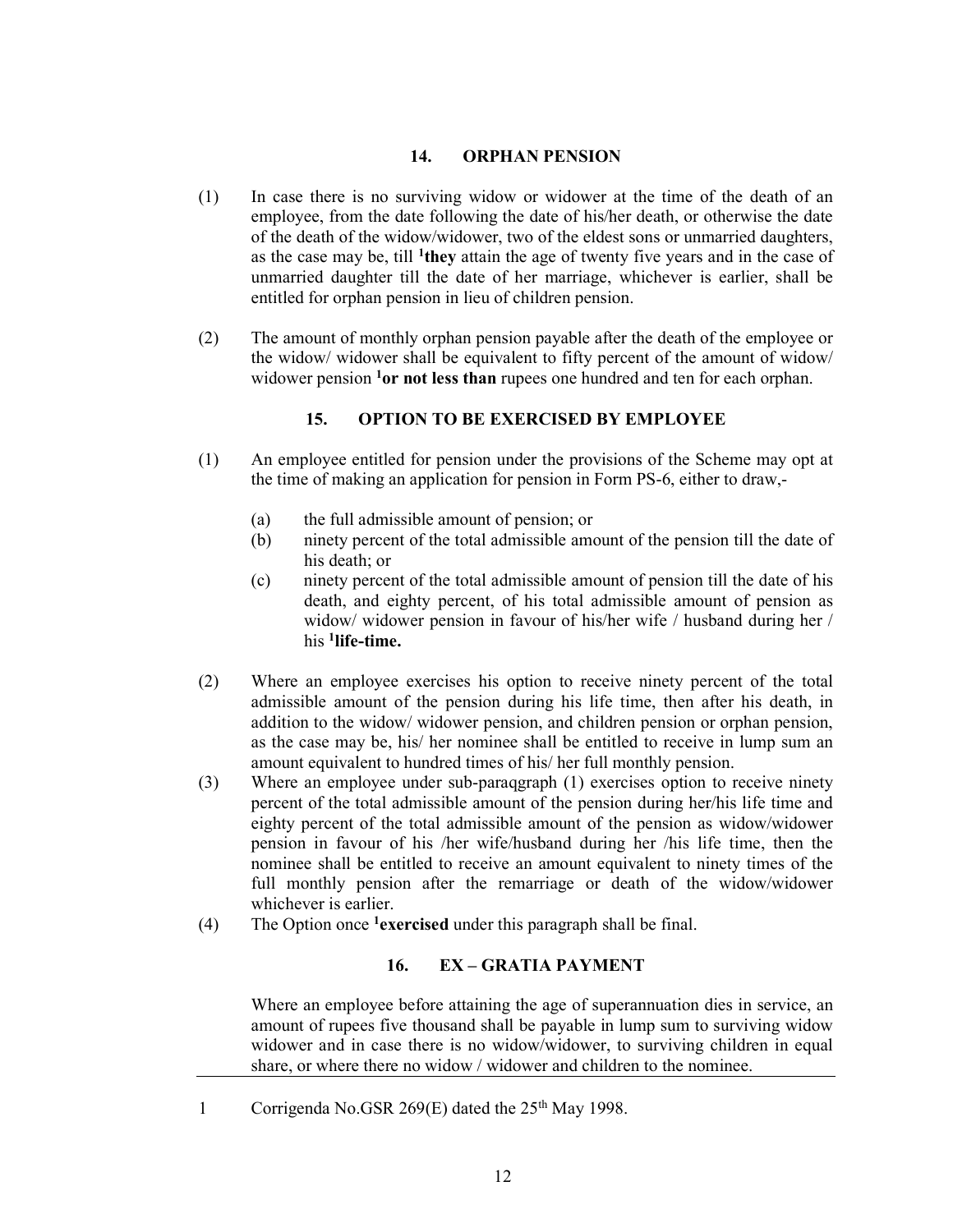## 14. ORPHAN PENSION

- (1) In case there is no surviving widow or widower at the time of the death of an employee, from the date following the date of his/her death, or otherwise the date of the death of the widow/widower, two of the eldest sons or unmarried daughters, as the case may be, till  $1$ <sup>they</sup> attain the age of twenty five years and in the case of unmarried daughter till the date of her marriage, whichever is earlier, shall be entitled for orphan pension in lieu of children pension.
- (2) The amount of monthly orphan pension payable after the death of the employee or the widow/ widower shall be equivalent to fifty percent of the amount of widow/ widower pension  $1<sup>0</sup>$  not less than rupees one hundred and ten for each orphan.

## 15. OPTION TO BE EXERCISED BY EMPLOYEE

- (1) An employee entitled for pension under the provisions of the Scheme may opt at the time of making an application for pension in Form PS-6, either to draw,-
	- (a) the full admissible amount of pension; or
	- (b) ninety percent of the total admissible amount of the pension till the date of his death; or
	- (c) ninety percent of the total admissible amount of pension till the date of his death, and eighty percent, of his total admissible amount of pension as widow/ widower pension in favour of his/her wife / husband during her / his <sup>1</sup>life-time.
- (2) Where an employee exercises his option to receive ninety percent of the total admissible amount of the pension during his life time, then after his death, in addition to the widow/ widower pension, and children pension or orphan pension, as the case may be, his/ her nominee shall be entitled to receive in lump sum an amount equivalent to hundred times of his/ her full monthly pension.
- (3) Where an employee under sub-paraqgraph (1) exercises option to receive ninety percent of the total admissible amount of the pension during her/his life time and eighty percent of the total admissible amount of the pension as widow/widower pension in favour of his /her wife/husband during her /his life time, then the nominee shall be entitled to receive an amount equivalent to ninety times of the full monthly pension after the remarriage or death of the widow/widower whichever is earlier.
- (4) The Option once  $<sup>1</sup>$  exercised under this paragraph shall be final.</sup>

## 16. EX – GRATIA PAYMENT

 Where an employee before attaining the age of superannuation dies in service, an amount of rupees five thousand shall be payable in lump sum to surviving widow widower and in case there is no widow/widower, to surviving children in equal share, or where there no widow / widower and children to the nominee.

1 Corrigenda No.GSR 269(E) dated the 25<sup>th</sup> May 1998.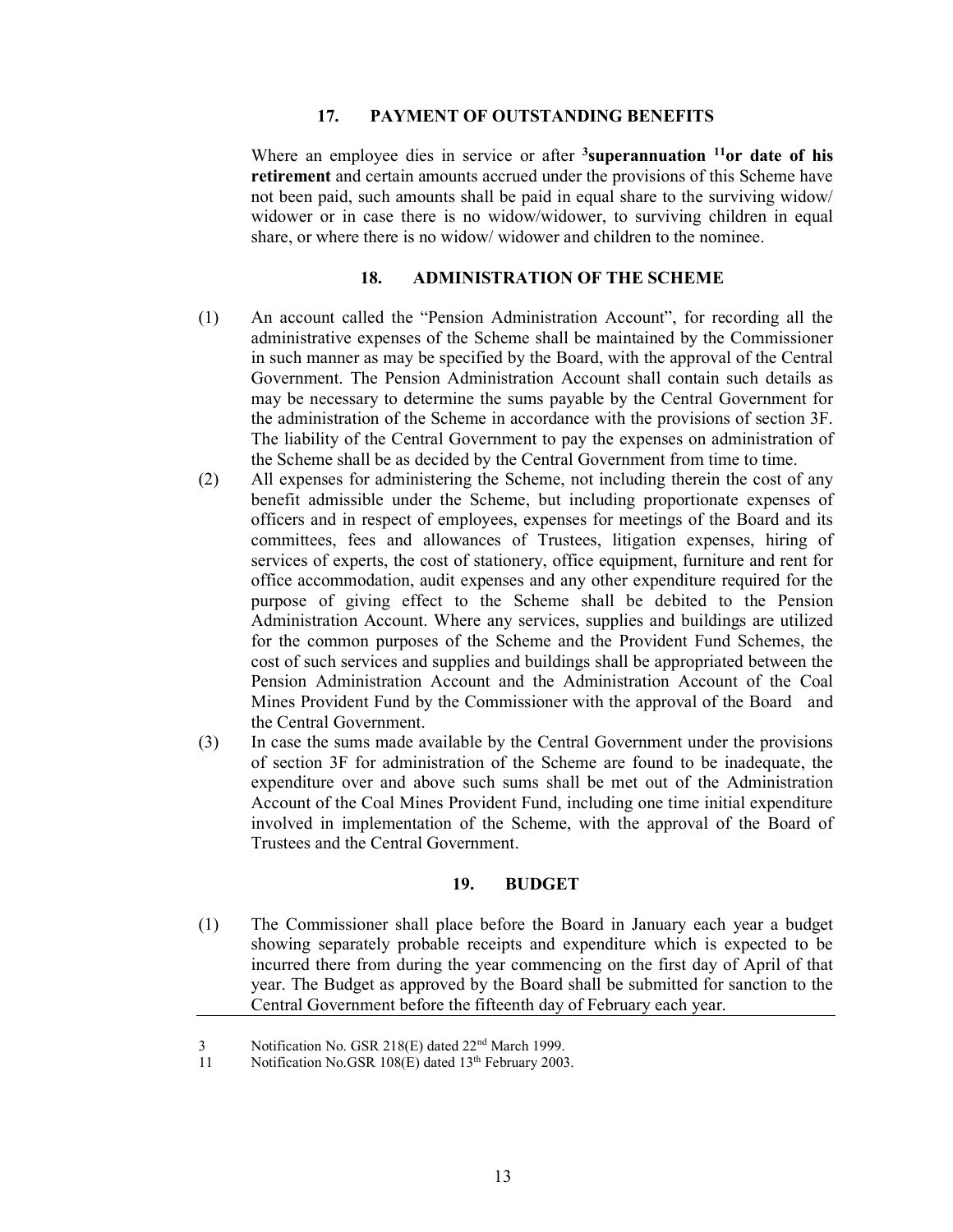## 17. PAYMENT OF OUTSTANDING BENEFITS

Where an employee dies in service or after  $3$ superannuation  $11$ or date of his retirement and certain amounts accrued under the provisions of this Scheme have not been paid, such amounts shall be paid in equal share to the surviving widow/ widower or in case there is no widow/widower, to surviving children in equal share, or where there is no widow/ widower and children to the nominee.

## 18. ADMINISTRATION OF THE SCHEME

- (1) An account called the "Pension Administration Account", for recording all the administrative expenses of the Scheme shall be maintained by the Commissioner in such manner as may be specified by the Board, with the approval of the Central Government. The Pension Administration Account shall contain such details as may be necessary to determine the sums payable by the Central Government for the administration of the Scheme in accordance with the provisions of section 3F. The liability of the Central Government to pay the expenses on administration of the Scheme shall be as decided by the Central Government from time to time.
- (2) All expenses for administering the Scheme, not including therein the cost of any benefit admissible under the Scheme, but including proportionate expenses of officers and in respect of employees, expenses for meetings of the Board and its committees, fees and allowances of Trustees, litigation expenses, hiring of services of experts, the cost of stationery, office equipment, furniture and rent for office accommodation, audit expenses and any other expenditure required for the purpose of giving effect to the Scheme shall be debited to the Pension Administration Account. Where any services, supplies and buildings are utilized for the common purposes of the Scheme and the Provident Fund Schemes, the cost of such services and supplies and buildings shall be appropriated between the Pension Administration Account and the Administration Account of the Coal Mines Provident Fund by the Commissioner with the approval of the Board and the Central Government.
- (3) In case the sums made available by the Central Government under the provisions of section 3F for administration of the Scheme are found to be inadequate, the expenditure over and above such sums shall be met out of the Administration Account of the Coal Mines Provident Fund, including one time initial expenditure involved in implementation of the Scheme, with the approval of the Board of Trustees and the Central Government.

## 19. BUDGET

(1) The Commissioner shall place before the Board in January each year a budget showing separately probable receipts and expenditure which is expected to be incurred there from during the year commencing on the first day of April of that year. The Budget as approved by the Board shall be submitted for sanction to the Central Government before the fifteenth day of February each year.

<sup>3</sup> Notification No. GSR 218(E) dated 22nd March 1999.

<sup>11</sup> Notification No.GSR 108(E) dated 13<sup>th</sup> February 2003.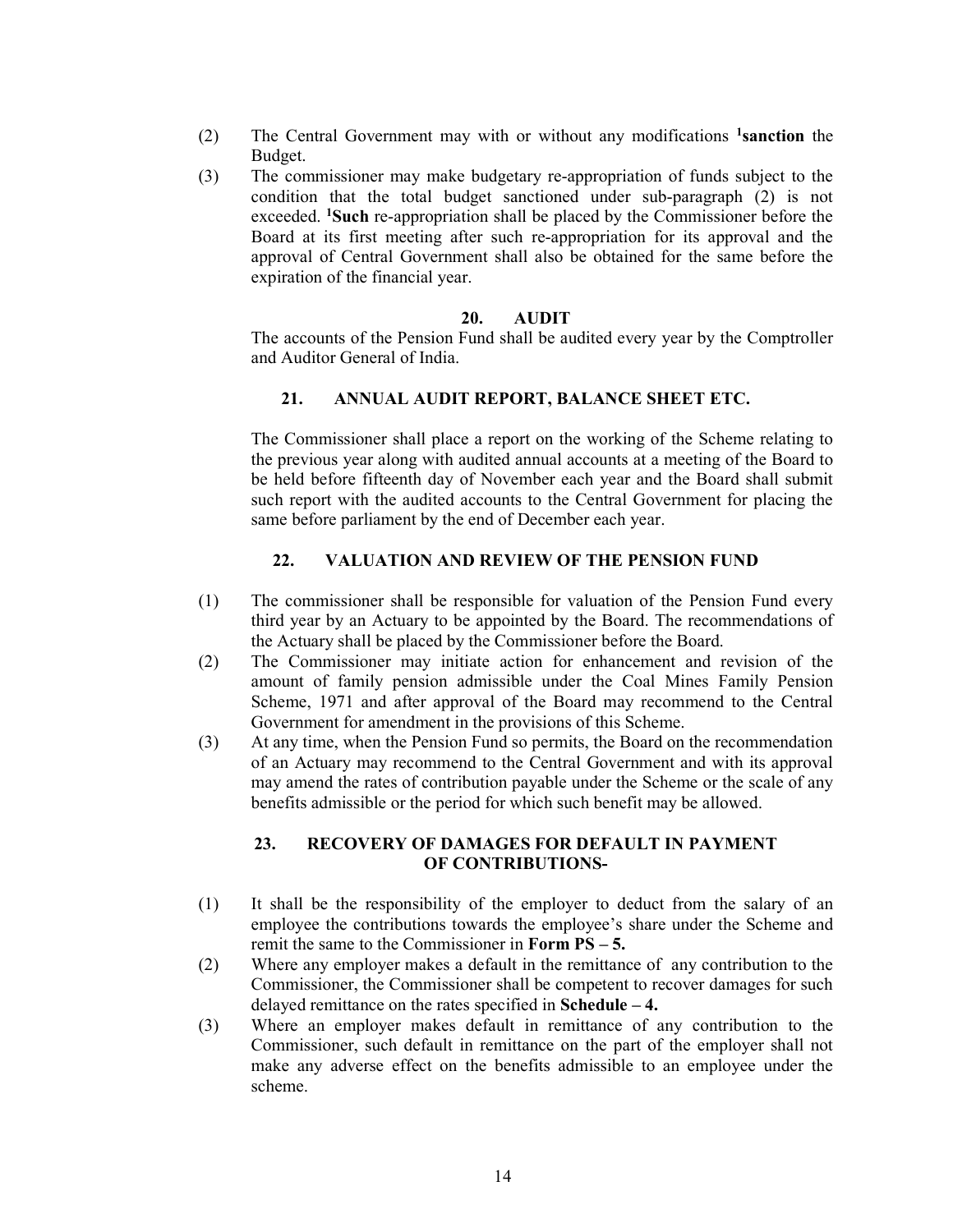- (2) The Central Government may with or without any modifications <sup>1</sup>sanction the Budget.
- (3) The commissioner may make budgetary re-appropriation of funds subject to the condition that the total budget sanctioned under sub-paragraph (2) is not exceeded. <sup>1</sup>Such re-appropriation shall be placed by the Commissioner before the Board at its first meeting after such re-appropriation for its approval and the approval of Central Government shall also be obtained for the same before the expiration of the financial year.

#### 20. AUDIT

 The accounts of the Pension Fund shall be audited every year by the Comptroller and Auditor General of India.

#### 21. ANNUAL AUDIT REPORT, BALANCE SHEET ETC.

 The Commissioner shall place a report on the working of the Scheme relating to the previous year along with audited annual accounts at a meeting of the Board to be held before fifteenth day of November each year and the Board shall submit such report with the audited accounts to the Central Government for placing the same before parliament by the end of December each year.

#### 22. VALUATION AND REVIEW OF THE PENSION FUND

- (1) The commissioner shall be responsible for valuation of the Pension Fund every third year by an Actuary to be appointed by the Board. The recommendations of the Actuary shall be placed by the Commissioner before the Board.
- (2) The Commissioner may initiate action for enhancement and revision of the amount of family pension admissible under the Coal Mines Family Pension Scheme, 1971 and after approval of the Board may recommend to the Central Government for amendment in the provisions of this Scheme.
- (3) At any time, when the Pension Fund so permits, the Board on the recommendation of an Actuary may recommend to the Central Government and with its approval may amend the rates of contribution payable under the Scheme or the scale of any benefits admissible or the period for which such benefit may be allowed.

## 23. RECOVERY OF DAMAGES FOR DEFAULT IN PAYMENT OF CONTRIBUTIONS-

- (1) It shall be the responsibility of the employer to deduct from the salary of an employee the contributions towards the employee's share under the Scheme and remit the same to the Commissioner in Form PS – 5.
- (2) Where any employer makes a default in the remittance of any contribution to the Commissioner, the Commissioner shall be competent to recover damages for such delayed remittance on the rates specified in Schedule – 4.
- (3) Where an employer makes default in remittance of any contribution to the Commissioner, such default in remittance on the part of the employer shall not make any adverse effect on the benefits admissible to an employee under the scheme.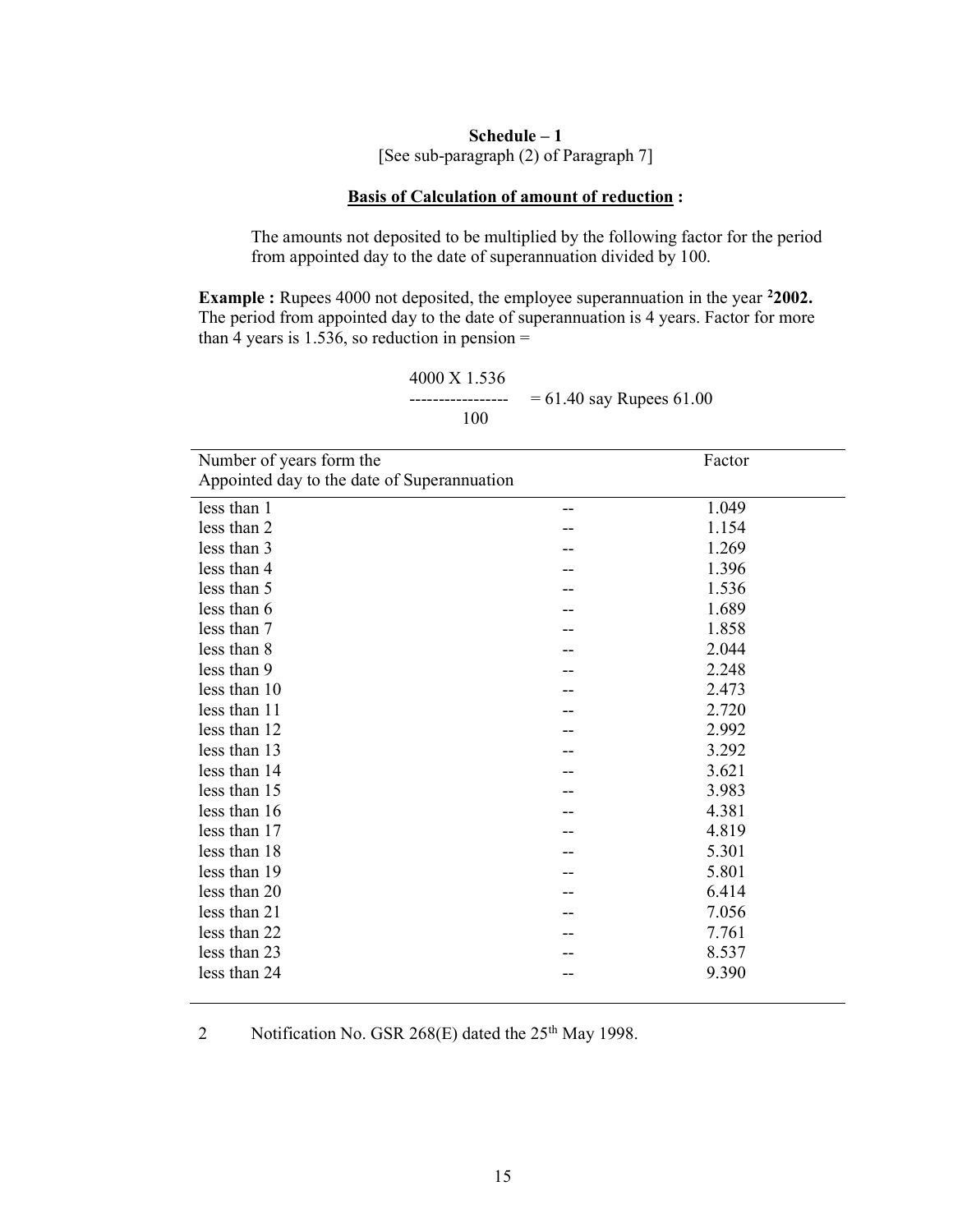## Schedule – 1 [See sub-paragraph (2) of Paragraph 7]

## Basis of Calculation of amount of reduction :

The amounts not deposited to be multiplied by the following factor for the period from appointed day to the date of superannuation divided by 100.

Example : Rupees 4000 not deposited, the employee superannuation in the year <sup>2</sup>2002. The period from appointed day to the date of superannuation is 4 years. Factor for more than 4 years is 1.536, so reduction in pension  $=$ 

 4000 X 1.536 ----------------- = 61.40 say Rupees 61.00 100

| Number of years form the                    | Factor |
|---------------------------------------------|--------|
| Appointed day to the date of Superannuation |        |
| less than 1                                 | 1.049  |
| less than 2                                 | 1.154  |
| less than 3                                 | 1.269  |
| less than 4                                 | 1.396  |
| less than 5                                 | 1.536  |
| less than 6                                 | 1.689  |
| less than 7                                 | 1.858  |
| less than 8                                 | 2.044  |
| less than 9                                 | 2.248  |
| less than 10                                | 2.473  |
| less than 11                                | 2.720  |
| less than 12                                | 2.992  |
| less than 13                                | 3.292  |
| less than 14                                | 3.621  |
| less than 15                                | 3.983  |
| less than 16                                | 4.381  |
| less than 17                                | 4.819  |
| less than 18                                | 5.301  |
| less than 19                                | 5.801  |
| less than 20                                | 6.414  |
| less than 21                                | 7.056  |
| less than 22                                | 7.761  |
| less than 23                                | 8.537  |
| less than 24                                | 9.390  |
|                                             |        |

2 Notification No. GSR 268(E) dated the  $25<sup>th</sup>$  May 1998.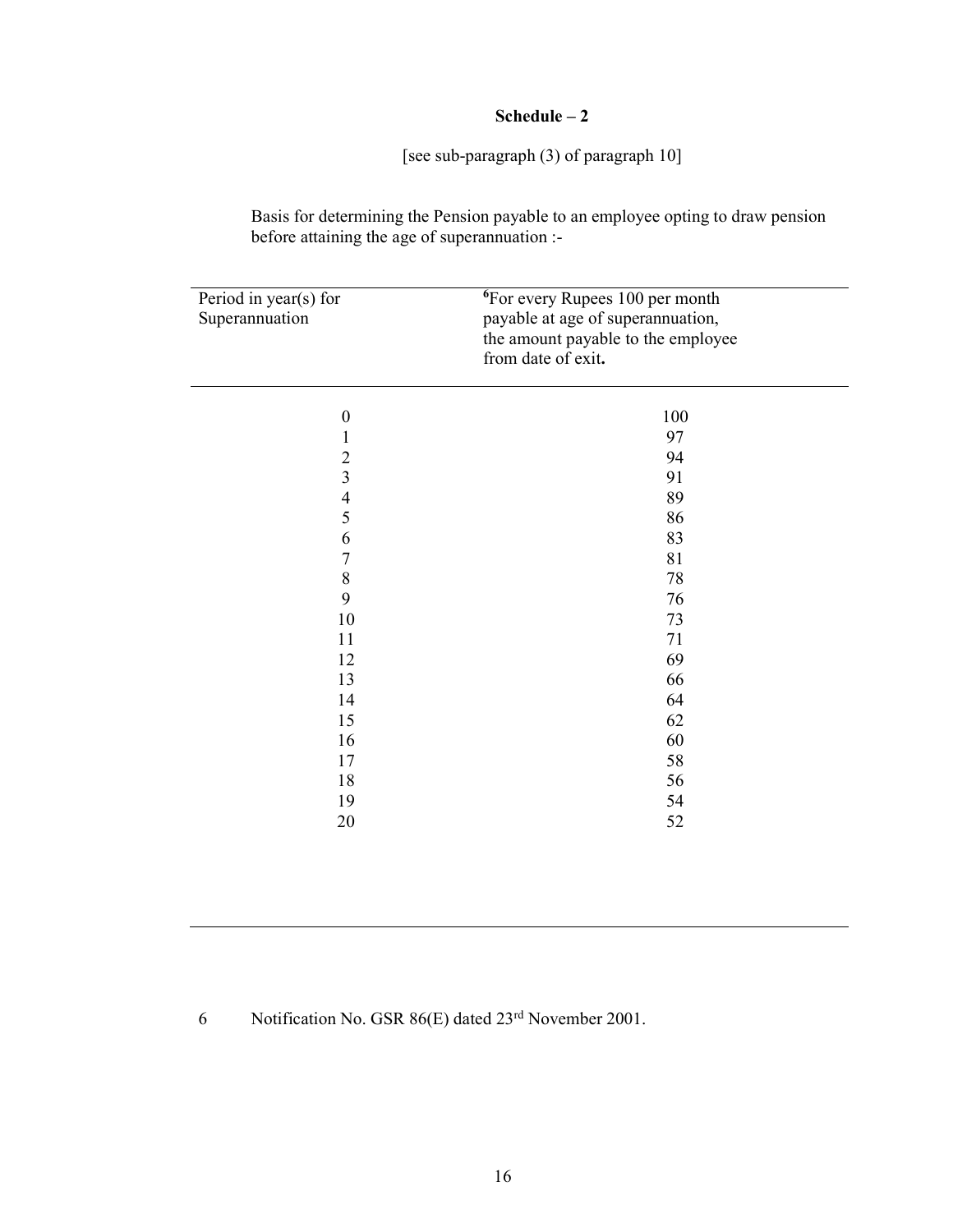# Schedule – 2

[see sub-paragraph (3) of paragraph 10]

Basis for determining the Pension payable to an employee opting to draw pension before attaining the age of superannuation :-

| Period in year(s) for<br>Superannuation | <sup>6</sup> For every Rupees 100 per month<br>payable at age of superannuation,<br>the amount payable to the employee<br>from date of exit. |  |
|-----------------------------------------|----------------------------------------------------------------------------------------------------------------------------------------------|--|
| $\boldsymbol{0}$                        | 100                                                                                                                                          |  |
| $\mathbf{1}$                            | 97                                                                                                                                           |  |
| $\overline{c}$                          | 94                                                                                                                                           |  |
| $\overline{\mathbf{3}}$                 | 91                                                                                                                                           |  |
| $\frac{4}{5}$                           | 89                                                                                                                                           |  |
|                                         | 86                                                                                                                                           |  |
| 6                                       | 83                                                                                                                                           |  |
| $\boldsymbol{7}$                        | 81                                                                                                                                           |  |
| $\,$ $\,$                               | 78                                                                                                                                           |  |
| 9                                       | 76                                                                                                                                           |  |
| $10\,$                                  | 73                                                                                                                                           |  |
| 11                                      | 71                                                                                                                                           |  |
| 12                                      | 69                                                                                                                                           |  |
| 13                                      | 66                                                                                                                                           |  |
| 14                                      | 64                                                                                                                                           |  |
| 15                                      | 62                                                                                                                                           |  |
| 16                                      | 60                                                                                                                                           |  |
| 17                                      | 58                                                                                                                                           |  |
| 18                                      | 56                                                                                                                                           |  |
| 19                                      | 54                                                                                                                                           |  |
| 20                                      | 52                                                                                                                                           |  |

6 Notification No. GSR 86(E) dated 23rd November 2001.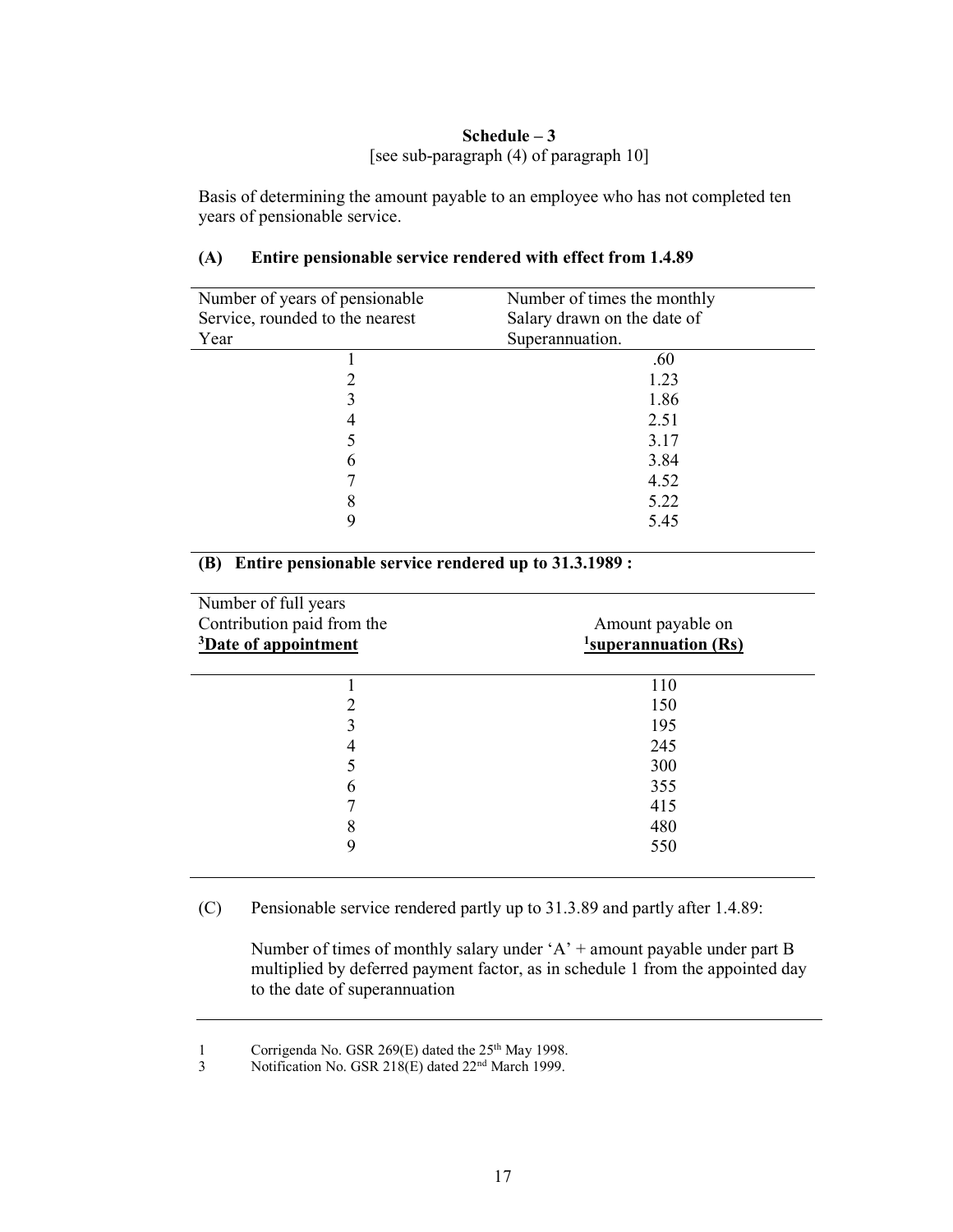## Schedule – 3 [see sub-paragraph (4) of paragraph 10]

Basis of determining the amount payable to an employee who has not completed ten years of pensionable service.

| Number of years of pensionable  | Number of times the monthly |
|---------------------------------|-----------------------------|
| Service, rounded to the nearest | Salary drawn on the date of |
| Year                            | Superannuation.             |
|                                 | .60                         |
|                                 | 1.23                        |
|                                 | 1.86                        |
|                                 | 2.51                        |
|                                 | 3.17                        |
| n                               | 3.84                        |
|                                 | 4.52                        |
| 8                               | 5.22                        |
|                                 | 5.45                        |

## (A) Entire pensionable service rendered with effect from 1.4.89

# (B) Entire pensionable service rendered up to 31.3.1989 :

| Number of full years             |                                   |
|----------------------------------|-----------------------------------|
| Contribution paid from the       | Amount payable on                 |
| <sup>3</sup> Date of appointment | $\frac{1}{2}$ superannuation (Rs) |
|                                  |                                   |
|                                  | 110                               |
| 2                                | 150                               |
| 3                                | 195                               |
| 4                                | 245                               |
|                                  | 300                               |
| 6                                | 355                               |
|                                  | 415                               |
| 8                                | 480                               |
| 9                                | 550                               |
|                                  |                                   |

(C) Pensionable service rendered partly up to 31.3.89 and partly after 1.4.89:

 Number of times of monthly salary under 'A' + amount payable under part B multiplied by deferred payment factor, as in schedule 1 from the appointed day to the date of superannuation

<sup>1</sup> Corrigenda No. GSR 269 $(E)$  dated the 25<sup>th</sup> May 1998.

<sup>3</sup> Notification No. GSR 218(E) dated 22<sup>nd</sup> March 1999.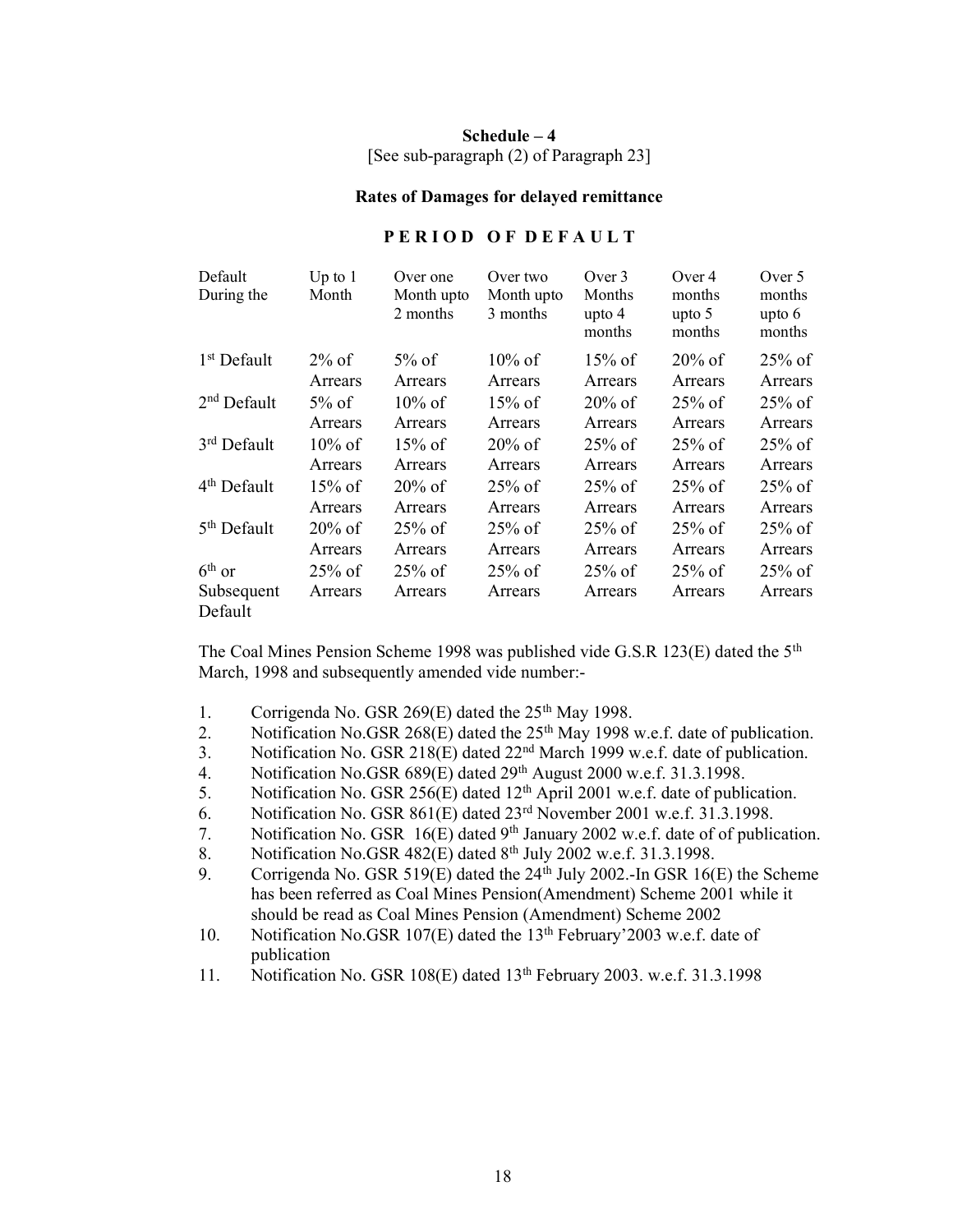## Schedule – 4 [See sub-paragraph (2) of Paragraph 23]

#### Rates of Damages for delayed remittance

## PERIOD OF DEFAULT

| Default<br>During the             | Up to $1$<br>Month   | Over one<br>Month upto<br>2 months | Over two<br>Month upto<br>3 months | Over 3<br>Months<br>upto $4$<br>months | Over 4<br>months<br>upto $5$<br>months | Over 5<br>months<br>upto $6$<br>months |
|-----------------------------------|----------------------|------------------------------------|------------------------------------|----------------------------------------|----------------------------------------|----------------------------------------|
| 1 <sup>st</sup> Default           | $2\%$ of             | $5\%$ of                           | $10\%$ of                          | $15\%$ of                              | $20\%$ of                              | $25\%$ of                              |
|                                   | Arrears              | Arrears                            | Arrears                            | Arrears                                | Arrears                                | Arrears                                |
| $2nd$ Default                     | $5\%$ of             | $10\%$ of                          | $15\%$ of                          | $20\%$ of                              | $25\%$ of                              | $25%$ of                               |
|                                   | Arrears              | Arrears                            | Arrears                            | Arrears                                | Arrears                                | Arrears                                |
| $3rd$ Default                     | $10\%$ of            | $15\%$ of                          | $20\%$ of                          | $25\%$ of                              | $25\%$ of                              | $25%$ of                               |
|                                   | Arrears              | Arrears                            | Arrears                            | Arrears                                | Arrears                                | Arrears                                |
| 4 <sup>th</sup> Default           | $15\%$ of            | $20\%$ of                          | $25\%$ of                          | $25\%$ of                              | $25\%$ of                              | $25\%$ of                              |
|                                   | Arrears              | Arrears                            | Arrears                            | Arrears                                | Arrears                                | Arrears                                |
| 5 <sup>th</sup> Default           | $20\%$ of            | $25\%$ of                          | $25\%$ of                          | $25%$ of                               | $25\%$ of                              | $25\%$ of                              |
|                                   | Arrears              | Arrears                            | Arrears                            | Arrears                                | Arrears                                | Arrears                                |
| $6th$ or<br>Subsequent<br>Default | $25\%$ of<br>Arrears | $25\%$ of<br>Arrears               | $25\%$ of<br>Arrears               | $25\%$ of<br>Arrears                   | $25\%$ of<br>Arrears                   | $25%$ of<br>Arrears                    |

The Coal Mines Pension Scheme 1998 was published vide G.S.R 123(E) dated the 5th March, 1998 and subsequently amended vide number:-

- 1. Corrigenda No. GSR 269 $(E)$  dated the 25<sup>th</sup> May 1998.
- 2. Notification No.GSR 268(E) dated the  $25<sup>th</sup>$  May 1998 w.e.f. date of publication.
- 3. Notification No. GSR 218(E) dated 22nd March 1999 w.e.f. date of publication.
- 4. Notification No.GSR 689(E) dated 29<sup>th</sup> August 2000 w.e.f. 31.3.1998.
- 5. Notification No. GSR 256(E) dated 12<sup>th</sup> April 2001 w.e.f. date of publication.
- 6. Notification No. GSR  $861(E)$  dated  $23<sup>rd</sup>$  November 2001 w.e.f. 31.3.1998.
- 7. Notification No. GSR 16(E) dated 9<sup>th</sup> January 2002 w.e.f. date of of publication.
- 8. Notification No.GSR  $482(E)$  dated  $8<sup>th</sup>$  July 2002 w.e.f. 31.3.1998.
- 9. Corrigenda No. GSR 519(E) dated the  $24<sup>th</sup>$  July 2002.-In GSR 16(E) the Scheme has been referred as Coal Mines Pension(Amendment) Scheme 2001 while it should be read as Coal Mines Pension (Amendment) Scheme 2002
- 10. Notification No.GSR 107(E) dated the 13<sup>th</sup> February'2003 w.e.f. date of publication
- 11. Notification No. GSR 108(E) dated 13<sup>th</sup> February 2003. w.e.f. 31.3.1998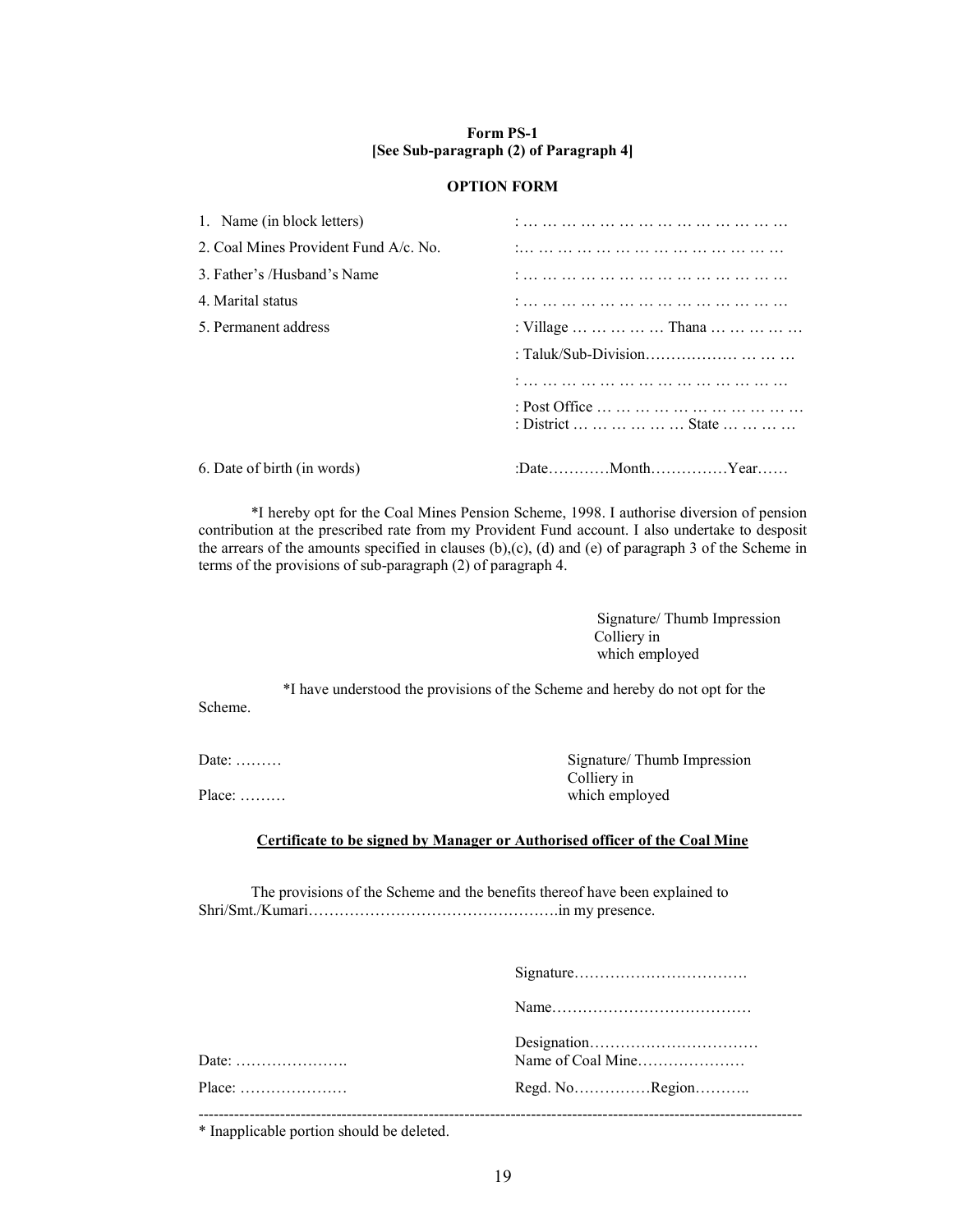#### Form PS-1 [See Sub-paragraph (2) of Paragraph 4]

#### OPTION FORM

| 1. Name (in block letters)            |                        |
|---------------------------------------|------------------------|
| 2. Coal Mines Provident Fund A/c. No. |                        |
| 3. Father's /Husband's Name           |                        |
| 4. Marital status                     |                        |
| 5. Permanent address                  | : Village      Thana   |
|                                       |                        |
|                                       |                        |
|                                       | : District       State |
| 6. Date of birth (in words)           | :DateMonthYear         |

 \*I hereby opt for the Coal Mines Pension Scheme, 1998. I authorise diversion of pension contribution at the prescribed rate from my Provident Fund account. I also undertake to desposit the arrears of the amounts specified in clauses (b),(c), (d) and (e) of paragraph 3 of the Scheme in terms of the provisions of sub-paragraph (2) of paragraph 4.

> Signature/ Thumb Impression Colliery in which employed

 \*I have understood the provisions of the Scheme and hereby do not opt for the Scheme.

Date: ……… Colliery in which employed

## Certificate to be signed by Manager or Authorised officer of the Coal Mine

 The provisions of the Scheme and the benefits thereof have been explained to Shri/Smt./Kumari………………………………………….in my presence.

| Date:  | Name of Coal Mine |
|--------|-------------------|
| Place: | Regd. NoRegion    |
|        |                   |

\* Inapplicable portion should be deleted.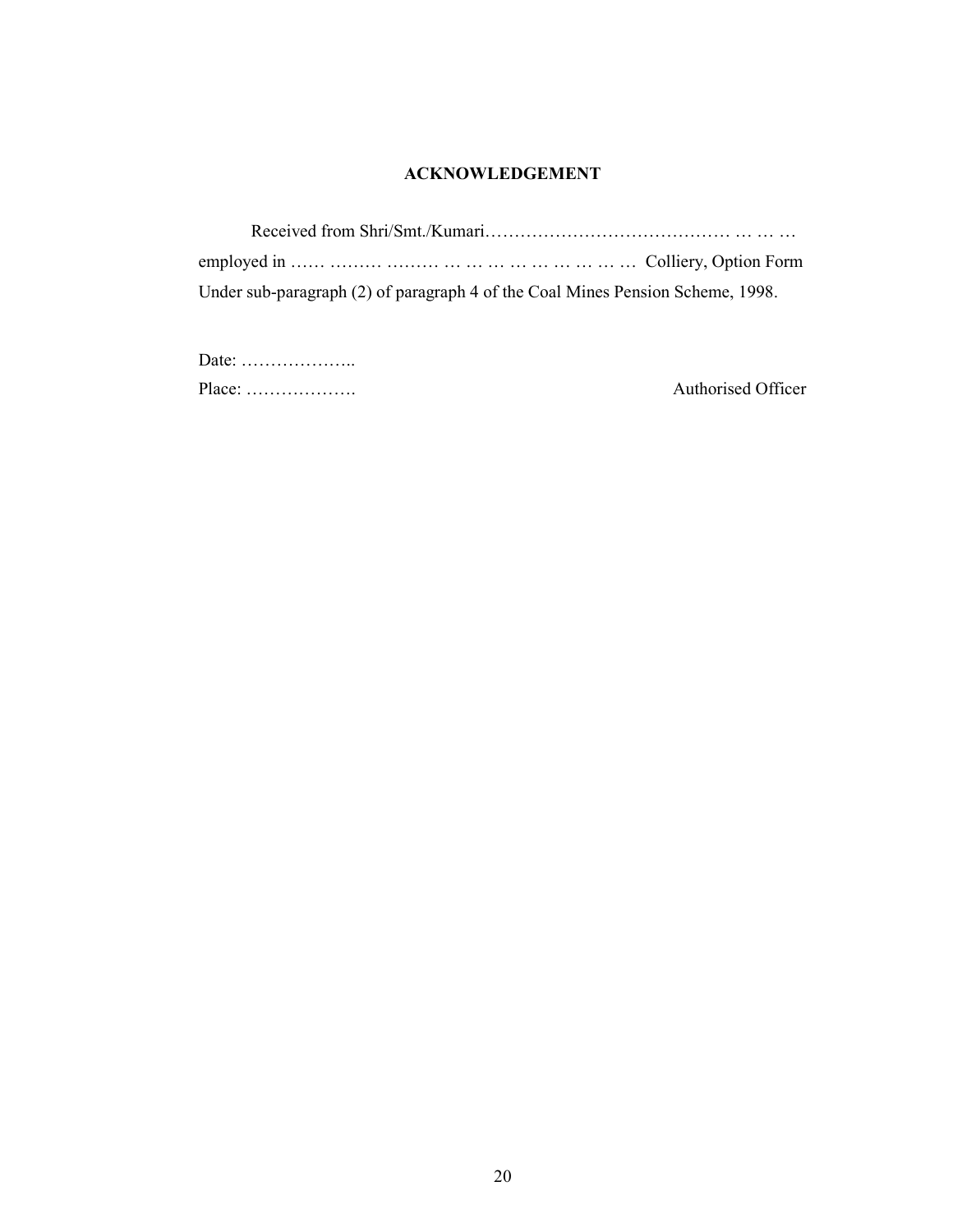## ACKNOWLEDGEMENT

Received from Shri/Smt./Kumari…………………………………… … … … employed in …… ……… ……… … … … … … … … … … Colliery, Option Form Under sub-paragraph (2) of paragraph 4 of the Coal Mines Pension Scheme, 1998.

| Date: $\dots\dots\dots\dots\dots\dots\dots\dots$ |  |
|--------------------------------------------------|--|
| $Place: \ldots \ldots \ldots \ldots \ldots$      |  |

Authorised Officer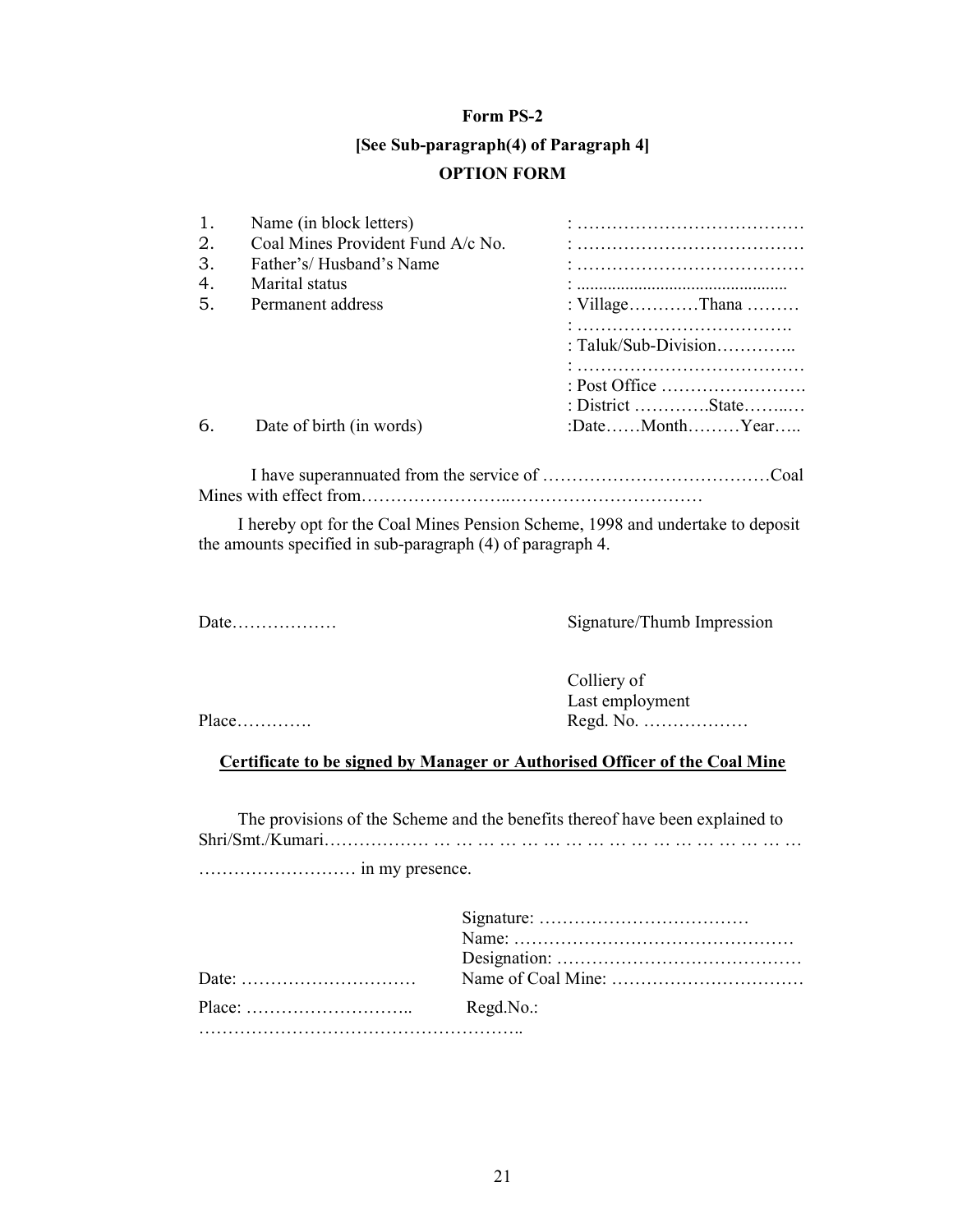#### Form PS-2

# [See Sub-paragraph(4) of Paragraph 4] OPTION FORM

| 1. | Name (in block letters)           |                      |
|----|-----------------------------------|----------------------|
| 2. | Coal Mines Provident Fund A/c No. |                      |
| 3. | Father's/Husband's Name           |                      |
| 4. | Marital status                    |                      |
| 5. | Permanent address                 | : VillageThana       |
|    |                                   |                      |
|    |                                   | : Taluk/Sub-Division |
|    |                                   |                      |
|    |                                   |                      |
|    |                                   | : District State     |
| 6. | Date of birth (in words)          | :DateMonthYear       |
|    |                                   |                      |

 I have superannuated from the service of …………………………………Coal Mines with effect from……………………..……………………………

 I hereby opt for the Coal Mines Pension Scheme, 1998 and undertake to deposit the amounts specified in sub-paragraph (4) of paragraph 4.

Date……………… Signature/Thumb Impression

 Colliery of Last employment Place…………. Regd. No. ………………

Certificate to be signed by Manager or Authorised Officer of the Coal Mine

 The provisions of the Scheme and the benefits thereof have been explained to Shri/Smt./Kumari……………… … … … … … … … … … … … … … … … … …

……………………… in my presence.

| Regd.No.: |
|-----------|
|           |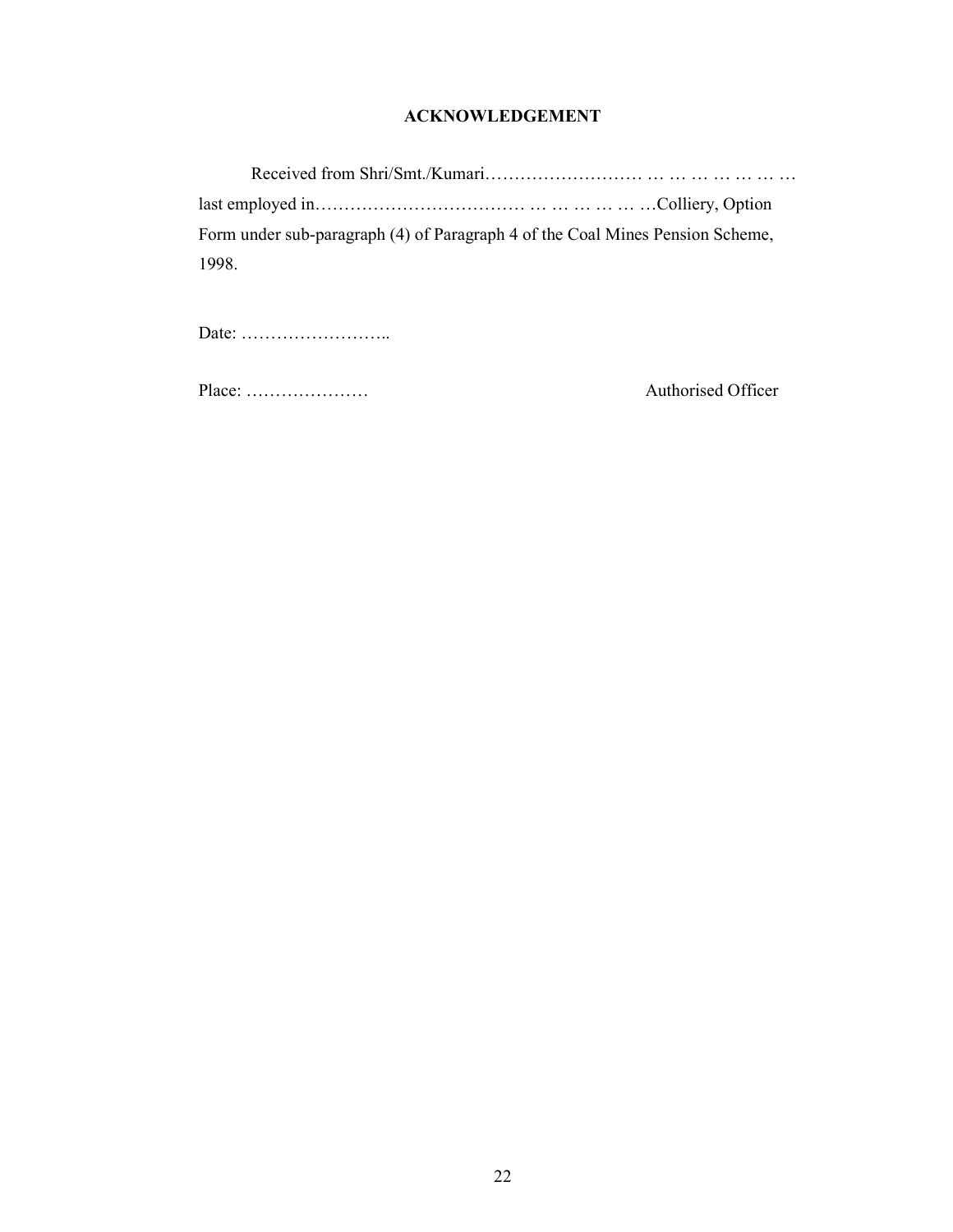## ACKNOWLEDGEMENT

Received from Shri/Smt./Kumari……………………… … … … … … … … last employed in……………………………… … … … … … …Colliery, Option Form under sub-paragraph (4) of Paragraph 4 of the Coal Mines Pension Scheme, 1998.

Date: ……………………..

Place: ………………… Authorised Officer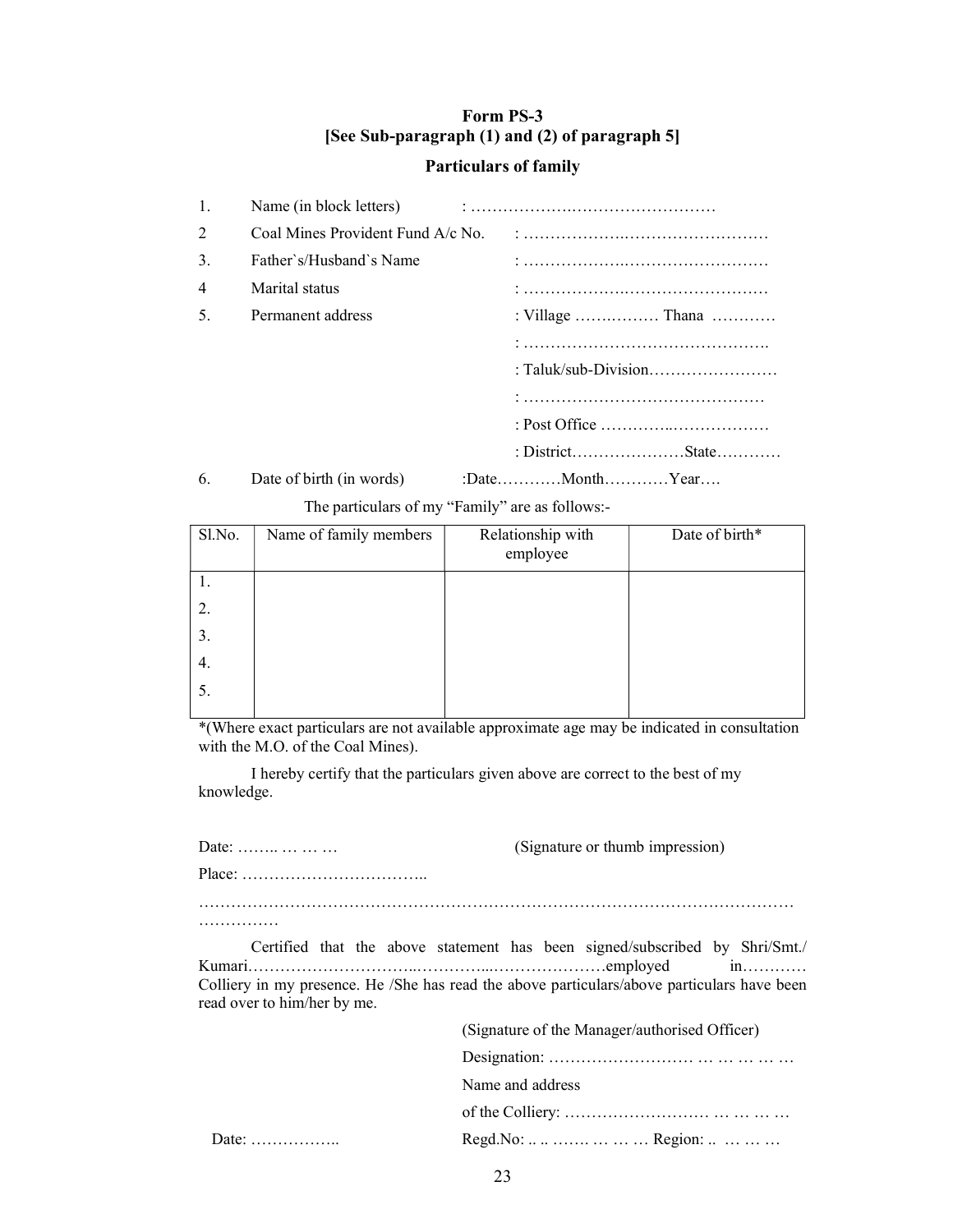# Form PS-3 [See Sub-paragraph (1) and (2) of paragraph 5] Particulars of family

| 1. | Name (in block letters)           |                  |
|----|-----------------------------------|------------------|
| 2  | Coal Mines Provident Fund A/c No. |                  |
| 3. | Father's/Husband's Name           |                  |
| 4  | Marital status                    |                  |
| 5. | Permanent address                 | : Village  Thana |
|    |                                   |                  |
|    |                                   |                  |
|    |                                   |                  |
|    |                                   |                  |
|    |                                   |                  |
| 6. | Date of birth (in words)          |                  |

The particulars of my "Family" are as follows:-

| Sl.No. | Name of family members | Relationship with<br>employee | Date of birth* |
|--------|------------------------|-------------------------------|----------------|
| 1.     |                        |                               |                |
| 2.     |                        |                               |                |
| 3.     |                        |                               |                |
| 4.     |                        |                               |                |
| 5.     |                        |                               |                |

\*(Where exact particulars are not available approximate age may be indicated in consultation with the M.O. of the Coal Mines).

 I hereby certify that the particulars given above are correct to the best of my knowledge.

| Date:                       | (Signature or thumb impression)                                                                                                                                            |
|-----------------------------|----------------------------------------------------------------------------------------------------------------------------------------------------------------------------|
|                             |                                                                                                                                                                            |
|                             |                                                                                                                                                                            |
| read over to him/her by me. | Certified that the above statement has been signed/subscribed by Shri/Smt./<br>Colliery in my presence. He /She has read the above particulars/above particulars have been |
|                             | (Signature of the Manager/authorised Officer)                                                                                                                              |
|                             |                                                                                                                                                                            |
|                             | Name and address                                                                                                                                                           |
|                             |                                                                                                                                                                            |
| Date: $\ldots$              | Regd.No:      Region:                                                                                                                                                      |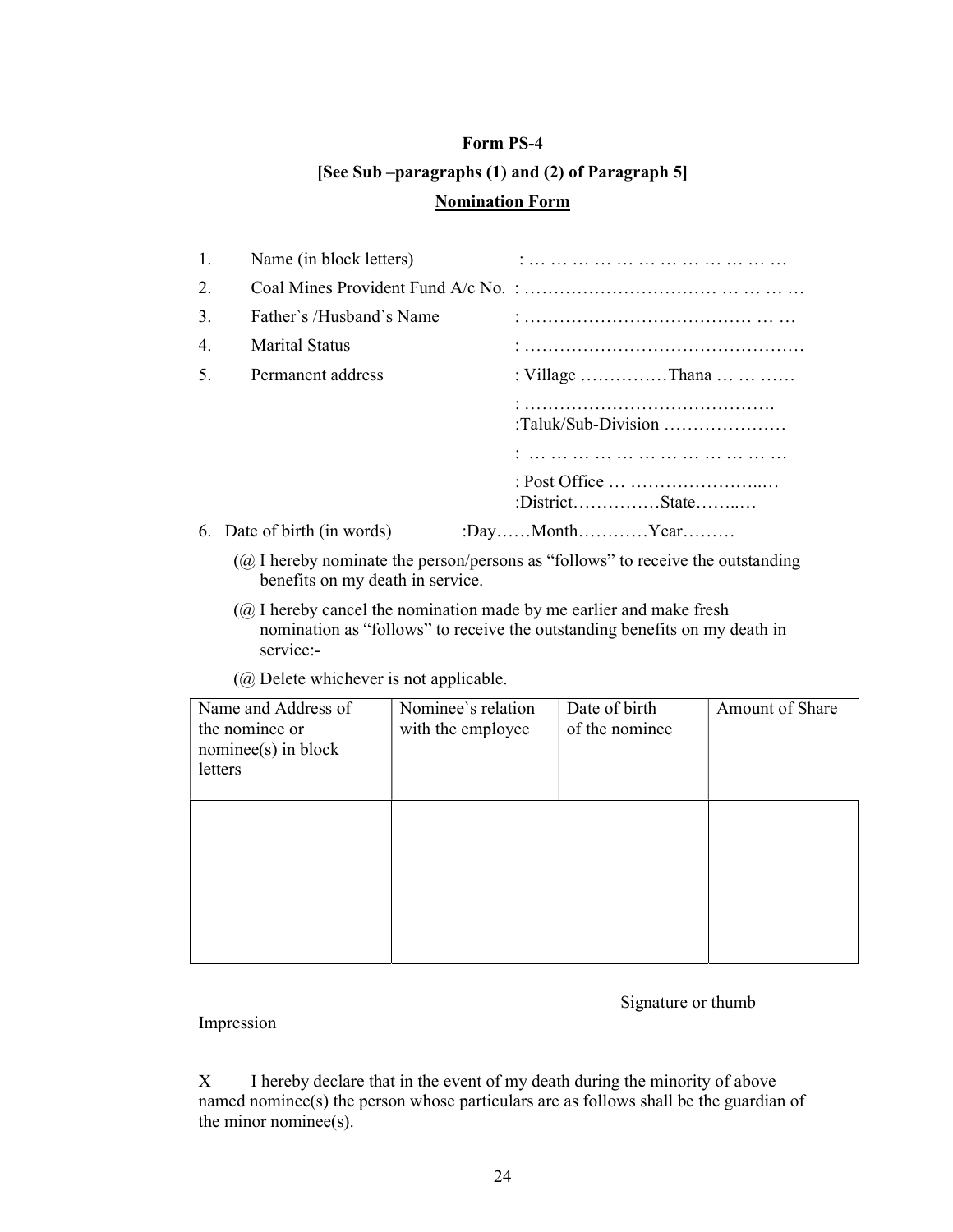# Form PS-4 [See Sub –paragraphs (1) and (2) of Paragraph 5] Nomination Form

| 1.             | Name (in block letters)     |                     |
|----------------|-----------------------------|---------------------|
| 2.             |                             |                     |
| 3.             | Father's /Husband's Name    |                     |
| 4.             | Marital Status              |                     |
| 5 <sub>1</sub> | Permanent address           | : Village Thana     |
|                |                             | :Taluk/Sub-Division |
|                |                             |                     |
|                |                             | :DistrictState      |
|                | 6. Date of birth (in words) | :DayMonthYear       |

- (@ I hereby nominate the person/persons as "follows" to receive the outstanding benefits on my death in service.
- $(Q<sub>0</sub>)$  I hereby cancel the nomination made by me earlier and make fresh nomination as "follows" to receive the outstanding benefits on my death in service:-
- (@ Delete whichever is not applicable.

| Name and Address of<br>the nominee or<br>$nominee(s)$ in block<br>letters | Nominee's relation<br>with the employee | Date of birth<br>of the nominee | Amount of Share |
|---------------------------------------------------------------------------|-----------------------------------------|---------------------------------|-----------------|
|                                                                           |                                         |                                 |                 |
|                                                                           |                                         |                                 |                 |

Signature or thumb

Impression

X I hereby declare that in the event of my death during the minority of above named nominee(s) the person whose particulars are as follows shall be the guardian of the minor nominee(s).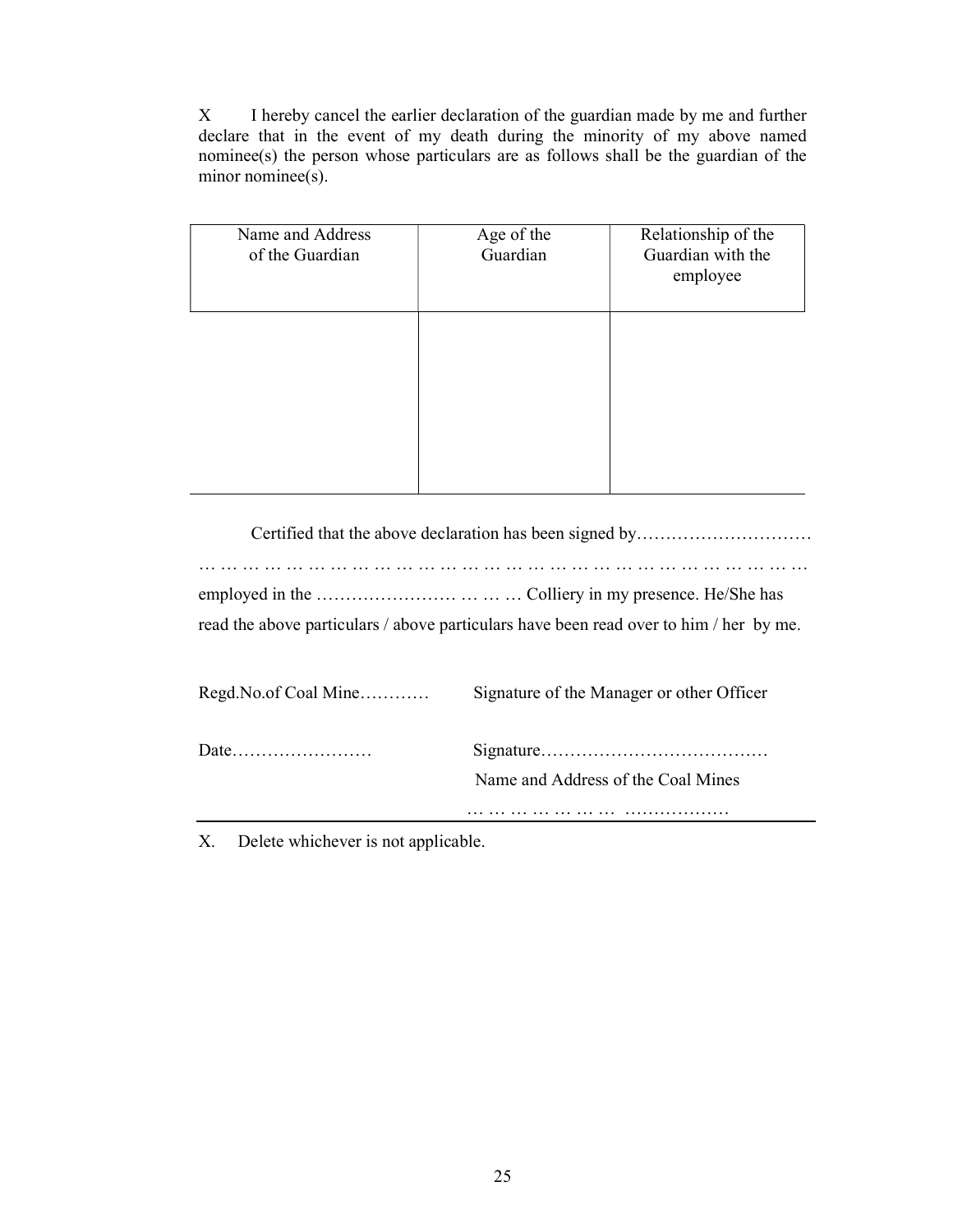X I hereby cancel the earlier declaration of the guardian made by me and further declare that in the event of my death during the minority of my above named nominee(s) the person whose particulars are as follows shall be the guardian of the minor nominee(s).

| Name and Address<br>of the Guardian | Age of the<br>Guardian | Relationship of the<br>Guardian with the<br>employee |
|-------------------------------------|------------------------|------------------------------------------------------|
|                                     |                        |                                                      |
|                                     |                        |                                                      |

 Certified that the above declaration has been signed by………………………… … … … … … … … … … … … … … … … … … … … … … … … … … … … … employed in the …………………… … … … Colliery in my presence. He/She has read the above particulars / above particulars have been read over to him / her by me.

| Regd. No. of Coal Mine | Signature of the Manager or other Officer |
|------------------------|-------------------------------------------|
|                        | Name and Address of the Coal Mines        |
|                        |                                           |

X. Delete whichever is not applicable.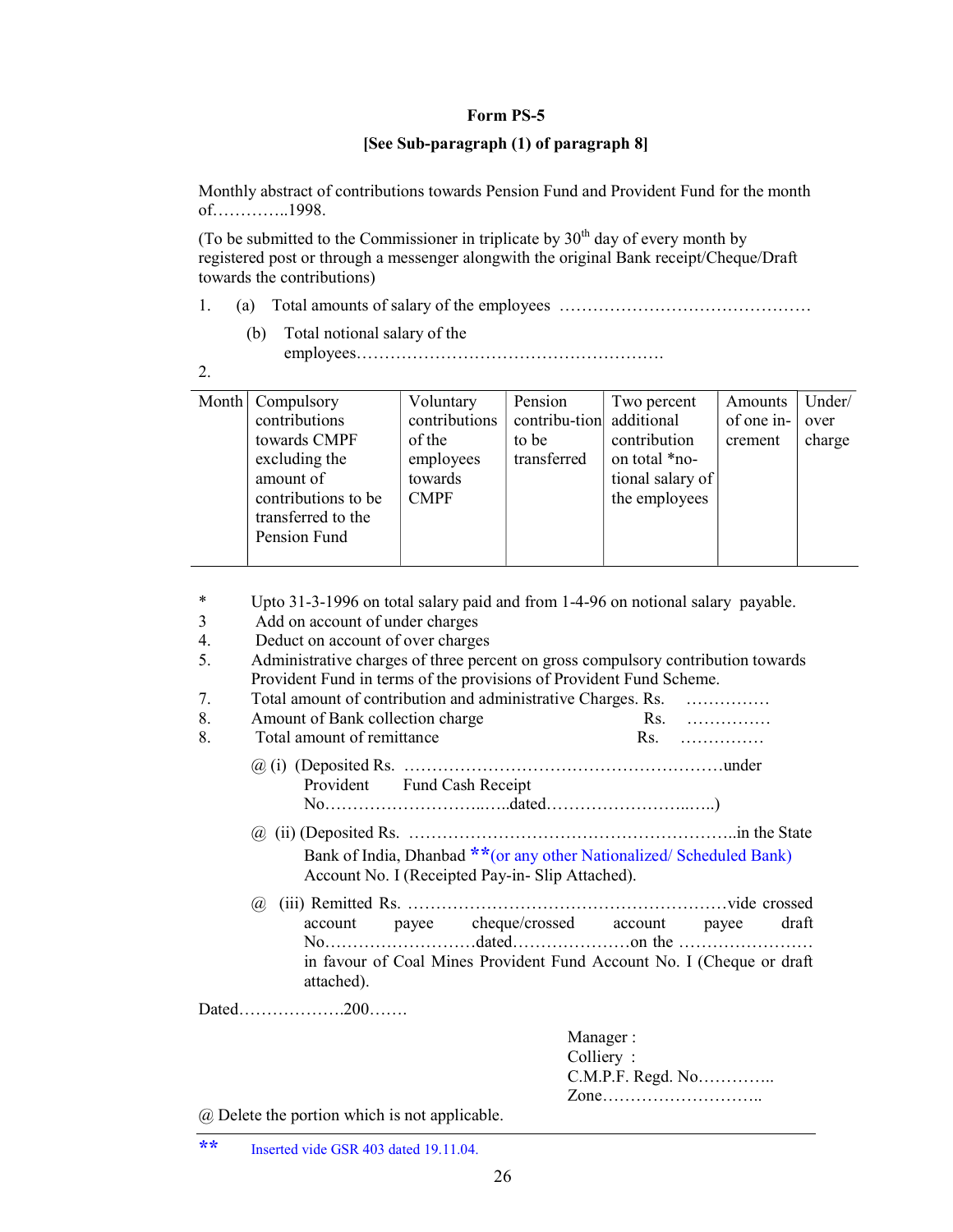#### Form PS-5

#### [See Sub-paragraph (1) of paragraph 8]

Monthly abstract of contributions towards Pension Fund and Provident Fund for the month of…………..1998.

(To be submitted to the Commissioner in triplicate by  $30<sup>th</sup>$  day of every month by registered post or through a messenger alongwith the original Bank receipt/Cheque/Draft towards the contributions)

- 1. (a) Total amounts of salary of the employees ………………………………………
	- (b) Total notional salary of the employees……………………………………………….

| ۰. |  |
|----|--|
|    |  |

| Month   Compulsory<br>contributions<br>towards CMPF<br>excluding the<br>amount of<br>contributions to be<br>transferred to the<br>Pension Fund | Voluntary<br>contributions<br>of the<br>employees<br>towards<br><b>CMPF</b> | Pension<br>contribu-tion additional<br>to be<br>transferred | Two percent<br>contribution<br>on total *no-<br>tional salary of<br>the employees | Amounts<br>of one in-<br>crement | Under/<br>over<br>charge |
|------------------------------------------------------------------------------------------------------------------------------------------------|-----------------------------------------------------------------------------|-------------------------------------------------------------|-----------------------------------------------------------------------------------|----------------------------------|--------------------------|
|                                                                                                                                                |                                                                             |                                                             |                                                                                   |                                  |                          |

- \* Upto 31-3-1996 on total salary paid and from 1-4-96 on notional salary payable.
- 3 Add on account of under charges
- 4. Deduct on account of over charges
- 5. Administrative charges of three percent on gross compulsory contribution towards Provident Fund in terms of the provisions of Provident Fund Scheme.
- 7. Total amount of contribution and administrative Charges. Rs. ……………
- 8. Amount of Bank collection charge Rs. …………… 8. Total amount of remittance Rs. ……………
	- @ (i) (Deposited Rs. …………………………………………………under Provident Fund Cash Receipt No………………………..…..dated……………………..…..)
	- @ (ii) (Deposited Rs. …………………………………………………..in the State Bank of India, Dhanbad \*\*(or any other Nationalized/ Scheduled Bank) Account No. I (Receipted Pay-in- Slip Attached).
	- @ (iii) Remitted Rs. …………………………………………………vide crossed account payee cheque/crossed account payee draft No………………………dated…………………on the …………………… in favour of Coal Mines Provident Fund Account No. I (Cheque or draft attached).

Dated……………….200…….

| Manager :         |
|-------------------|
| Colliery:         |
| C.M.P.F. Regd. No |
| Zone              |

@ Delete the portion which is not applicable.

\*\* Inserted vide GSR 403 dated 19.11.04.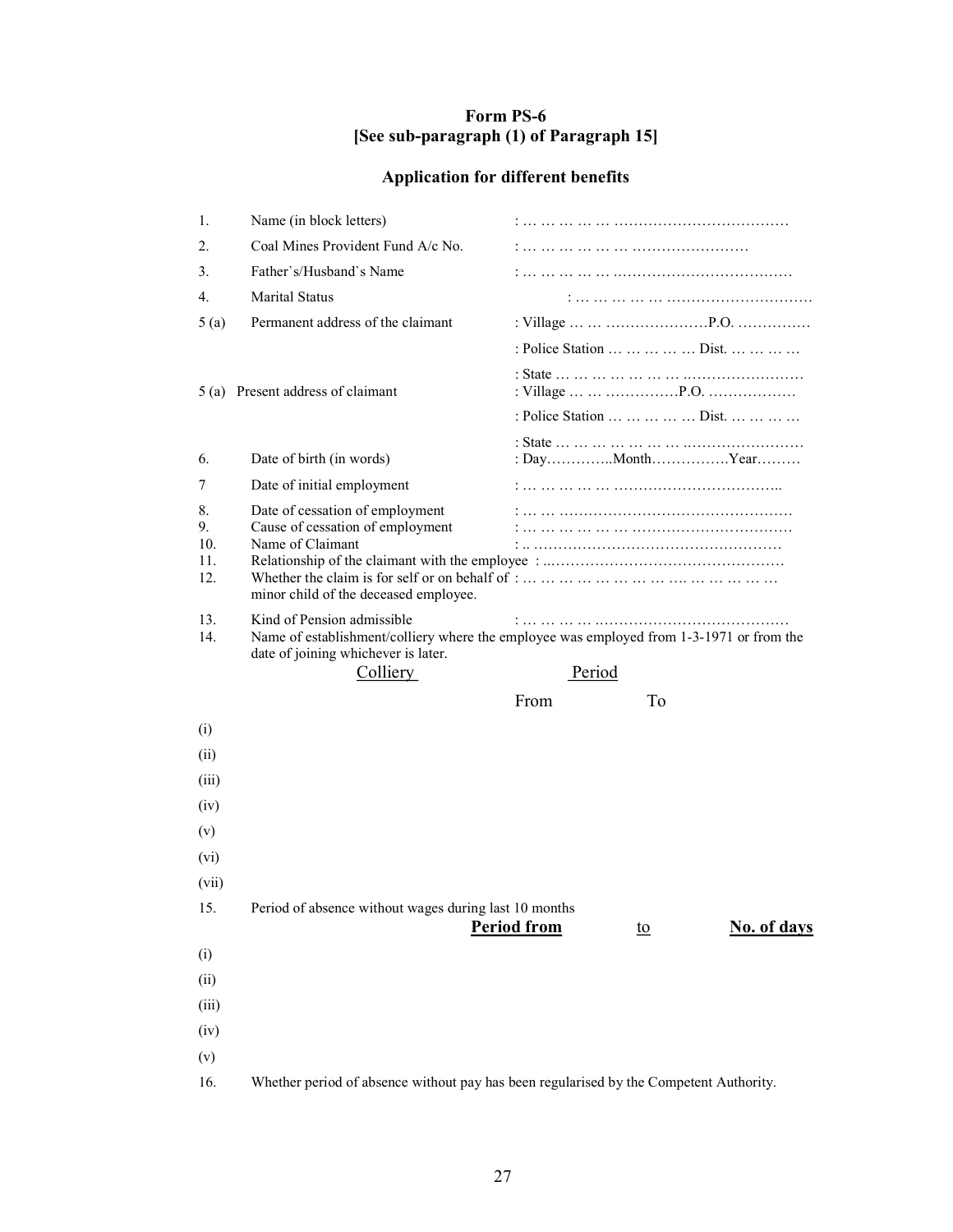# Form PS-6 [See sub-paragraph (1) of Paragraph 15]

# Application for different benefits

| 1.                            | Name (in block letters)                                                                                                          |                                                                                                    |
|-------------------------------|----------------------------------------------------------------------------------------------------------------------------------|----------------------------------------------------------------------------------------------------|
| 2.                            | Coal Mines Provident Fund A/c No.                                                                                                |                                                                                                    |
| 3.                            | Father's/Husband's Name                                                                                                          |                                                                                                    |
| 4.                            | Marital Status                                                                                                                   |                                                                                                    |
| 5(a)                          | Permanent address of the claimant                                                                                                |                                                                                                    |
|                               |                                                                                                                                  | : Police Station     Dist.                                                                         |
|                               | 5 (a) Present address of claimant                                                                                                |                                                                                                    |
|                               |                                                                                                                                  | : Police Station     Dist.                                                                         |
| 6.                            | Date of birth (in words)                                                                                                         |                                                                                                    |
| 7                             | Date of initial employment                                                                                                       |                                                                                                    |
| 8.<br>9.<br>10.<br>11.<br>12. | Date of cessation of employment<br>Cause of cessation of employment<br>Name of Claimant<br>minor child of the deceased employee. |                                                                                                    |
| 13.<br>14.                    | Kind of Pension admissible<br>date of joining whichever is later.<br><b>Colliery</b>                                             | Name of establishment/colliery where the employee was employed from 1-3-1971 or from the<br>Period |
|                               |                                                                                                                                  |                                                                                                    |
|                               |                                                                                                                                  |                                                                                                    |
|                               |                                                                                                                                  | From<br>To                                                                                         |
| (i)                           |                                                                                                                                  |                                                                                                    |
| (ii)                          |                                                                                                                                  |                                                                                                    |
| (iii)                         |                                                                                                                                  |                                                                                                    |
| (iv)                          |                                                                                                                                  |                                                                                                    |
| (v)                           |                                                                                                                                  |                                                                                                    |
| (vi)                          |                                                                                                                                  |                                                                                                    |
| (vii)<br>15.                  | Period of absence without wages during last 10 months                                                                            |                                                                                                    |
|                               |                                                                                                                                  | No. of days<br><b>Period from</b><br>$\underline{\mathrm{to}}$                                     |
| (i)                           |                                                                                                                                  |                                                                                                    |
| (ii)                          |                                                                                                                                  |                                                                                                    |
| (iii)                         |                                                                                                                                  |                                                                                                    |
| (iv)                          |                                                                                                                                  |                                                                                                    |
| (v)<br>16.                    |                                                                                                                                  | Whether period of absence without pay has been regularised by the Competent Authority.             |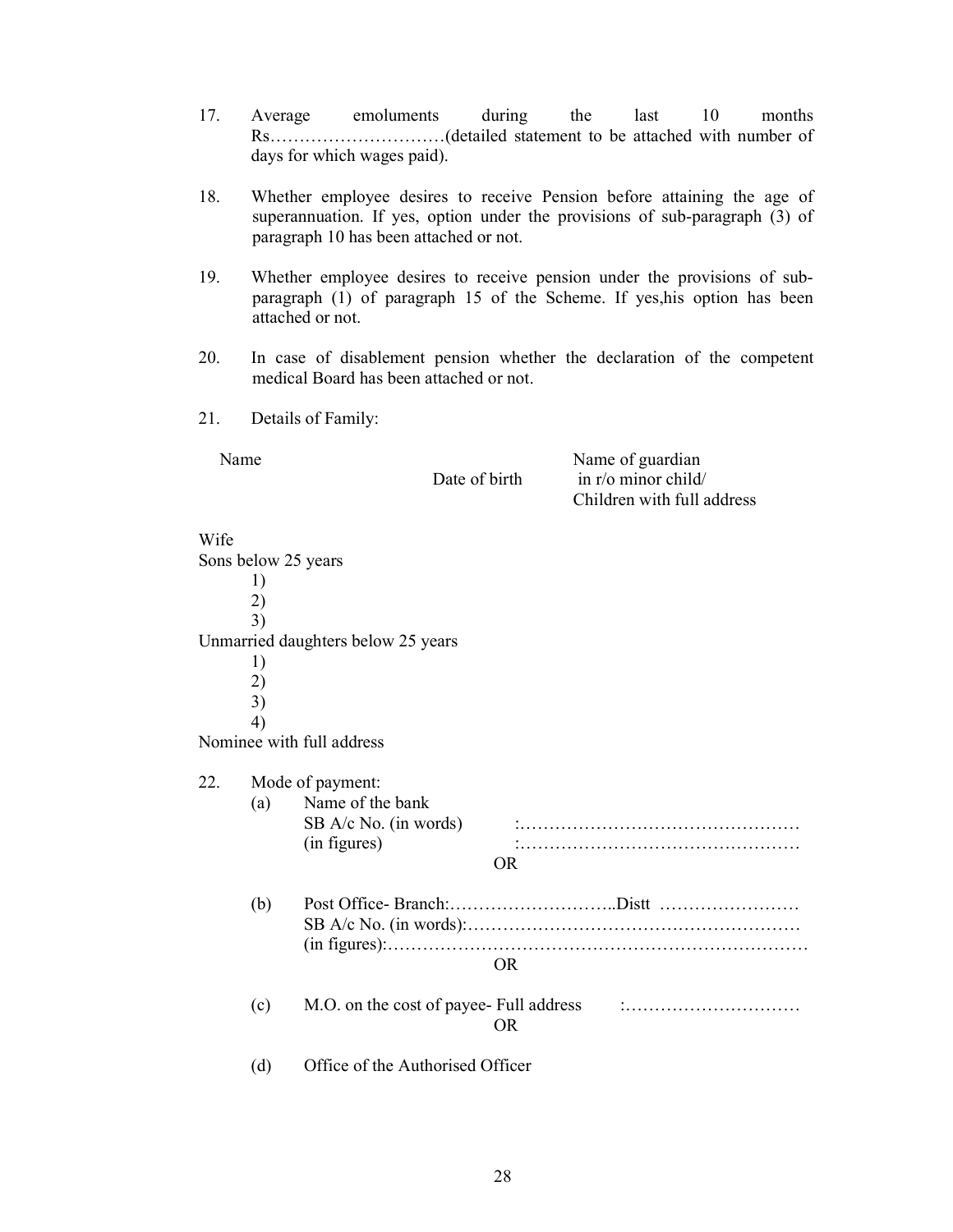- 17. Average emoluments during the last 10 months Rs…………………………(detailed statement to be attached with number of days for which wages paid).
- 18. Whether employee desires to receive Pension before attaining the age of superannuation. If yes, option under the provisions of sub-paragraph (3) of paragraph 10 has been attached or not.
- 19. Whether employee desires to receive pension under the provisions of subparagraph (1) of paragraph 15 of the Scheme. If yes,his option has been attached or not.
- 20. In case of disablement pension whether the declaration of the competent medical Board has been attached or not.
- 21. Details of Family:

Name

Date of birth

Name of guardian in r/o minor child/ Children with full address

#### Wife

Sons below 25 years 1) 2) 3) Unmarried daughters below 25 years 1) 2) 3) 4) Nominee with full address 22. Mode of payment: (a) Name of the bank SB A/c No. (in words) :…………………………………………  $(in figures)$   $\ldots$   $\ldots$   $\ldots$   $\ldots$   $\ldots$   $\ldots$   $\ldots$   $\ldots$   $\ldots$   $\ldots$   $\ldots$   $\ldots$   $\ldots$   $\ldots$   $\ldots$   $\ldots$   $\ldots$   $\ldots$   $\ldots$   $\ldots$   $\ldots$   $\ldots$   $\ldots$   $\ldots$   $\ldots$   $\ldots$   $\ldots$   $\ldots$   $\ldots$   $\ldots$   $\ldots$   $\ldots$   $\ldots$   $\ldots$   $\ldots$   $\ldots$ OR (b) Post Office- Branch:………………………..Distt …………………… SB A/c No. (in words):………………………………………………… (in figures):……………………………………………………………… OR (c)  $M.O.$  on the cost of payee- Full address  $\ldots$   $\ldots$   $\ldots$   $\ldots$   $\ldots$   $\ldots$ OR (d) Office of the Authorised Officer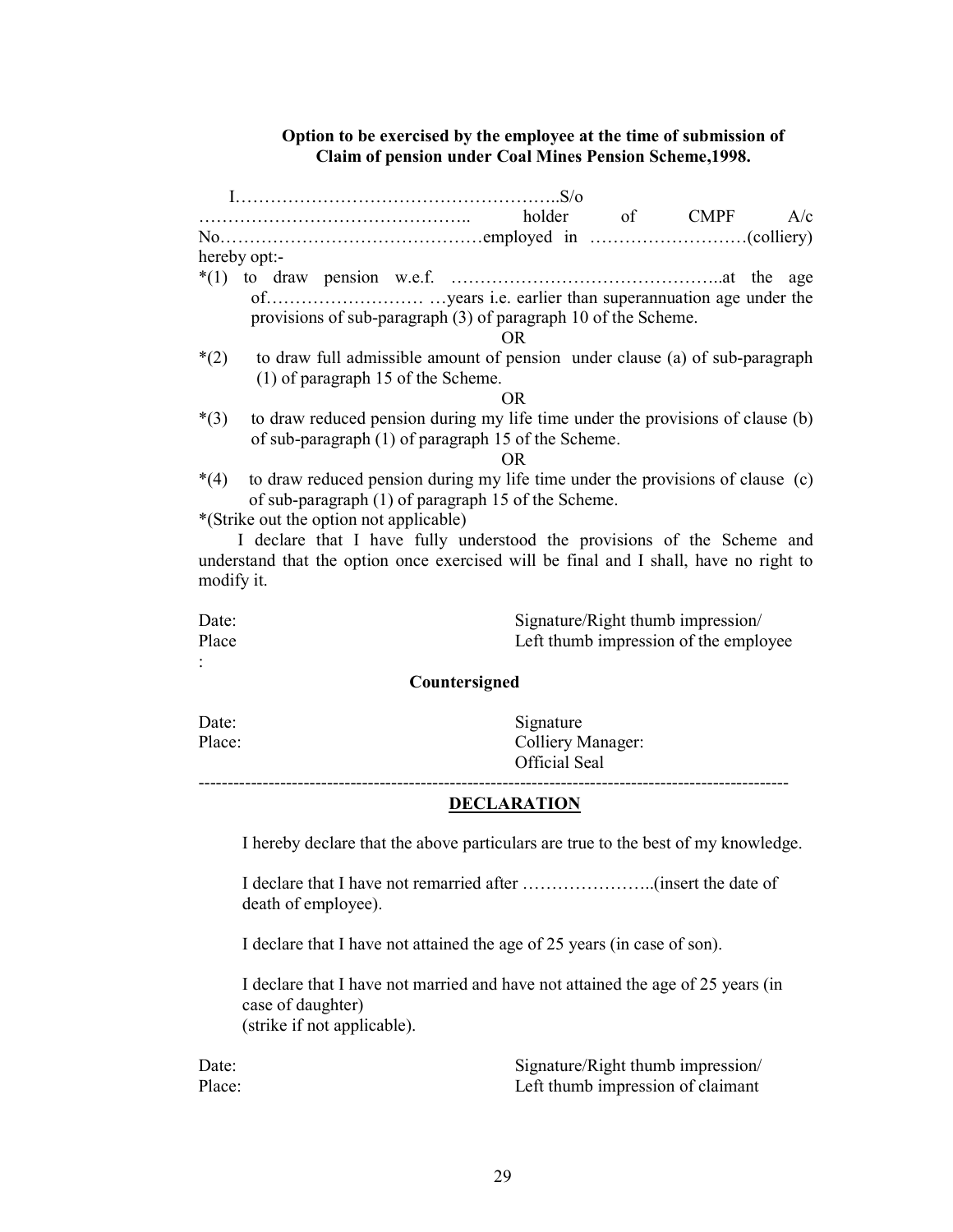## Option to be exercised by the employee at the time of submission of Claim of pension under Coal Mines Pension Scheme,1998.

|        | holder<br>of CMPF<br>A/c                                                       |
|--------|--------------------------------------------------------------------------------|
|        |                                                                                |
|        | hereby opt:-                                                                   |
|        |                                                                                |
|        |                                                                                |
|        | provisions of sub-paragraph (3) of paragraph 10 of the Scheme.                 |
|        | OR.                                                                            |
| $*(2)$ | to draw full admissible amount of pension under clause (a) of sub-paragraph    |
|        | $(1)$ of paragraph 15 of the Scheme.                                           |
|        | OR.                                                                            |
| $*(3)$ | to draw reduced pension during my life time under the provisions of clause (b) |
|        | of sub-paragraph (1) of paragraph 15 of the Scheme.                            |
|        | OR.                                                                            |
| $*(4)$ | to draw reduced pension during my life time under the provisions of clause (c) |
|        | of sub-paragraph (1) of paragraph 15 of the Scheme.                            |

\*(Strike out the option not applicable)

 I declare that I have fully understood the provisions of the Scheme and understand that the option once exercised will be final and I shall, have no right to modify it.

Date: Signature/Right thumb impression/ Place Left thumb impression of the employee :

#### Countersigned

Date: Signature Place: Colliery Manager: Official Seal

-----------------------------------------------------------------------------------------------------

## **DECLARATION**

I hereby declare that the above particulars are true to the best of my knowledge.

I declare that I have not remarried after …………………..(insert the date of death of employee).

I declare that I have not attained the age of 25 years (in case of son).

I declare that I have not married and have not attained the age of 25 years (in case of daughter)

(strike if not applicable).

Date: Signature/Right thumb impression/ Place: Left thumb impression of claimant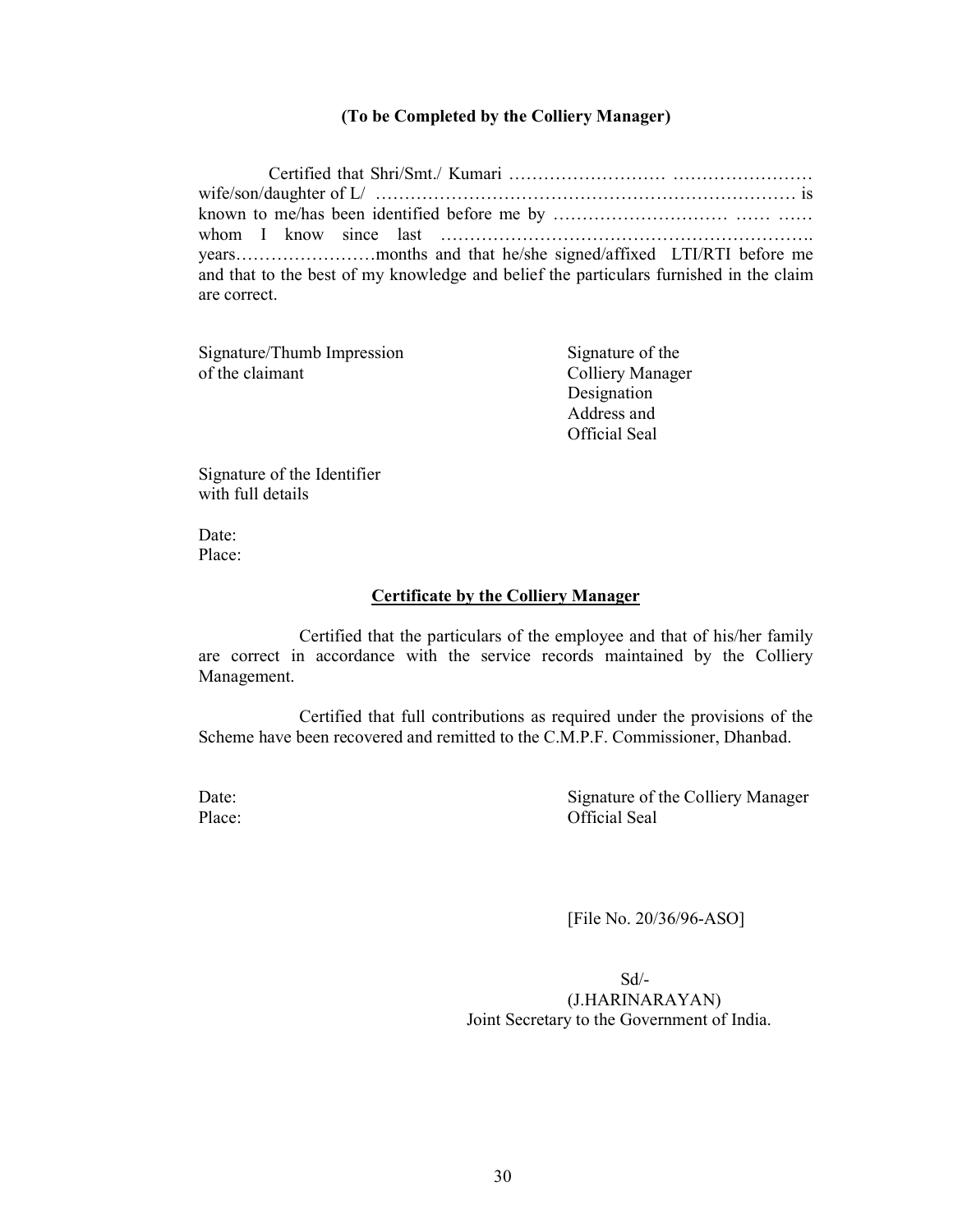## (To be Completed by the Colliery Manager)

 Certified that Shri/Smt./ Kumari ……………………… …………………… wife/son/daughter of L/ ……………………………………………………………… is known to me/has been identified before me by ………………………… …… …… whom I know since last ………………………………………………………. years……………………months and that he/she signed/affixed LTI/RTI before me and that to the best of my knowledge and belief the particulars furnished in the claim are correct.

| Signature/Thumb Impression | Signature of the     |
|----------------------------|----------------------|
| of the claimant            | Colliery Manager     |
|                            | Designation          |
|                            | Address and          |
|                            | <b>Official Seal</b> |

Signature of the Identifier with full details

Date: Place:

#### Certificate by the Colliery Manager

 Certified that the particulars of the employee and that of his/her family are correct in accordance with the service records maintained by the Colliery Management.

 Certified that full contributions as required under the provisions of the Scheme have been recovered and remitted to the C.M.P.F. Commissioner, Dhanbad.

Date: Signature of the Colliery Manager Place: Official Seal

[File No. 20/36/96-ASO]

 Sd/- (J.HARINARAYAN) Joint Secretary to the Government of India.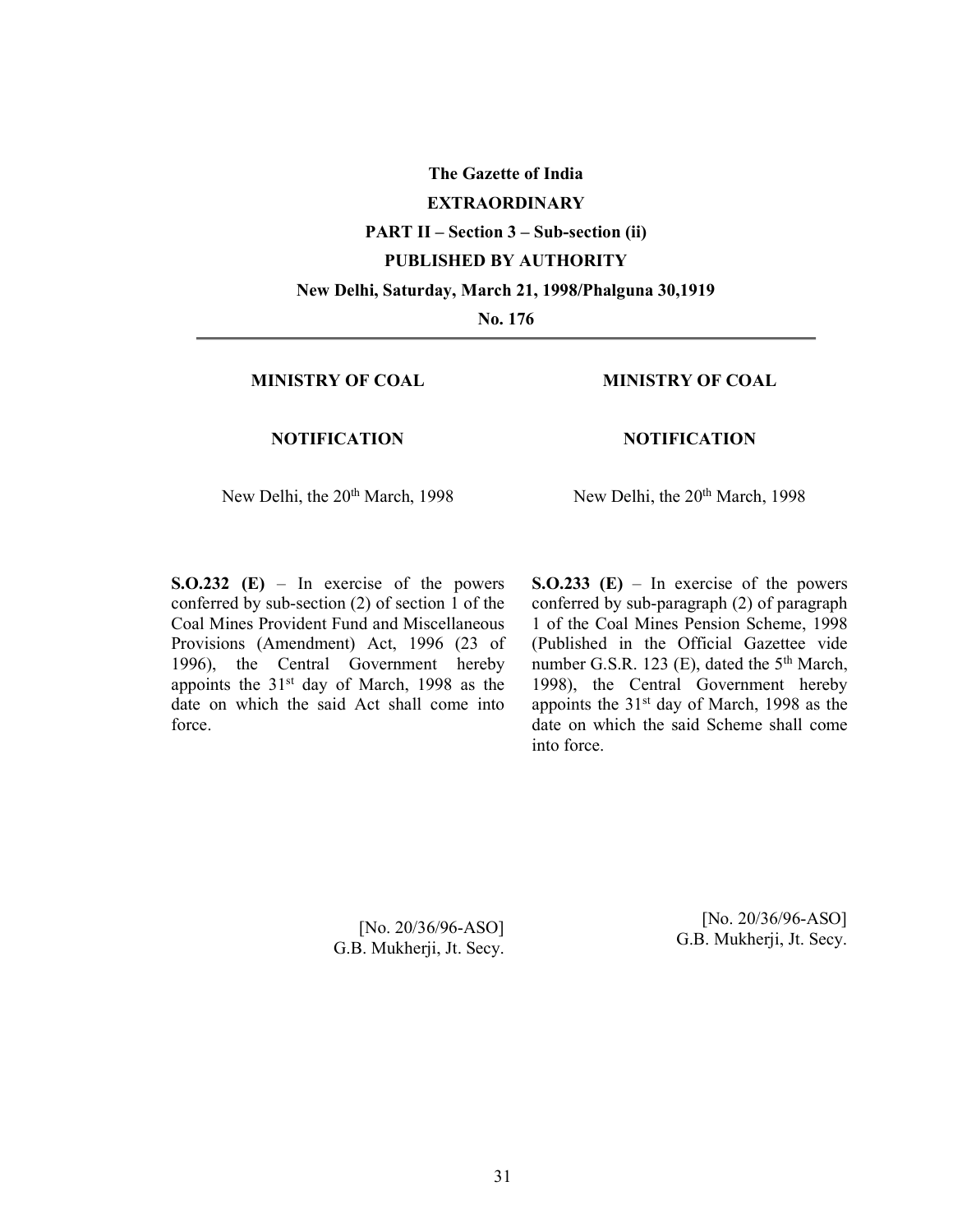The Gazette of India EXTRAORDINARY PART II – Section 3 – Sub-section (ii) PUBLISHED BY AUTHORITY New Delhi, Saturday, March 21, 1998/Phalguna 30,1919 No. 176

### MINISTRY OF COAL

## MINISTRY OF COAL

#### **NOTIFICATION**

#### NOTIFICATION

New Delhi, the 20<sup>th</sup> March, 1998

New Delhi, the 20<sup>th</sup> March, 1998

 $S. O.232$  (E) – In exercise of the powers conferred by sub-section (2) of section 1 of the Coal Mines Provident Fund and Miscellaneous Provisions (Amendment) Act, 1996 (23 of 1996), the Central Government hereby appoints the 31<sup>st</sup> day of March, 1998 as the date on which the said Act shall come into force.

 $S. O.233$  (E) – In exercise of the powers conferred by sub-paragraph (2) of paragraph 1 of the Coal Mines Pension Scheme, 1998 (Published in the Official Gazettee vide number G.S.R. 123 (E), dated the  $5<sup>th</sup>$  March, 1998), the Central Government hereby appoints the 31st day of March, 1998 as the date on which the said Scheme shall come into force.

[No. 20/36/96-ASO] G.B. Mukherji, Jt. Secy.

[No. 20/36/96-ASO] G.B. Mukherji, Jt. Secy.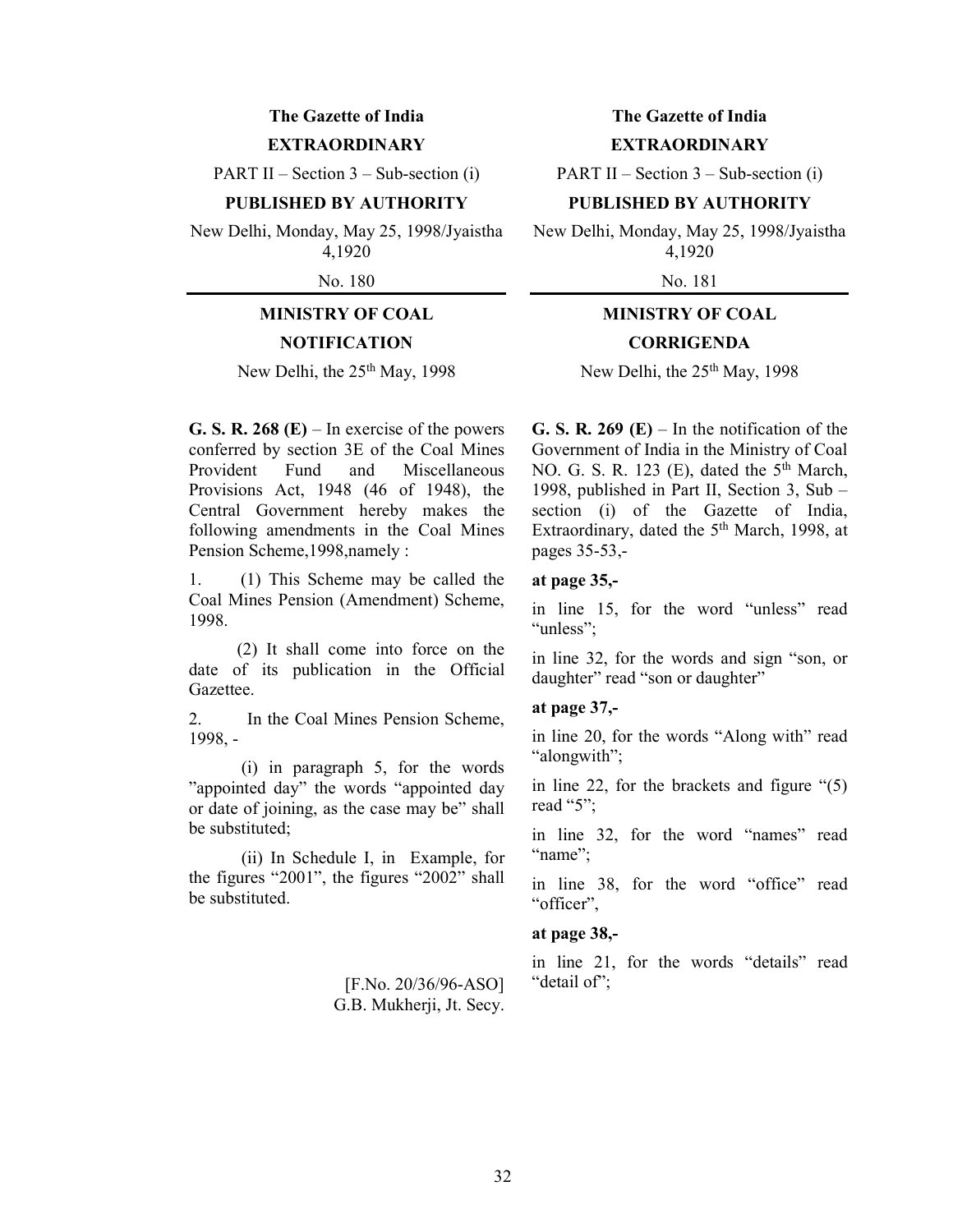## The Gazette of India **EXTRAORDINARY**

PART II – Section  $3$  – Sub-section (i)

#### PUBLISHED BY AUTHORITY

New Delhi, Monday, May 25, 1998/Jyaistha 4,1920

No. 180

# MINISTRY OF COAL

# **NOTIFICATION**

New Delhi, the 25<sup>th</sup> May, 1998

G. S. R. 268 (E) – In exercise of the powers conferred by section 3E of the Coal Mines Provident Fund and Miscellaneous Provisions Act, 1948 (46 of 1948), the Central Government hereby makes the following amendments in the Coal Mines Pension Scheme,1998,namely :

1. (1) This Scheme may be called the Coal Mines Pension (Amendment) Scheme, 1998.

 (2) It shall come into force on the date of its publication in the Official Gazettee.

2. In the Coal Mines Pension Scheme, 1998, -

 (i) in paragraph 5, for the words "appointed day" the words "appointed day or date of joining, as the case may be" shall be substituted;

 (ii) In Schedule I, in Example, for the figures "2001", the figures "2002" shall be substituted.

> [F.No. 20/36/96-ASO] G.B. Mukherji, Jt. Secy.

## The Gazette of India **EXTRAORDINARY**

PART II – Section  $3$  – Sub-section (i)

## PUBLISHED BY AUTHORITY

New Delhi, Monday, May 25, 1998/Jyaistha 4,1920

No. 181

# MINISTRY OF COAL **CORRIGENDA**

New Delhi, the 25<sup>th</sup> May, 1998

G. S. R. 269 (E) – In the notification of the Government of India in the Ministry of Coal NO. G. S. R. 123 (E), dated the  $5<sup>th</sup>$  March, 1998, published in Part II, Section 3, Sub – section (i) of the Gazette of India, Extraordinary, dated the 5<sup>th</sup> March, 1998, at pages 35-53,-

#### at page 35,-

in line 15, for the word "unless" read "unless":

in line 32, for the words and sign "son, or daughter" read "son or daughter"

## at page 37,-

in line 20, for the words "Along with" read "alongwith";

in line 22, for the brackets and figure "(5) read "5";

in line 32, for the word "names" read "name";

in line 38, for the word "office" read "officer",

## at page 38,-

in line 21, for the words "details" read "detail of";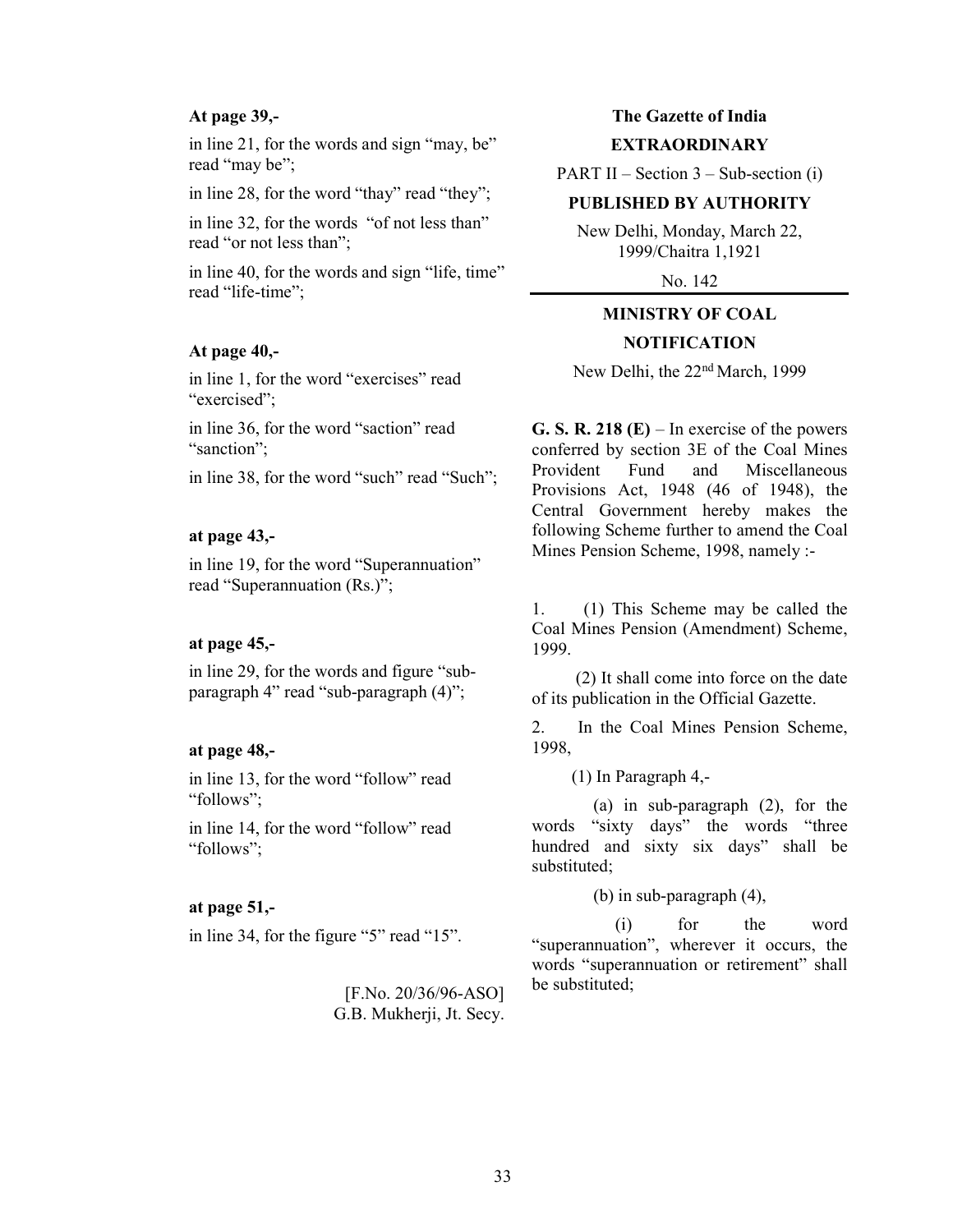#### At page 39,-

in line 21, for the words and sign "may, be" read "may be";

in line 28, for the word "thay" read "they";

in line 32, for the words "of not less than" read "or not less than";

in line 40, for the words and sign "life, time" read "life-time";

## At page 40,-

in line 1, for the word "exercises" read "exercised";

in line 36, for the word "saction" read "sanction":

in line 38, for the word "such" read "Such";

## at page 43,-

in line 19, for the word "Superannuation" read "Superannuation (Rs.)";

#### at page 45,-

in line 29, for the words and figure "subparagraph 4" read "sub-paragraph (4)";

#### at page 48,-

in line 13, for the word "follow" read "follows";

in line 14, for the word "follow" read "follows";

#### at page 51,-

in line 34, for the figure "5" read "15".

[F.No. 20/36/96-ASO] G.B. Mukherji, Jt. Secy.

#### The Gazette of India

#### **EXTRAORDINARY**

PART II – Section  $3$  – Sub-section (i)

#### PUBLISHED BY AUTHORITY

New Delhi, Monday, March 22, 1999/Chaitra 1,1921

No. 142

# MINISTRY OF COAL

## **NOTIFICATION**

New Delhi, the 22nd March, 1999

G. S. R. 218  $(E)$  – In exercise of the powers conferred by section 3E of the Coal Mines Provident Fund and Miscellaneous Provisions Act, 1948 (46 of 1948), the Central Government hereby makes the following Scheme further to amend the Coal Mines Pension Scheme, 1998, namely :-

1. (1) This Scheme may be called the Coal Mines Pension (Amendment) Scheme, 1999.

 (2) It shall come into force on the date of its publication in the Official Gazette.

2. In the Coal Mines Pension Scheme, 1998,

(1) In Paragraph 4,-

 (a) in sub-paragraph (2), for the words "sixty days" the words "three hundred and sixty six days" shall be substituted;

(b) in sub-paragraph (4),

 (i) for the word "superannuation", wherever it occurs, the words "superannuation or retirement" shall be substituted;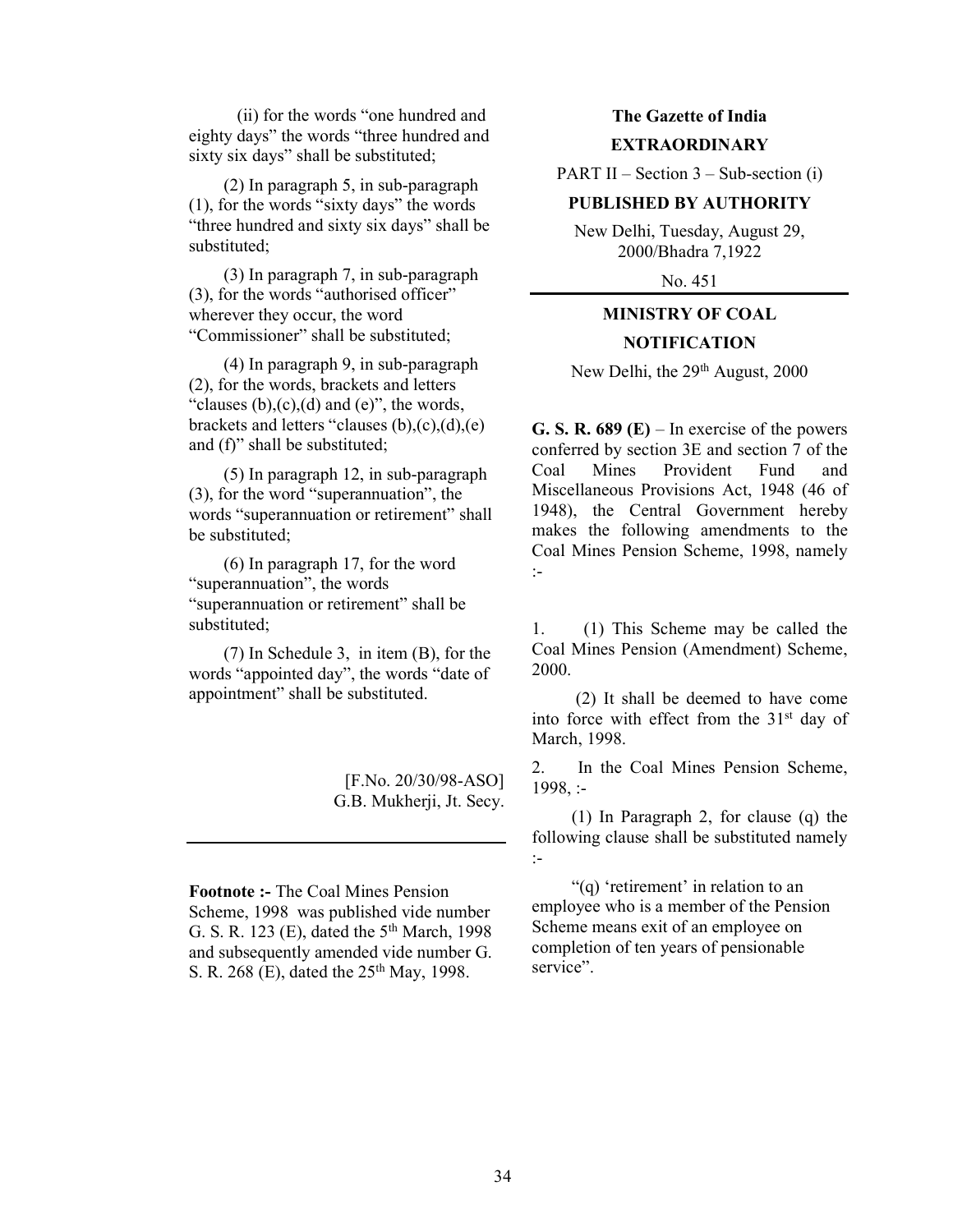(ii) for the words "one hundred and eighty days" the words "three hundred and sixty six days" shall be substituted;

 (2) In paragraph 5, in sub-paragraph (1), for the words "sixty days" the words "three hundred and sixty six days" shall be substituted;

 (3) In paragraph 7, in sub-paragraph (3), for the words "authorised officer" wherever they occur, the word "Commissioner" shall be substituted;

 (4) In paragraph 9, in sub-paragraph (2), for the words, brackets and letters "clauses  $(b)$ , $(c)$ , $(d)$  and  $(e)$ ", the words, brackets and letters "clauses (b),(c),(d),(e) and (f)" shall be substituted;

 (5) In paragraph 12, in sub-paragraph (3), for the word "superannuation", the words "superannuation or retirement" shall be substituted;

 (6) In paragraph 17, for the word "superannuation", the words "superannuation or retirement" shall be substituted;

 (7) In Schedule 3, in item (B), for the words "appointed day", the words "date of appointment" shall be substituted.

> [F.No. 20/30/98-ASO] G.B. Mukherji, Jt. Secy.

Footnote :- The Coal Mines Pension Scheme, 1998 was published vide number G. S. R. 123 (E), dated the  $5<sup>th</sup>$  March, 1998 and subsequently amended vide number G. S. R. 268 (E), dated the 25<sup>th</sup> May, 1998.

# The Gazette of India EXTRAORDINARY

PART II – Section  $3$  – Sub-section (i)

## PUBLISHED BY AUTHORITY

New Delhi, Tuesday, August 29, 2000/Bhadra 7,1922

No. 451

# MINISTRY OF COAL **NOTIFICATION**

New Delhi, the 29<sup>th</sup> August, 2000

G. S. R.  $689$  (E) – In exercise of the powers conferred by section 3E and section 7 of the Coal Mines Provident Fund and Miscellaneous Provisions Act, 1948 (46 of 1948), the Central Government hereby makes the following amendments to the Coal Mines Pension Scheme, 1998, namely :-

1. (1) This Scheme may be called the Coal Mines Pension (Amendment) Scheme, 2000.

 (2) It shall be deemed to have come into force with effect from the 31st day of March, 1998.

2. In the Coal Mines Pension Scheme, 1998, :-

 (1) In Paragraph 2, for clause (q) the following clause shall be substituted namely :-

 "(q) 'retirement' in relation to an employee who is a member of the Pension Scheme means exit of an employee on completion of ten years of pensionable service".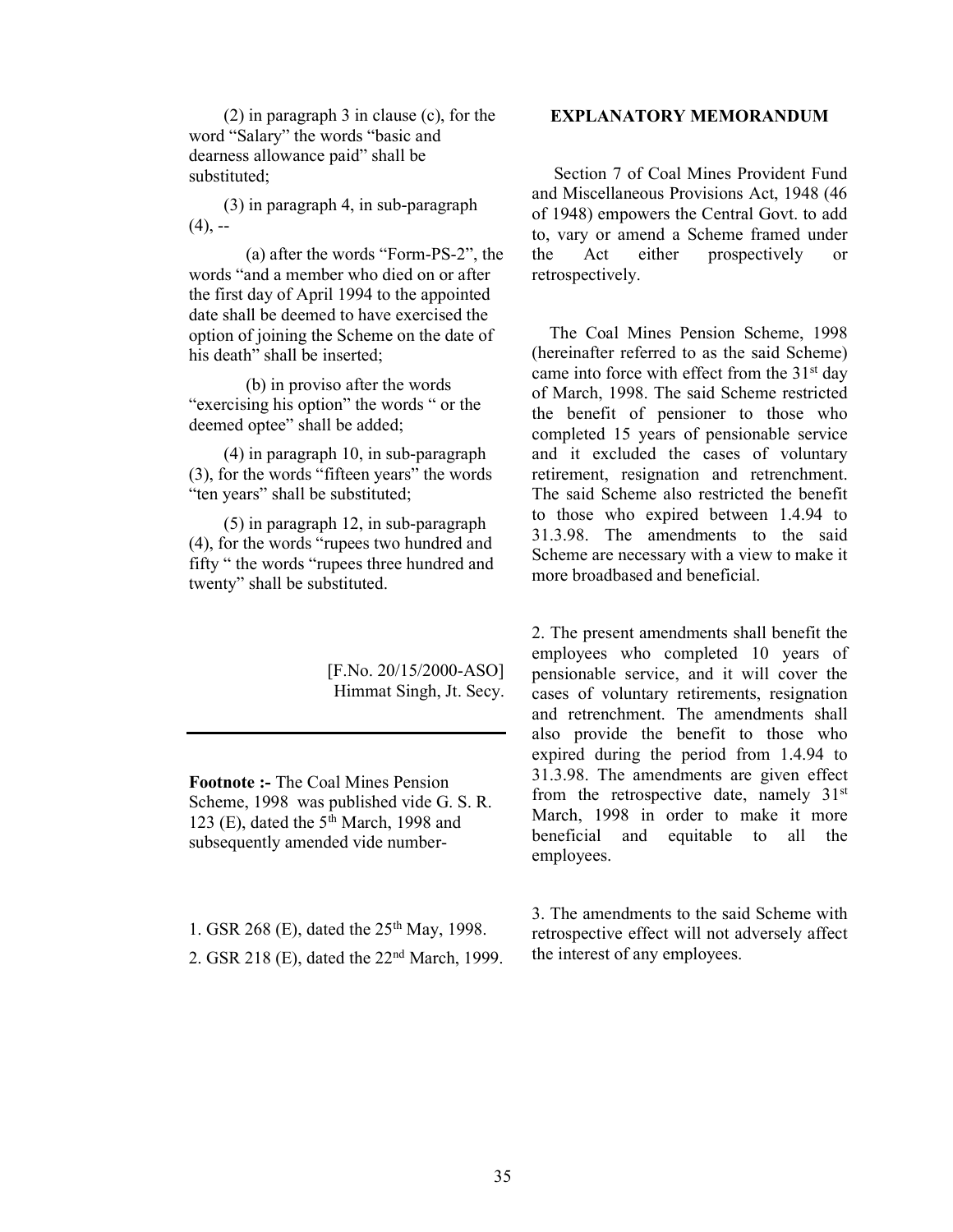(2) in paragraph 3 in clause (c), for the word "Salary" the words "basic and dearness allowance paid" shall be substituted;

 (3) in paragraph 4, in sub-paragraph  $(4)$ , --

 (a) after the words "Form-PS-2", the words "and a member who died on or after the first day of April 1994 to the appointed date shall be deemed to have exercised the option of joining the Scheme on the date of his death" shall be inserted;

 (b) in proviso after the words "exercising his option" the words " or the deemed optee" shall be added;

 (4) in paragraph 10, in sub-paragraph (3), for the words "fifteen years" the words "ten years" shall be substituted;

 (5) in paragraph 12, in sub-paragraph (4), for the words "rupees two hundred and fifty " the words "rupees three hundred and twenty" shall be substituted.

> [F.No. 20/15/2000-ASO] Himmat Singh, Jt. Secy.

Footnote :- The Coal Mines Pension Scheme, 1998 was published vide G. S. R. 123 (E), dated the  $5<sup>th</sup>$  March, 1998 and subsequently amended vide number-

1. GSR 268 (E), dated the  $25<sup>th</sup>$  May, 1998. 2. GSR 218 (E), dated the 22nd March, 1999.

## EXPLANATORY MEMORANDUM

 Section 7 of Coal Mines Provident Fund and Miscellaneous Provisions Act, 1948 (46 of 1948) empowers the Central Govt. to add to, vary or amend a Scheme framed under the Act either prospectively or retrospectively.

 The Coal Mines Pension Scheme, 1998 (hereinafter referred to as the said Scheme) came into force with effect from the  $31<sup>st</sup>$  day of March, 1998. The said Scheme restricted the benefit of pensioner to those who completed 15 years of pensionable service and it excluded the cases of voluntary retirement, resignation and retrenchment. The said Scheme also restricted the benefit to those who expired between 1.4.94 to 31.3.98. The amendments to the said Scheme are necessary with a view to make it more broadbased and beneficial.

2. The present amendments shall benefit the employees who completed 10 years of pensionable service, and it will cover the cases of voluntary retirements, resignation and retrenchment. The amendments shall also provide the benefit to those who expired during the period from 1.4.94 to 31.3.98. The amendments are given effect from the retrospective date, namely 31<sup>st</sup> March, 1998 in order to make it more beneficial and equitable to all the employees.

3. The amendments to the said Scheme with retrospective effect will not adversely affect the interest of any employees.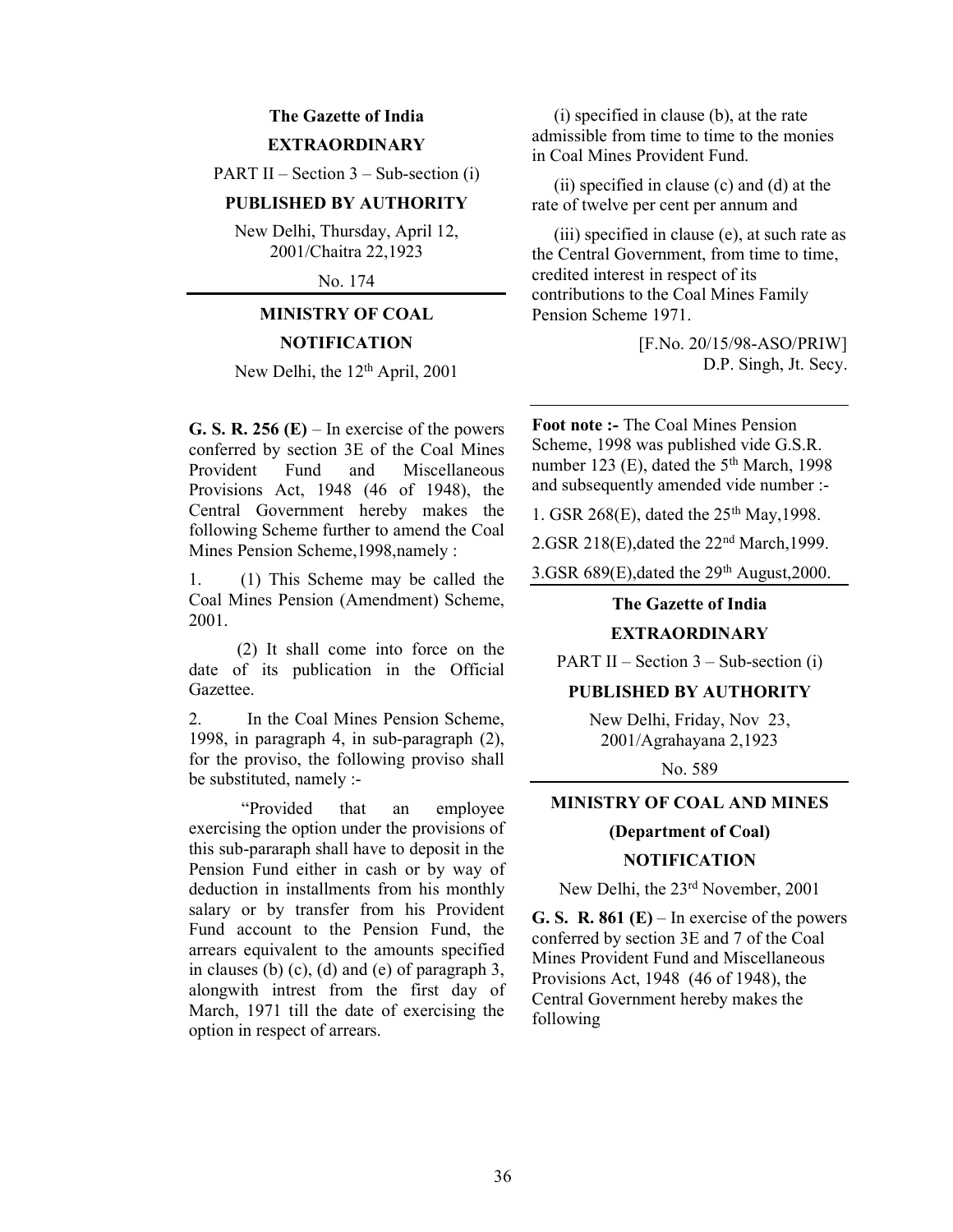## The Gazette of India **EXTRAORDINARY**

PART II – Section  $3$  – Sub-section (i)

## PUBLISHED BY AUTHORITY

New Delhi, Thursday, April 12, 2001/Chaitra 22,1923

No. 174

# MINISTRY OF COAL **NOTIFICATION**

New Delhi, the 12<sup>th</sup> April, 2001

G. S. R. 256  $(E)$  – In exercise of the powers conferred by section 3E of the Coal Mines Provident Fund and Miscellaneous Provisions Act, 1948 (46 of 1948), the Central Government hereby makes the following Scheme further to amend the Coal Mines Pension Scheme,1998,namely :

1. (1) This Scheme may be called the Coal Mines Pension (Amendment) Scheme, 2001.

 (2) It shall come into force on the date of its publication in the Official Gazettee.

2. In the Coal Mines Pension Scheme, 1998, in paragraph 4, in sub-paragraph (2), for the proviso, the following proviso shall be substituted, namely :-

 "Provided that an employee exercising the option under the provisions of this sub-pararaph shall have to deposit in the Pension Fund either in cash or by way of deduction in installments from his monthly salary or by transfer from his Provident Fund account to the Pension Fund, the arrears equivalent to the amounts specified in clauses (b) (c), (d) and (e) of paragraph 3, alongwith intrest from the first day of March, 1971 till the date of exercising the option in respect of arrears.

 (i) specified in clause (b), at the rate admissible from time to time to the monies in Coal Mines Provident Fund.

 (ii) specified in clause (c) and (d) at the rate of twelve per cent per annum and

 (iii) specified in clause (e), at such rate as the Central Government, from time to time, credited interest in respect of its contributions to the Coal Mines Family Pension Scheme 1971.

> [F.No. 20/15/98-ASO/PRIW] D.P. Singh, Jt. Secy.

Foot note :- The Coal Mines Pension Scheme, 1998 was published vide G.S.R. number 123 (E), dated the  $5<sup>th</sup>$  March, 1998 and subsequently amended vide number :-

1. GSR 268(E), dated the 25<sup>th</sup> May, 1998.

2.GSR 218(E),dated the 22nd March,1999.

3.GSR  $689(E)$ , dated the  $29<sup>th</sup>$  August, 2000.

The Gazette of India

## EXTRAORDINARY

PART II – Section 3 – Sub-section (i)

## PUBLISHED BY AUTHORITY

New Delhi, Friday, Nov 23, 2001/Agrahayana 2,1923

No. 589

## MINISTRY OF COAL AND MINES

## (Department of Coal)

## NOTIFICATION

New Delhi, the 23rd November, 2001

G. S. R. 861 (E) – In exercise of the powers conferred by section 3E and 7 of the Coal Mines Provident Fund and Miscellaneous Provisions Act, 1948 (46 of 1948), the Central Government hereby makes the following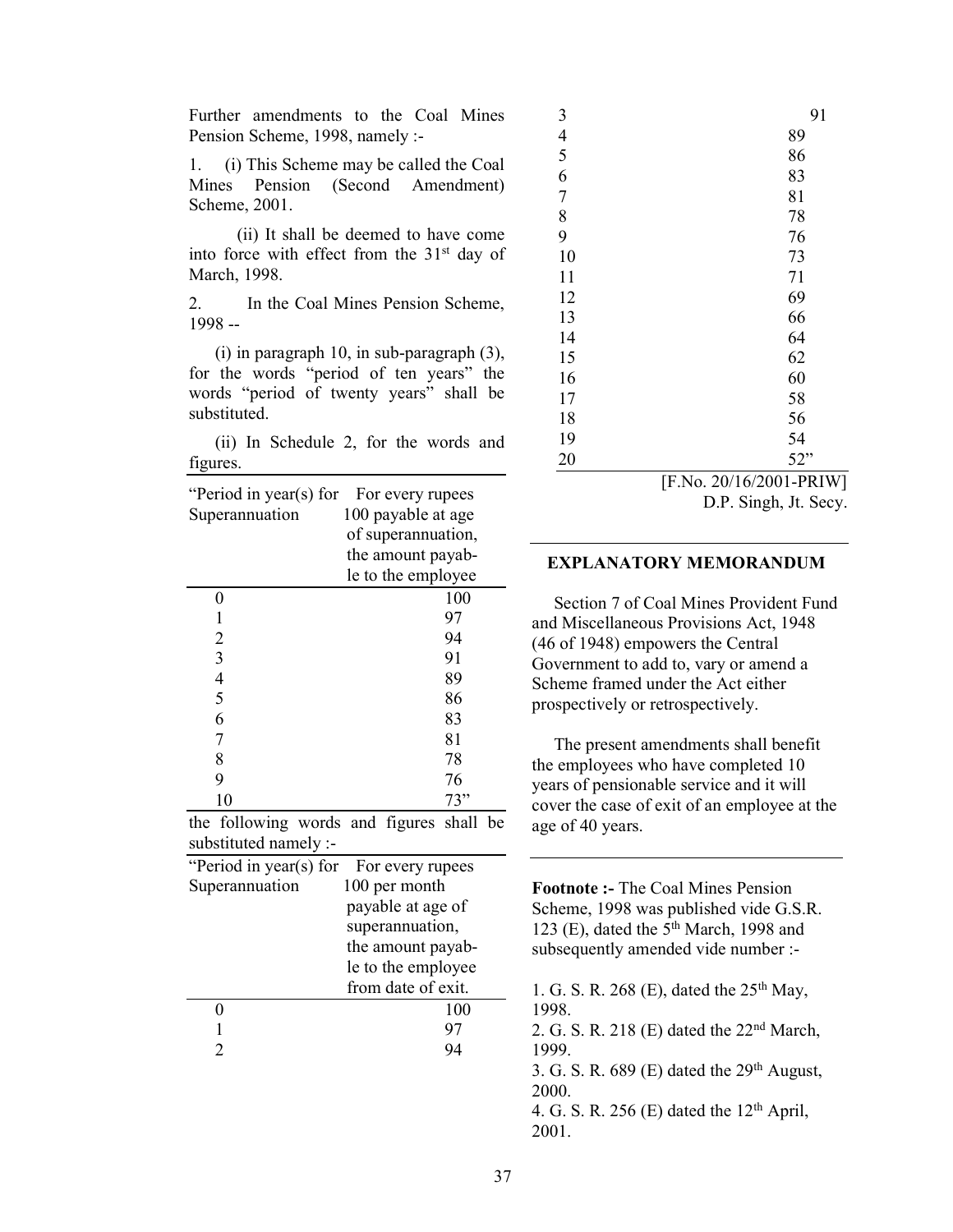Further amendments to the Coal Mines Pension Scheme, 1998, namely :-

1. (i) This Scheme may be called the Coal Mines Pension (Second Amendment) Scheme, 2001.

 (ii) It shall be deemed to have come into force with effect from the 31<sup>st</sup> day of March, 1998.

2. In the Coal Mines Pension Scheme, 1998 --

 (i) in paragraph 10, in sub-paragraph (3), for the words "period of ten years" the words "period of twenty years" shall be substituted.

 (ii) In Schedule 2, for the words and figures.

| "Period in year(s) for | For every rupees   |
|------------------------|--------------------|
| Superannuation         | 100 payable at age |
|                        | of superannuation, |
|                        | the amount payab-  |
|                        | le to the employee |
| 0                      | 100                |
| 1                      | 97                 |
| $\overline{2}$         | 94                 |
| $\overline{3}$         | 91                 |
| $\overline{4}$         | 89                 |
| 5                      | 86                 |
| 6                      | 83                 |
| 7                      | 81                 |
| 8                      | 78                 |
| 9                      | 76                 |
| 10                     | 73"                |
|                        |                    |

the following words and figures shall be substituted namely :-

| "Period in year(s) for For every rupees |                    |
|-----------------------------------------|--------------------|
| Superannuation                          | 100 per month      |
|                                         | payable at age of  |
|                                         | superannuation,    |
|                                         | the amount payab-  |
|                                         | le to the employee |
|                                         | from date of exit. |
|                                         | 100                |
|                                         | 97                 |
|                                         |                    |
|                                         |                    |

| 3                                     | 91  |
|---------------------------------------|-----|
| $rac{4}{5}$                           | 89  |
|                                       | 86  |
| 6                                     | 83  |
| $\overline{7}$                        | 81  |
| $\begin{array}{c} 8 \\ 9 \end{array}$ | 78  |
|                                       | 76  |
| 10                                    | 73  |
| 11                                    | 71  |
| 12                                    | 69  |
| 13                                    | 66  |
| 14                                    | 64  |
| 15                                    | 62  |
| 16                                    | 60  |
| 17                                    | 58  |
| 18                                    | 56  |
| 19                                    | 54  |
| 20                                    | 52" |

[F.No. 20/16/2001-PRIW]

D.P. Singh, Jt. Secy.

## EXPLANATORY MEMORANDUM

 Section 7 of Coal Mines Provident Fund and Miscellaneous Provisions Act, 1948 (46 of 1948) empowers the Central Government to add to, vary or amend a Scheme framed under the Act either prospectively or retrospectively.

 The present amendments shall benefit the employees who have completed 10 years of pensionable service and it will cover the case of exit of an employee at the age of 40 years.

Footnote :- The Coal Mines Pension Scheme, 1998 was published vide G.S.R. 123 (E), dated the  $5<sup>th</sup>$  March, 1998 and subsequently amended vide number :-

1. G. S. R. 268 (E), dated the  $25<sup>th</sup>$  May, 1998.

2. G. S. R. 218 (E) dated the 22nd March, 1999.

3. G. S. R.  $689$  (E) dated the  $29<sup>th</sup>$  August, 2000.

4. G. S. R. 256 (E) dated the  $12<sup>th</sup>$  April, 2001.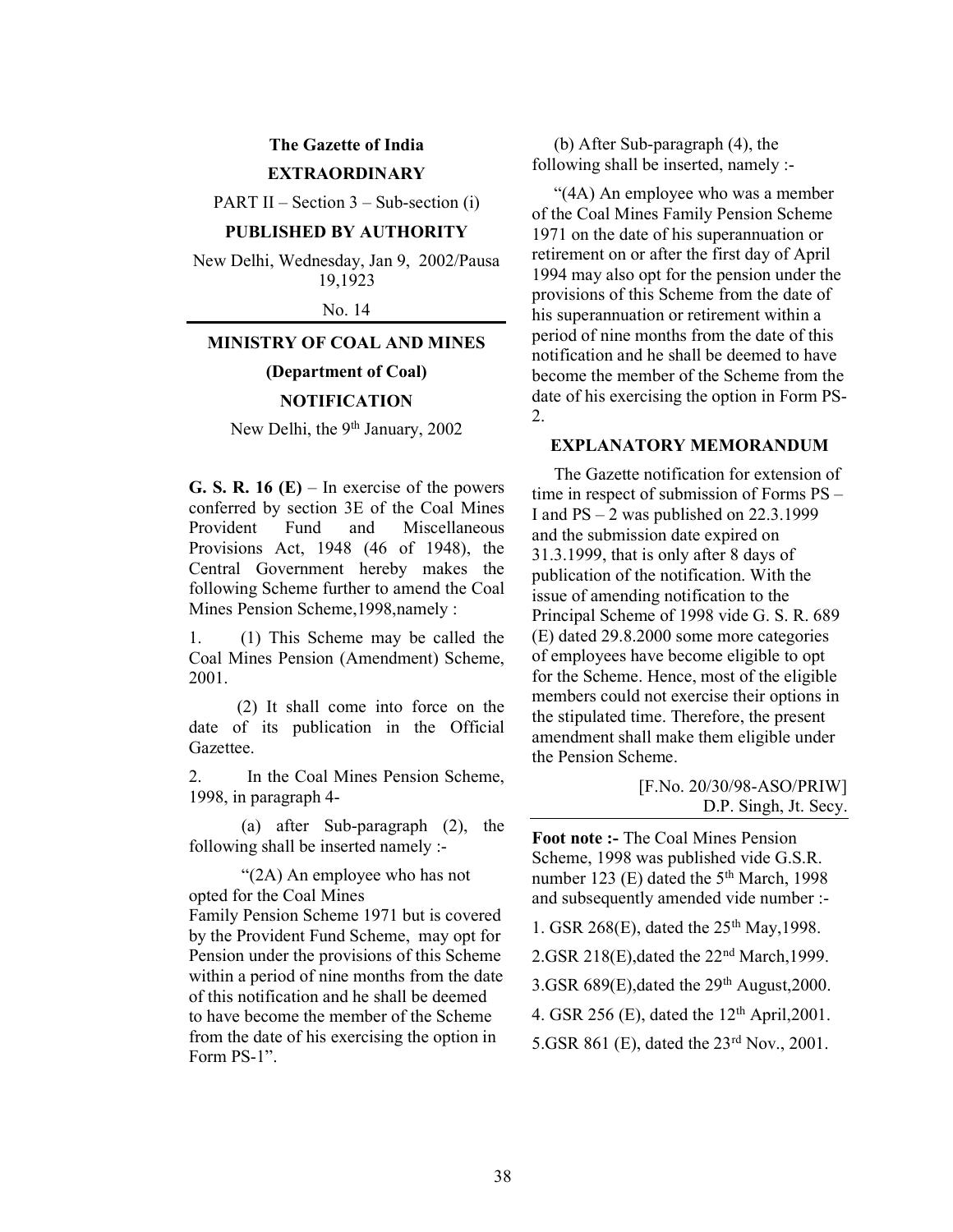# The Gazette of India EXTRAORDINARY

PART II – Section  $3$  – Sub-section (i)

## PUBLISHED BY AUTHORITY

New Delhi, Wednesday, Jan 9, 2002/Pausa 19,1923

No. 14

## MINISTRY OF COAL AND MINES

## (Department of Coal)

## NOTIFICATION

New Delhi, the 9<sup>th</sup> January, 2002

G. S. R. 16  $(E)$  – In exercise of the powers conferred by section 3E of the Coal Mines Provident Fund and Miscellaneous Provisions Act, 1948 (46 of 1948), the Central Government hereby makes the following Scheme further to amend the Coal Mines Pension Scheme,1998,namely :

1. (1) This Scheme may be called the Coal Mines Pension (Amendment) Scheme, 2001.

 (2) It shall come into force on the date of its publication in the Official Gazettee.

2. In the Coal Mines Pension Scheme, 1998, in paragraph 4-

 (a) after Sub-paragraph (2), the following shall be inserted namely :-

 "(2A) An employee who has not opted for the Coal Mines Family Pension Scheme 1971 but is covered by the Provident Fund Scheme, may opt for Pension under the provisions of this Scheme within a period of nine months from the date of this notification and he shall be deemed to have become the member of the Scheme from the date of his exercising the option in Form PS-1".

 (b) After Sub-paragraph (4), the following shall be inserted, namely :-

 "(4A) An employee who was a member of the Coal Mines Family Pension Scheme 1971 on the date of his superannuation or retirement on or after the first day of April 1994 may also opt for the pension under the provisions of this Scheme from the date of his superannuation or retirement within a period of nine months from the date of this notification and he shall be deemed to have become the member of the Scheme from the date of his exercising the option in Form PS-2.

#### EXPLANATORY MEMORANDUM

 The Gazette notification for extension of time in respect of submission of Forms PS – I and  $PS - 2$  was published on 22.3.1999 and the submission date expired on 31.3.1999, that is only after 8 days of publication of the notification. With the issue of amending notification to the Principal Scheme of 1998 vide G. S. R. 689 (E) dated 29.8.2000 some more categories of employees have become eligible to opt for the Scheme. Hence, most of the eligible members could not exercise their options in the stipulated time. Therefore, the present amendment shall make them eligible under the Pension Scheme.

> [F.No. 20/30/98-ASO/PRIW] D.P. Singh, Jt. Secy.

Foot note :- The Coal Mines Pension Scheme, 1998 was published vide G.S.R. number 123 (E) dated the  $5<sup>th</sup> March$ , 1998 and subsequently amended vide number :-

1. GSR 268(E), dated the  $25<sup>th</sup>$  May, 1998.

2.GSR 218(E),dated the 22nd March,1999.

3.GSR  $689(E)$ , dated the  $29<sup>th</sup>$  August, 2000.

4. GSR 256 (E), dated the  $12<sup>th</sup>$  April, 2001.

5.GSR 861 (E), dated the 23rd Nov., 2001.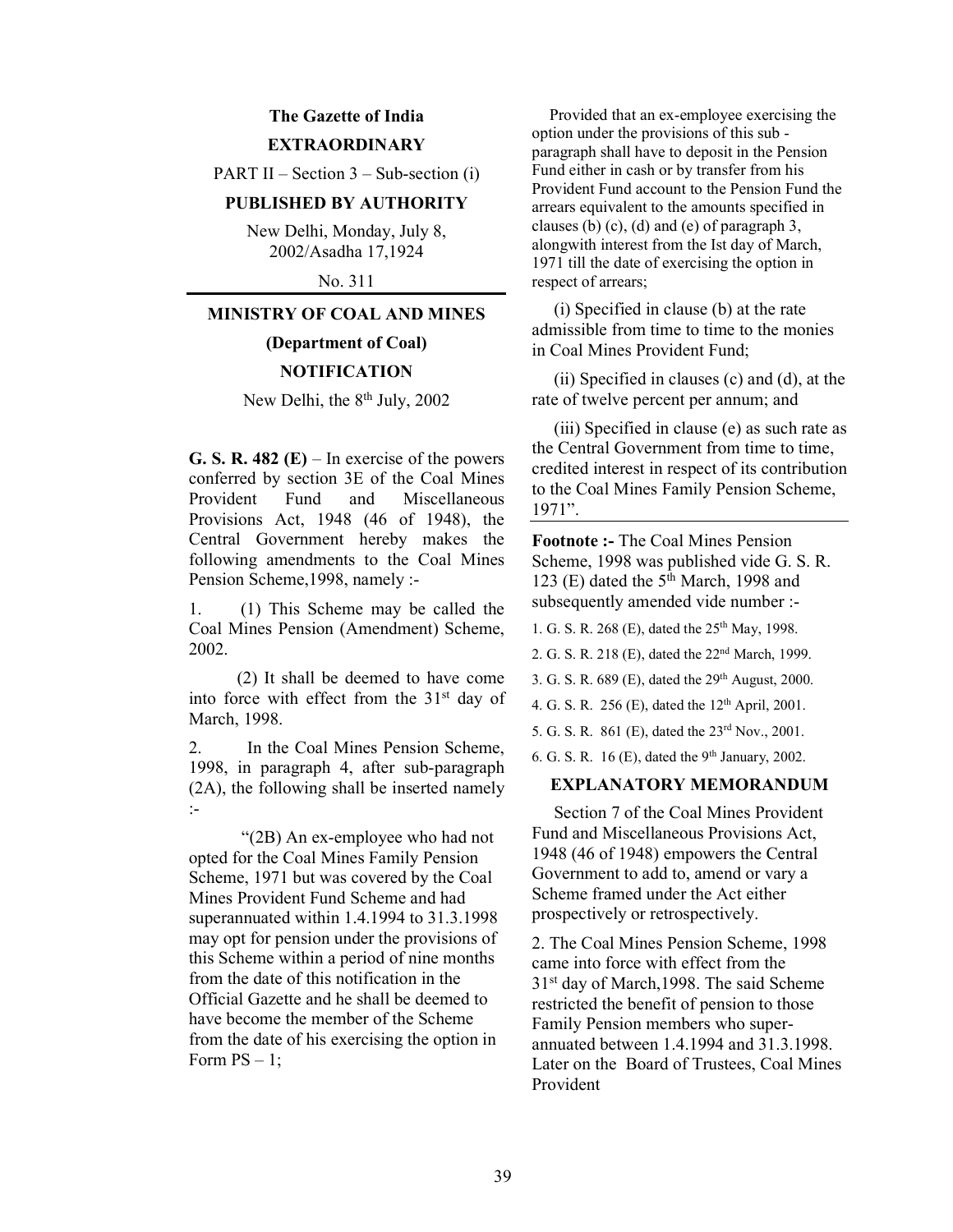# The Gazette of India EXTRAORDINARY

PART II – Section  $3$  – Sub-section (i)

## PUBLISHED BY AUTHORITY

New Delhi, Monday, July 8, 2002/Asadha 17,1924

No. 311

## MINISTRY OF COAL AND MINES

(Department of Coal)

## **NOTIFICATION**

New Delhi, the 8<sup>th</sup> July, 2002

G. S. R. 482 (E) – In exercise of the powers conferred by section 3E of the Coal Mines Provident Fund and Miscellaneous Provisions Act, 1948 (46 of 1948), the Central Government hereby makes the following amendments to the Coal Mines Pension Scheme,1998, namely :-

1. (1) This Scheme may be called the Coal Mines Pension (Amendment) Scheme, 2002.

 (2) It shall be deemed to have come into force with effect from the  $31<sup>st</sup>$  day of March, 1998.

2. In the Coal Mines Pension Scheme, 1998, in paragraph 4, after sub-paragraph (2A), the following shall be inserted namely :-

 "(2B) An ex-employee who had not opted for the Coal Mines Family Pension Scheme, 1971 but was covered by the Coal Mines Provident Fund Scheme and had superannuated within 1.4.1994 to 31.3.1998 may opt for pension under the provisions of this Scheme within a period of nine months from the date of this notification in the Official Gazette and he shall be deemed to have become the member of the Scheme from the date of his exercising the option in Form  $PS - 1$ ;

 Provided that an ex-employee exercising the option under the provisions of this sub paragraph shall have to deposit in the Pension Fund either in cash or by transfer from his Provident Fund account to the Pension Fund the arrears equivalent to the amounts specified in clauses (b) (c), (d) and (e) of paragraph 3, alongwith interest from the Ist day of March, 1971 till the date of exercising the option in respect of arrears;

 (i) Specified in clause (b) at the rate admissible from time to time to the monies in Coal Mines Provident Fund;

 (ii) Specified in clauses (c) and (d), at the rate of twelve percent per annum; and

 (iii) Specified in clause (e) as such rate as the Central Government from time to time, credited interest in respect of its contribution to the Coal Mines Family Pension Scheme, 1971".

Footnote :- The Coal Mines Pension Scheme, 1998 was published vide G. S. R. 123 (E) dated the  $5^{\text{th}}$  March, 1998 and subsequently amended vide number :-

1. G. S. R. 268 (E), dated the 25th May, 1998.

2. G. S. R. 218 (E), dated the 22nd March, 1999.

3. G. S. R. 689 (E), dated the 29th August, 2000.

4. G. S. R. 256 (E), dated the  $12^{th}$  April, 2001.

5. G. S. R. 861 (E), dated the 23rd Nov., 2001.

6. G. S. R.  $16$  (E), dated the 9<sup>th</sup> January, 2002.

## EXPLANATORY MEMORANDUM

 Section 7 of the Coal Mines Provident Fund and Miscellaneous Provisions Act, 1948 (46 of 1948) empowers the Central Government to add to, amend or vary a Scheme framed under the Act either prospectively or retrospectively.

2. The Coal Mines Pension Scheme, 1998 came into force with effect from the 31st day of March,1998. The said Scheme restricted the benefit of pension to those Family Pension members who superannuated between 1.4.1994 and 31.3.1998. Later on the Board of Trustees, Coal Mines Provident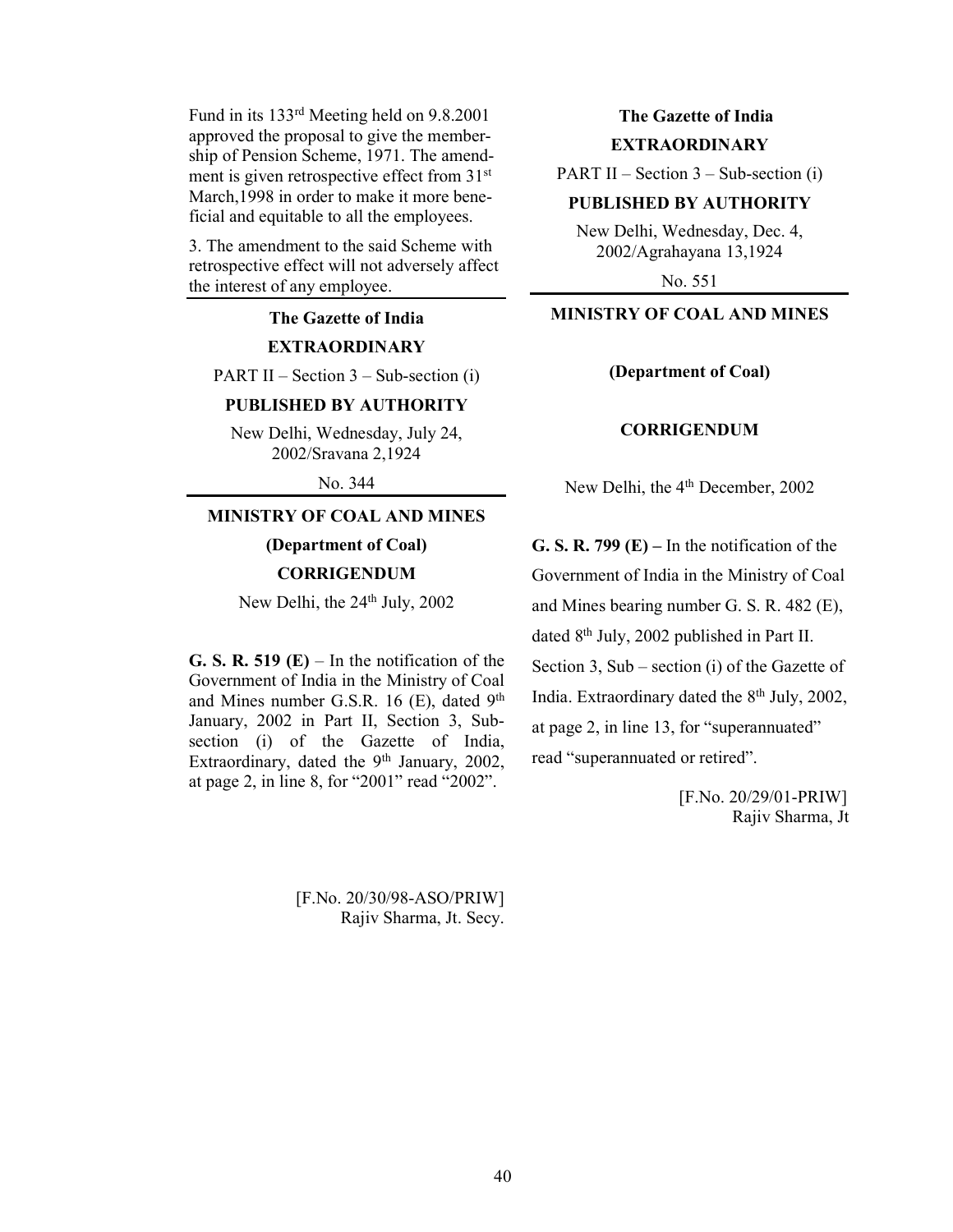Fund in its 133rd Meeting held on 9.8.2001 approved the proposal to give the membership of Pension Scheme, 1971. The amendment is given retrospective effect from 31st March,1998 in order to make it more beneficial and equitable to all the employees.

3. The amendment to the said Scheme with retrospective effect will not adversely affect the interest of any employee.

# The Gazette of India EXTRAORDINARY

PART II – Section  $3$  – Sub-section (i)

## PUBLISHED BY AUTHORITY

New Delhi, Wednesday, July 24, 2002/Sravana 2,1924

No. 344

## MINISTRY OF COAL AND MINES

(Department of Coal)

**CORRIGENDUM** 

New Delhi, the 24<sup>th</sup> July, 2002

G. S. R. 519 (E) – In the notification of the Government of India in the Ministry of Coal and Mines number G.S.R. 16 (E), dated  $9<sup>th</sup>$ January, 2002 in Part II, Section 3, Subsection (i) of the Gazette of India, Extraordinary, dated the 9<sup>th</sup> January, 2002, at page 2, in line 8, for "2001" read "2002".

# The Gazette of India EXTRAORDINARY

PART II – Section  $3$  – Sub-section (i)

## PUBLISHED BY AUTHORITY

New Delhi, Wednesday, Dec. 4, 2002/Agrahayana 13,1924

No. 551

## MINISTRY OF COAL AND MINES

#### (Department of Coal)

## **CORRIGENDUM**

New Delhi, the 4<sup>th</sup> December, 2002

G. S. R. 799  $(E)$  – In the notification of the Government of India in the Ministry of Coal and Mines bearing number G. S. R. 482 (E), dated 8th July, 2002 published in Part II. Section 3, Sub – section (i) of the Gazette of India. Extraordinary dated the 8<sup>th</sup> July, 2002, at page 2, in line 13, for "superannuated" read "superannuated or retired".

> [F.No. 20/29/01-PRIW] Rajiv Sharma, Jt.

[F.No. 20/30/98-ASO/PRIW] Rajiv Sharma, Jt. Secy.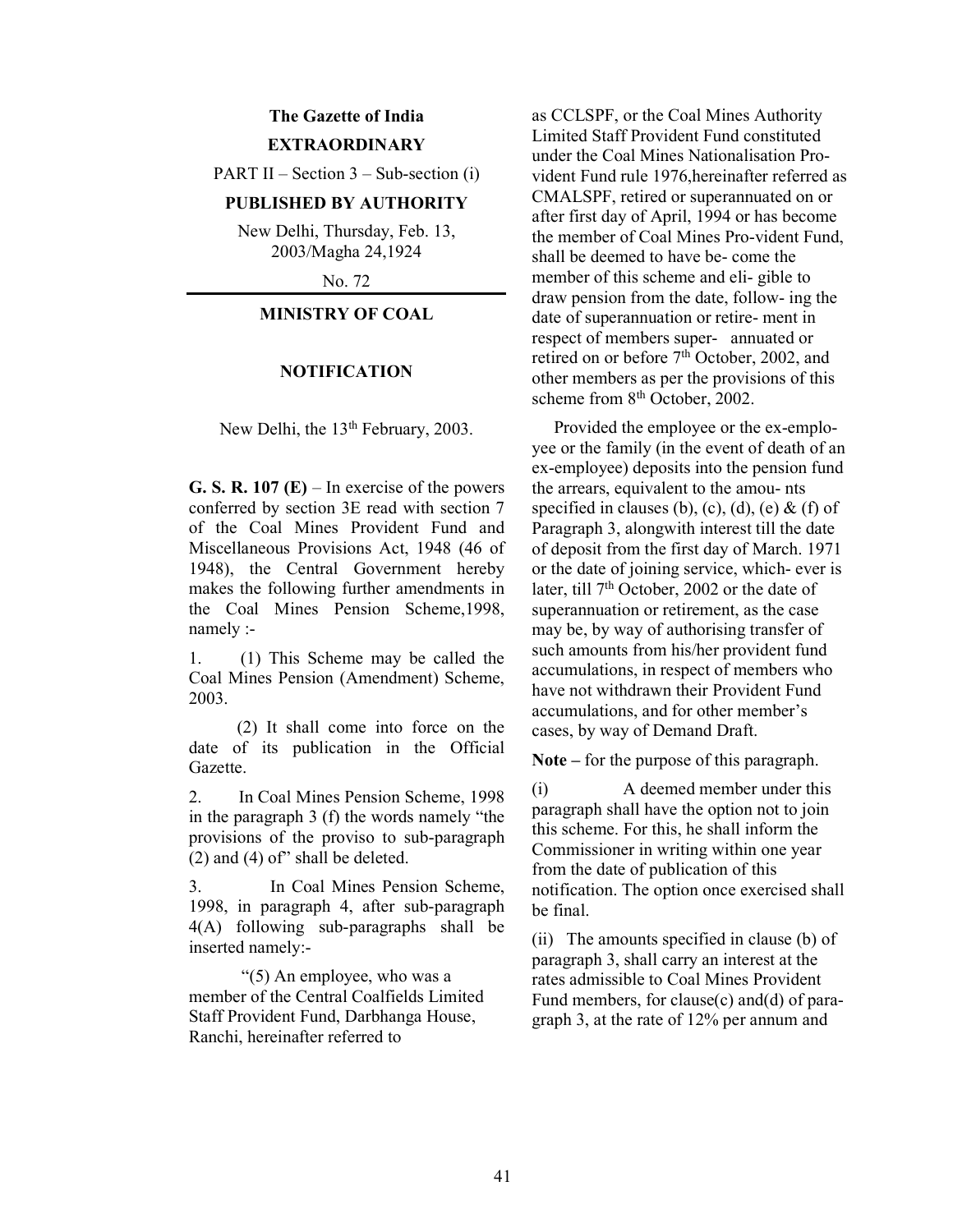# The Gazette of India EXTRAORDINARY

PART II – Section  $3$  – Sub-section (i)

## PUBLISHED BY AUTHORITY

New Delhi, Thursday, Feb. 13, 2003/Magha 24,1924

No. 72

## MINISTRY OF COAL

#### NOTIFICATION

New Delhi, the 13<sup>th</sup> February, 2003.

G. S. R.  $107$  (E) – In exercise of the powers conferred by section 3E read with section 7 of the Coal Mines Provident Fund and Miscellaneous Provisions Act, 1948 (46 of 1948), the Central Government hereby makes the following further amendments in the Coal Mines Pension Scheme,1998, namely :-

1. (1) This Scheme may be called the Coal Mines Pension (Amendment) Scheme, 2003.

 (2) It shall come into force on the date of its publication in the Official Gazette.

2. In Coal Mines Pension Scheme, 1998 in the paragraph 3 (f) the words namely "the provisions of the proviso to sub-paragraph (2) and (4) of" shall be deleted.

3. In Coal Mines Pension Scheme, 1998, in paragraph 4, after sub-paragraph 4(A) following sub-paragraphs shall be inserted namely:-

 "(5) An employee, who was a member of the Central Coalfields Limited Staff Provident Fund, Darbhanga House, Ranchi, hereinafter referred to

as CCLSPF, or the Coal Mines Authority Limited Staff Provident Fund constituted under the Coal Mines Nationalisation Provident Fund rule 1976,hereinafter referred as CMALSPF, retired or superannuated on or after first day of April, 1994 or has become the member of Coal Mines Pro-vident Fund, shall be deemed to have be- come the member of this scheme and eli- gible to draw pension from the date, follow- ing the date of superannuation or retire- ment in respect of members super- annuated or retired on or before 7<sup>th</sup> October, 2002, and other members as per the provisions of this scheme from 8<sup>th</sup> October, 2002.

 Provided the employee or the ex-employee or the family (in the event of death of an ex-employee) deposits into the pension fund the arrears, equivalent to the amou- nts specified in clauses (b), (c), (d), (e)  $\&$  (f) of Paragraph 3, alongwith interest till the date of deposit from the first day of March. 1971 or the date of joining service, which- ever is later, till  $7<sup>th</sup> October, 2002$  or the date of superannuation or retirement, as the case may be, by way of authorising transfer of such amounts from his/her provident fund accumulations, in respect of members who have not withdrawn their Provident Fund accumulations, and for other member's cases, by way of Demand Draft.

Note – for the purpose of this paragraph.

(i) A deemed member under this paragraph shall have the option not to join this scheme. For this, he shall inform the Commissioner in writing within one year from the date of publication of this notification. The option once exercised shall be final.

(ii) The amounts specified in clause (b) of paragraph 3, shall carry an interest at the rates admissible to Coal Mines Provident Fund members, for clause(c) and(d) of paragraph 3, at the rate of 12% per annum and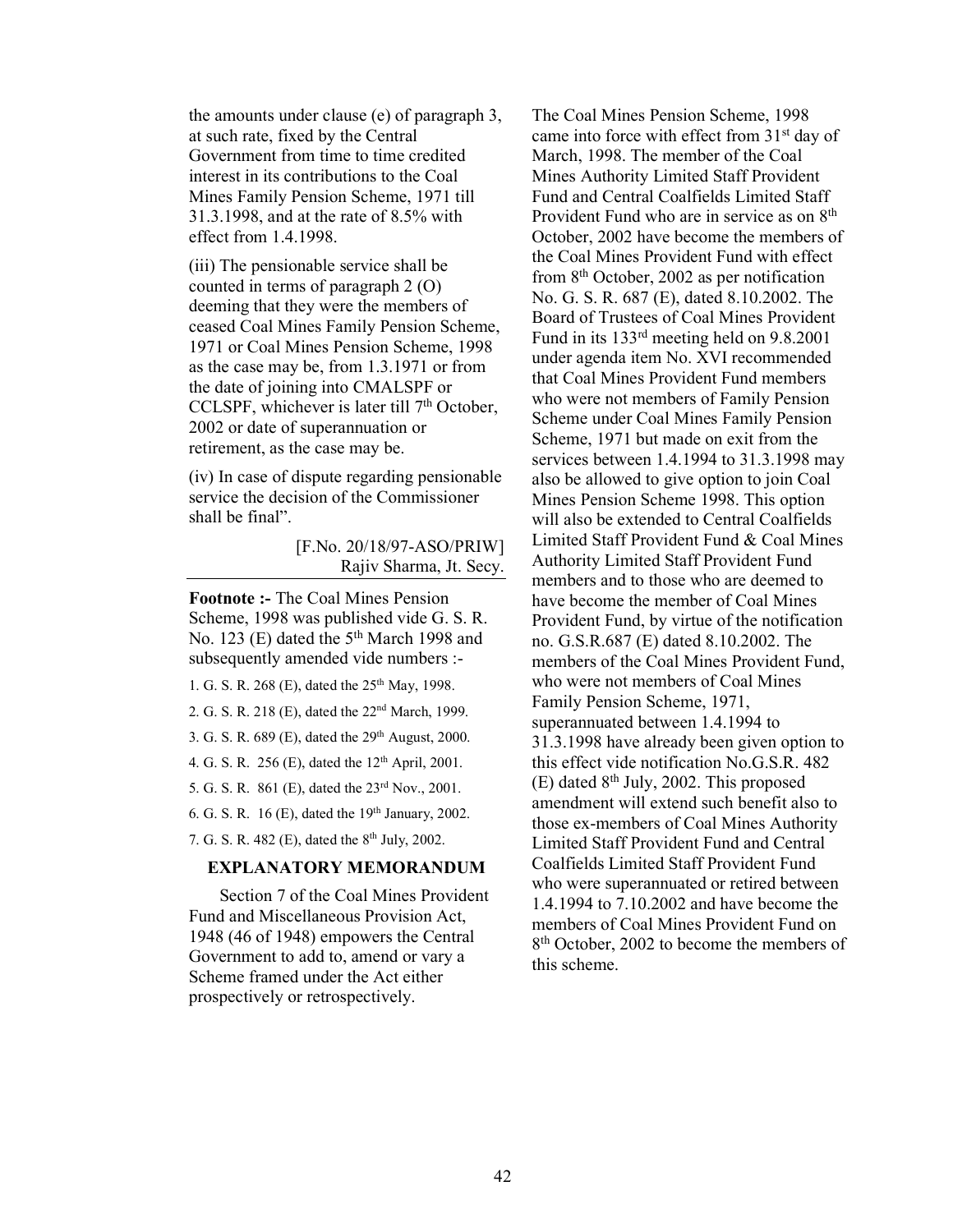the amounts under clause (e) of paragraph 3, at such rate, fixed by the Central Government from time to time credited interest in its contributions to the Coal Mines Family Pension Scheme, 1971 till 31.3.1998, and at the rate of 8.5% with effect from 1.4.1998.

(iii) The pensionable service shall be counted in terms of paragraph 2 (O) deeming that they were the members of ceased Coal Mines Family Pension Scheme, 1971 or Coal Mines Pension Scheme, 1998 as the case may be, from 1.3.1971 or from the date of joining into CMALSPF or CCLSPF, whichever is later till  $7<sup>th</sup>$  October, 2002 or date of superannuation or retirement, as the case may be.

(iv) In case of dispute regarding pensionable service the decision of the Commissioner shall be final".

> [F.No. 20/18/97-ASO/PRIW] Rajiv Sharma, Jt. Secy.

Footnote :- The Coal Mines Pension Scheme, 1998 was published vide G. S. R. No. 123 (E) dated the 5<sup>th</sup> March 1998 and subsequently amended vide numbers :-

1. G. S. R. 268 (E), dated the 25<sup>th</sup> May, 1998.

2. G. S. R. 218 (E), dated the 22nd March, 1999.

3. G. S. R. 689 (E), dated the 29<sup>th</sup> August, 2000.

4. G. S. R. 256 (E), dated the 12th April, 2001.

5. G. S. R. 861 (E), dated the 23rd Nov., 2001.

6. G. S. R.  $16$  (E), dated the  $19<sup>th</sup>$  January, 2002.

7. G. S. R. 482 (E), dated the 8th July, 2002.

#### EXPLANATORY MEMORANDUM

 Section 7 of the Coal Mines Provident Fund and Miscellaneous Provision Act, 1948 (46 of 1948) empowers the Central Government to add to, amend or vary a Scheme framed under the Act either prospectively or retrospectively.

The Coal Mines Pension Scheme, 1998 came into force with effect from 31<sup>st</sup> day of March, 1998. The member of the Coal Mines Authority Limited Staff Provident Fund and Central Coalfields Limited Staff Provident Fund who are in service as on 8<sup>th</sup> October, 2002 have become the members of the Coal Mines Provident Fund with effect from 8th October, 2002 as per notification No. G. S. R. 687 (E), dated 8.10.2002. The Board of Trustees of Coal Mines Provident Fund in its 133rd meeting held on 9.8.2001 under agenda item No. XVI recommended that Coal Mines Provident Fund members who were not members of Family Pension Scheme under Coal Mines Family Pension Scheme, 1971 but made on exit from the services between 1.4.1994 to 31.3.1998 may also be allowed to give option to join Coal Mines Pension Scheme 1998. This option will also be extended to Central Coalfields Limited Staff Provident Fund & Coal Mines Authority Limited Staff Provident Fund members and to those who are deemed to have become the member of Coal Mines Provident Fund, by virtue of the notification no. G.S.R.687 (E) dated 8.10.2002. The members of the Coal Mines Provident Fund, who were not members of Coal Mines Family Pension Scheme, 1971, superannuated between 1.4.1994 to 31.3.1998 have already been given option to this effect vide notification No.G.S.R. 482  $(E)$  dated 8<sup>th</sup> July, 2002. This proposed amendment will extend such benefit also to those ex-members of Coal Mines Authority Limited Staff Provident Fund and Central Coalfields Limited Staff Provident Fund who were superannuated or retired between 1.4.1994 to 7.10.2002 and have become the members of Coal Mines Provident Fund on 8<sup>th</sup> October, 2002 to become the members of this scheme.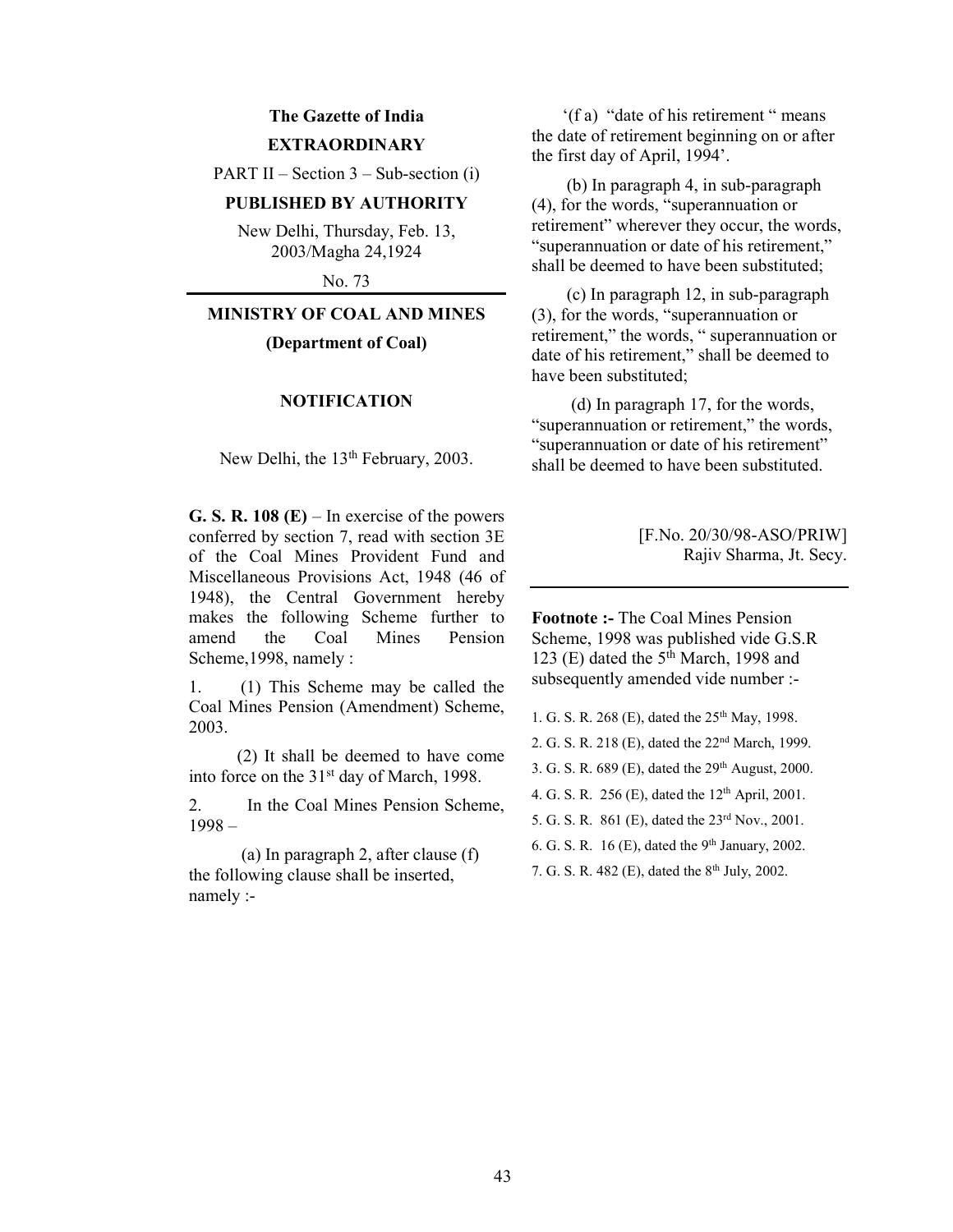# The Gazette of India **EXTRAORDINARY**

PART II – Section  $3$  – Sub-section (i)

## PUBLISHED BY AUTHORITY

New Delhi, Thursday, Feb. 13, 2003/Magha 24,1924

No. 73

## MINISTRY OF COAL AND MINES

(Department of Coal)

## NOTIFICATION

New Delhi, the 13<sup>th</sup> February, 2003.

G. S. R. 108  $(E)$  – In exercise of the powers conferred by section 7, read with section 3E of the Coal Mines Provident Fund and Miscellaneous Provisions Act, 1948 (46 of 1948), the Central Government hereby makes the following Scheme further to amend the Coal Mines Pension Scheme,1998, namely :

1. (1) This Scheme may be called the Coal Mines Pension (Amendment) Scheme, 2003.

 (2) It shall be deemed to have come into force on the 31<sup>st</sup> day of March, 1998.

2. In the Coal Mines Pension Scheme, 1998 –

 (a) In paragraph 2, after clause (f) the following clause shall be inserted, namely :-

 '(f a) "date of his retirement " means the date of retirement beginning on or after the first day of April, 1994'.

 (b) In paragraph 4, in sub-paragraph (4), for the words, "superannuation or retirement" wherever they occur, the words, "superannuation or date of his retirement," shall be deemed to have been substituted;

 (c) In paragraph 12, in sub-paragraph (3), for the words, "superannuation or retirement," the words, " superannuation or date of his retirement," shall be deemed to have been substituted;

 (d) In paragraph 17, for the words, "superannuation or retirement," the words, "superannuation or date of his retirement" shall be deemed to have been substituted.

> [F.No. 20/30/98-ASO/PRIW] Rajiv Sharma, Jt. Secy.

Footnote :- The Coal Mines Pension Scheme, 1998 was published vide G.S.R 123 (E) dated the  $5<sup>th</sup>$  March, 1998 and subsequently amended vide number :-

1. G. S. R. 268 (E), dated the 25<sup>th</sup> May, 1998.

2. G. S. R. 218 (E), dated the 22nd March, 1999.

3. G. S. R. 689 (E), dated the 29th August, 2000.

4. G. S. R. 256 (E), dated the 12<sup>th</sup> April, 2001.

5. G. S. R. 861 (E), dated the 23rd Nov., 2001.

6. G. S. R. 16 (E), dated the  $9<sup>th</sup>$  January, 2002.

7. G. S. R. 482 (E), dated the 8<sup>th</sup> July, 2002.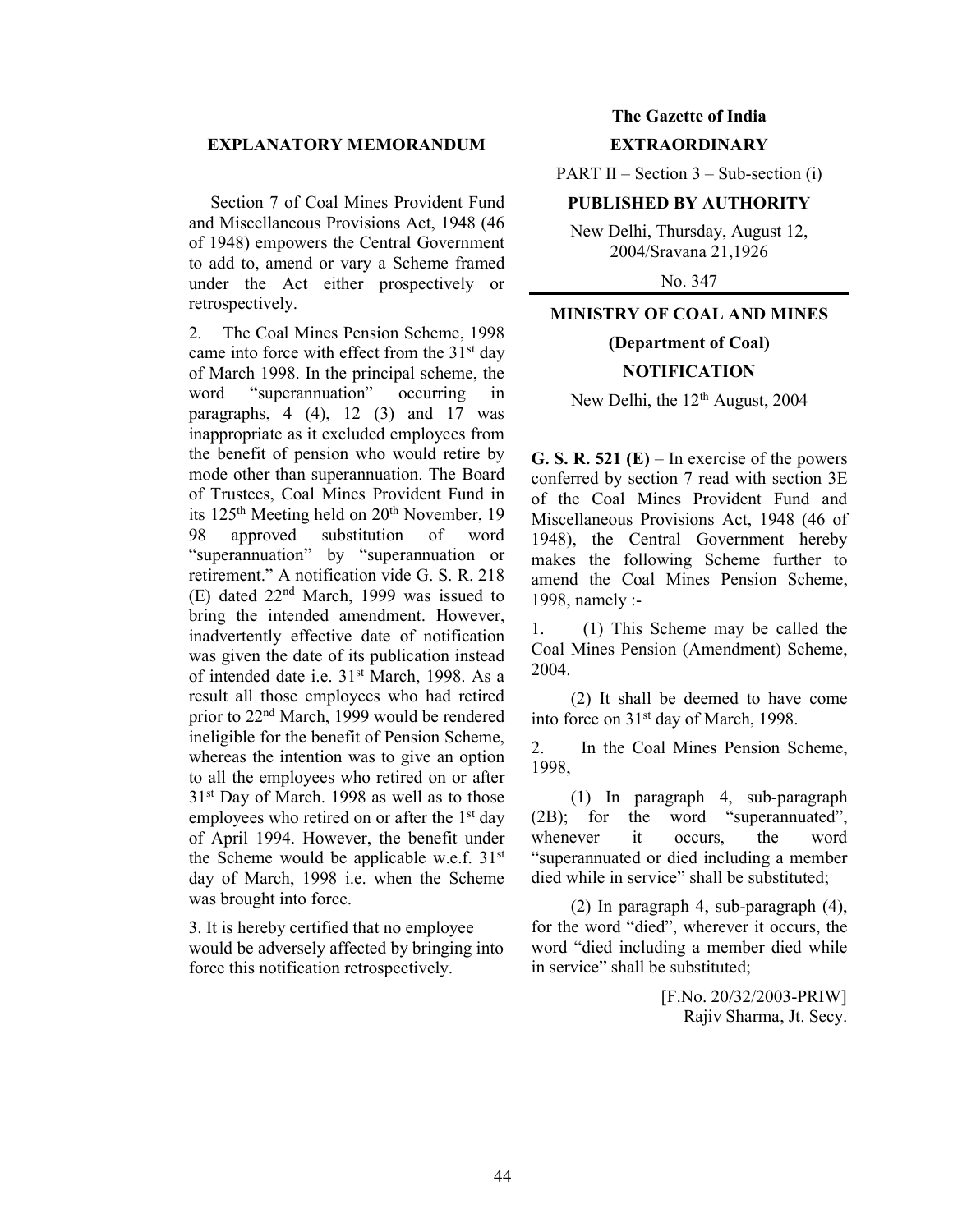#### EXPLANATORY MEMORANDUM

 Section 7 of Coal Mines Provident Fund and Miscellaneous Provisions Act, 1948 (46 of 1948) empowers the Central Government to add to, amend or vary a Scheme framed under the Act either prospectively or retrospectively.

2. The Coal Mines Pension Scheme, 1998 came into force with effect from the 31st day of March 1998. In the principal scheme, the word "superannuation" occurring in paragraphs,  $4(4)$ ,  $12(3)$  and  $17$  was inappropriate as it excluded employees from the benefit of pension who would retire by mode other than superannuation. The Board of Trustees, Coal Mines Provident Fund in its 125<sup>th</sup> Meeting held on 20<sup>th</sup> November, 19 98 approved substitution of word "superannuation" by "superannuation or retirement." A notification vide G. S. R. 218 (E) dated 22nd March, 1999 was issued to bring the intended amendment. However, inadvertently effective date of notification was given the date of its publication instead of intended date i.e. 31<sup>st</sup> March, 1998. As a result all those employees who had retired prior to 22nd March, 1999 would be rendered ineligible for the benefit of Pension Scheme, whereas the intention was to give an option to all the employees who retired on or after 31st Day of March. 1998 as well as to those employees who retired on or after the 1<sup>st</sup> day of April 1994. However, the benefit under the Scheme would be applicable w.e.f. 31<sup>st</sup> day of March, 1998 i.e. when the Scheme was brought into force.

3. It is hereby certified that no employee would be adversely affected by bringing into force this notification retrospectively.

## The Gazette of India **EXTRAORDINARY**

PART II – Section  $3$  – Sub-section (i)

#### PUBLISHED BY AUTHORITY

New Delhi, Thursday, August 12, 2004/Sravana 21,1926

No. 347

## MINISTRY OF COAL AND MINES

# (Department of Coal) **NOTIFICATION**

New Delhi, the  $12<sup>th</sup>$  August, 2004

G. S. R. 521 (E) – In exercise of the powers conferred by section 7 read with section 3E of the Coal Mines Provident Fund and Miscellaneous Provisions Act, 1948 (46 of 1948), the Central Government hereby makes the following Scheme further to amend the Coal Mines Pension Scheme, 1998, namely :-

1. (1) This Scheme may be called the Coal Mines Pension (Amendment) Scheme, 2004.

 (2) It shall be deemed to have come into force on 31st day of March, 1998.

2. In the Coal Mines Pension Scheme, 1998,

 (1) In paragraph 4, sub-paragraph (2B); for the word "superannuated", whenever it occurs, the word "superannuated or died including a member died while in service" shall be substituted;

 (2) In paragraph 4, sub-paragraph (4), for the word "died", wherever it occurs, the word "died including a member died while in service" shall be substituted;

> [F.No. 20/32/2003-PRIW] Rajiv Sharma, Jt. Secy.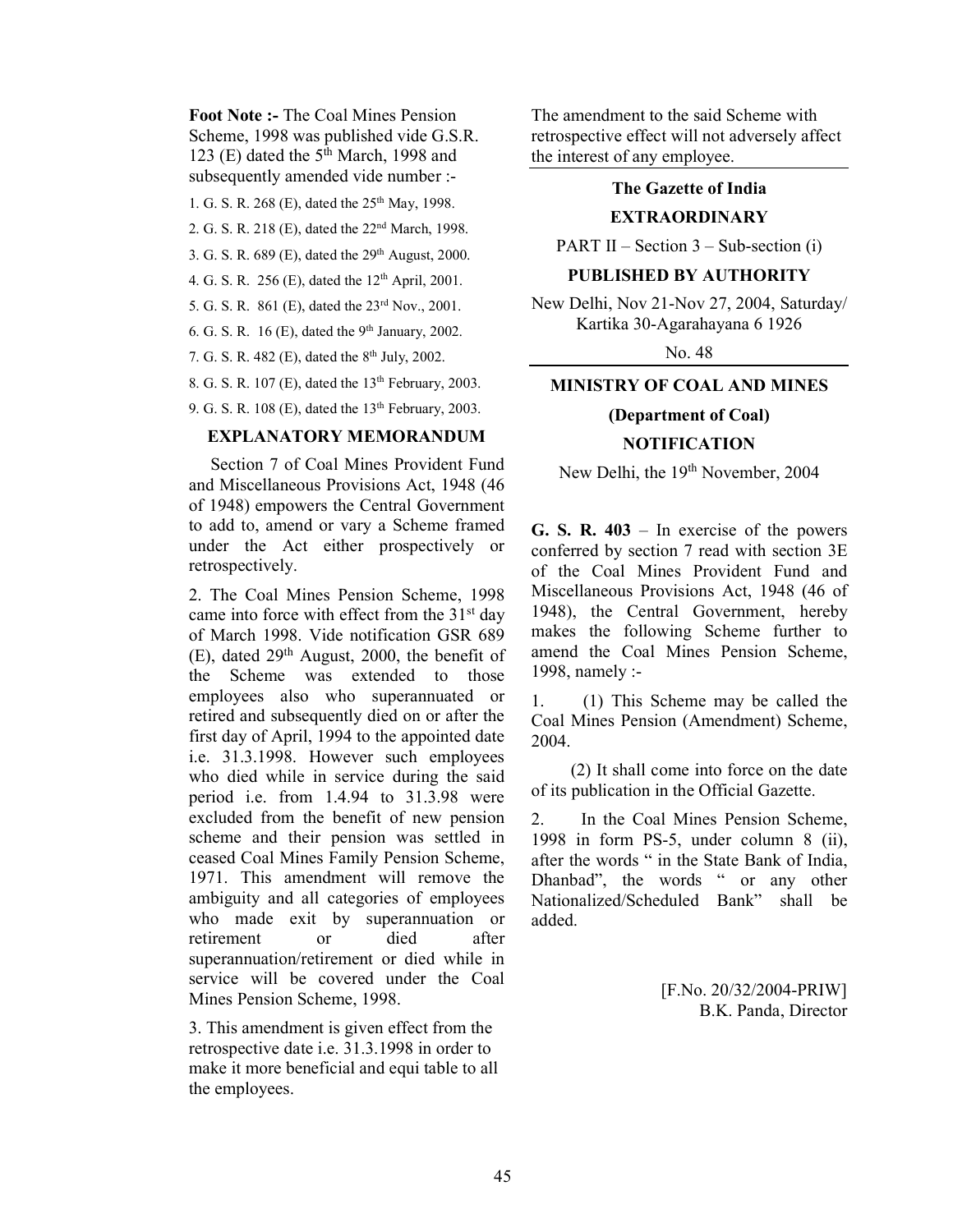Foot Note :- The Coal Mines Pension Scheme, 1998 was published vide G.S.R. 123 (E) dated the  $5<sup>th</sup>$  March, 1998 and subsequently amended vide number :-

1. G. S. R. 268 (E), dated the 25<sup>th</sup> May, 1998.

2. G. S. R. 218 (E), dated the 22nd March, 1998.

3. G. S. R. 689 (E), dated the 29<sup>th</sup> August, 2000.

4. G. S. R. 256 (E), dated the  $12<sup>th</sup>$  April, 2001.

5. G. S. R. 861 (E), dated the 23rd Nov., 2001.

6. G. S. R.  $16$  (E), dated the 9<sup>th</sup> January, 2002.

7. G. S. R. 482 (E), dated the 8th July, 2002.

8. G. S. R. 107 (E), dated the  $13<sup>th</sup>$  February, 2003.

9. G. S. R. 108 (E), dated the  $13<sup>th</sup>$  February, 2003.

## EXPLANATORY MEMORANDUM

 Section 7 of Coal Mines Provident Fund and Miscellaneous Provisions Act, 1948 (46 of 1948) empowers the Central Government to add to, amend or vary a Scheme framed under the Act either prospectively or retrospectively.

2. The Coal Mines Pension Scheme, 1998 came into force with effect from the 31<sup>st</sup> day of March 1998. Vide notification GSR 689 (E), dated 29th August, 2000, the benefit of the Scheme was extended to those employees also who superannuated or retired and subsequently died on or after the first day of April, 1994 to the appointed date i.e. 31.3.1998. However such employees who died while in service during the said period i.e. from 1.4.94 to 31.3.98 were excluded from the benefit of new pension scheme and their pension was settled in ceased Coal Mines Family Pension Scheme, 1971. This amendment will remove the ambiguity and all categories of employees who made exit by superannuation or retirement or died after superannuation/retirement or died while in service will be covered under the Coal Mines Pension Scheme, 1998.

3. This amendment is given effect from the retrospective date i.e. 31.3.1998 in order to make it more beneficial and equi table to all the employees.

The amendment to the said Scheme with retrospective effect will not adversely affect the interest of any employee.

## The Gazette of India

#### EXTRAORDINARY

PART II – Section  $3$  – Sub-section (i)

#### PUBLISHED BY AUTHORITY

New Delhi, Nov 21-Nov 27, 2004, Saturday/ Kartika 30-Agarahayana 6 1926

No. 48

## MINISTRY OF COAL AND MINES

# (Department of Coal) NOTIFICATION

New Delhi, the 19<sup>th</sup> November, 2004

G. S. R.  $403 - In$  exercise of the powers conferred by section 7 read with section 3E of the Coal Mines Provident Fund and Miscellaneous Provisions Act, 1948 (46 of 1948), the Central Government, hereby makes the following Scheme further to amend the Coal Mines Pension Scheme, 1998, namely :-

1. (1) This Scheme may be called the Coal Mines Pension (Amendment) Scheme, 2004.

 (2) It shall come into force on the date of its publication in the Official Gazette.

2. In the Coal Mines Pension Scheme, 1998 in form PS-5, under column 8 (ii), after the words " in the State Bank of India, Dhanbad", the words " or any other Nationalized/Scheduled Bank" shall be added.

> [F.No. 20/32/2004-PRIW] B.K. Panda, Director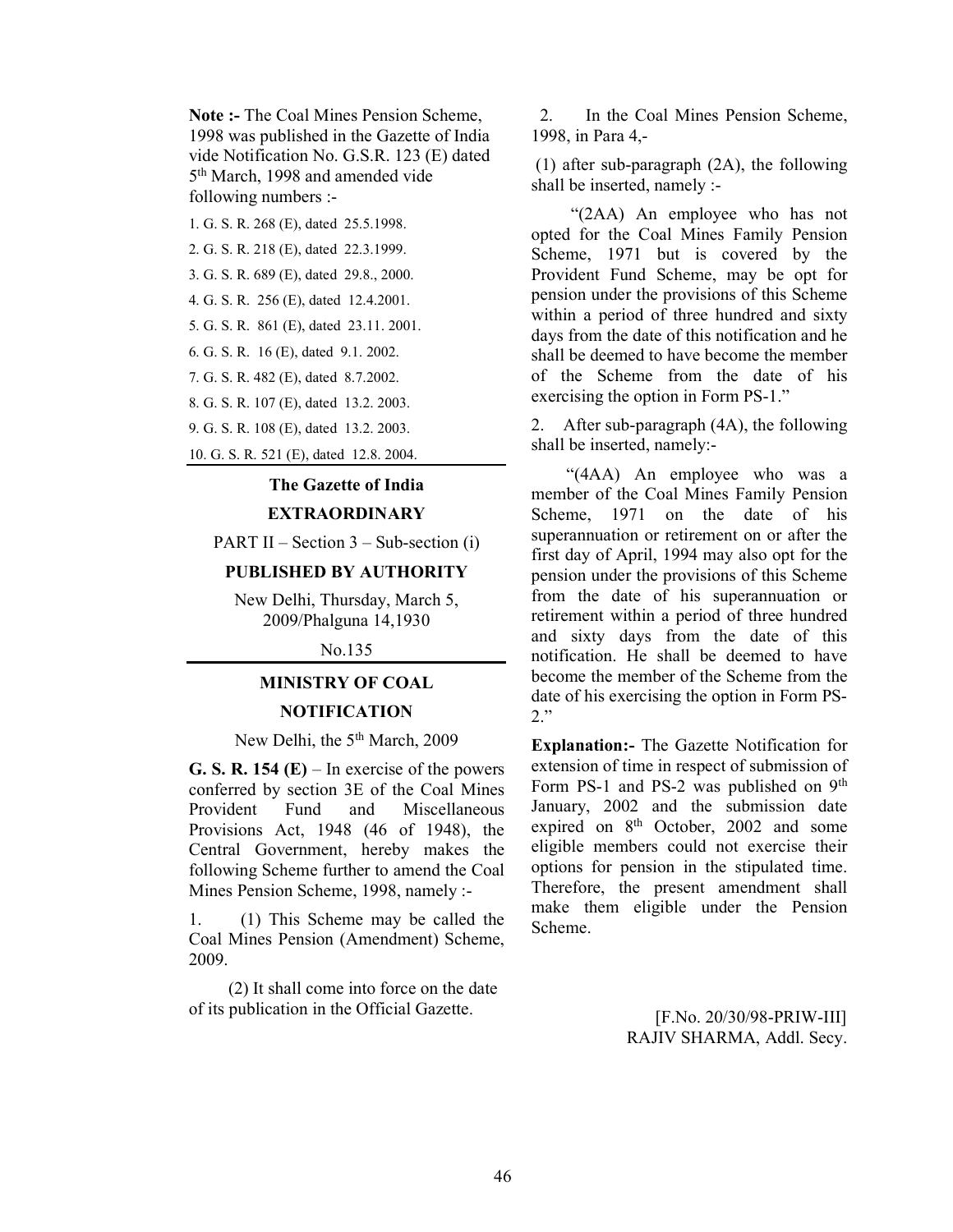Note :- The Coal Mines Pension Scheme, 1998 was published in the Gazette of India vide Notification No. G.S.R. 123 (E) dated 5 th March, 1998 and amended vide following numbers :-

1. G. S. R. 268 (E), dated 25.5.1998.

2. G. S. R. 218 (E), dated 22.3.1999.

3. G. S. R. 689 (E), dated 29.8., 2000.

4. G. S. R. 256 (E), dated 12.4.2001.

5. G. S. R. 861 (E), dated 23.11. 2001.

6. G. S. R. 16 (E), dated 9.1. 2002.

7. G. S. R. 482 (E), dated 8.7.2002.

8. G. S. R. 107 (E), dated 13.2. 2003.

9. G. S. R. 108 (E), dated 13.2. 2003.

10. G. S. R. 521 (E), dated 12.8. 2004.

## The Gazette of India EXTRAORDINARY

PART II – Section  $3$  – Sub-section (i)

## PUBLISHED BY AUTHORITY

New Delhi, Thursday, March 5, 2009/Phalguna 14,1930

No.135

#### MINISTRY OF COAL

#### **NOTIFICATION**

## New Delhi, the 5<sup>th</sup> March, 2009

G. S. R. 154  $(E)$  – In exercise of the powers conferred by section 3E of the Coal Mines Provident Fund and Miscellaneous Provisions Act, 1948 (46 of 1948), the Central Government, hereby makes the following Scheme further to amend the Coal Mines Pension Scheme, 1998, namely :-

1. (1) This Scheme may be called the Coal Mines Pension (Amendment) Scheme, 2009.

 (2) It shall come into force on the date of its publication in the Official Gazette.

 2. In the Coal Mines Pension Scheme, 1998, in Para 4,-

 (1) after sub-paragraph (2A), the following shall be inserted, namely :-

 "(2AA) An employee who has not opted for the Coal Mines Family Pension Scheme, 1971 but is covered by the Provident Fund Scheme, may be opt for pension under the provisions of this Scheme within a period of three hundred and sixty days from the date of this notification and he shall be deemed to have become the member of the Scheme from the date of his exercising the option in Form PS-1."

2. After sub-paragraph (4A), the following shall be inserted, namely:-

 "(4AA) An employee who was a member of the Coal Mines Family Pension Scheme, 1971 on the date of his superannuation or retirement on or after the first day of April, 1994 may also opt for the pension under the provisions of this Scheme from the date of his superannuation or retirement within a period of three hundred and sixty days from the date of this notification. He shall be deemed to have become the member of the Scheme from the date of his exercising the option in Form PS-2."

Explanation:- The Gazette Notification for extension of time in respect of submission of Form PS-1 and PS-2 was published on 9<sup>th</sup> January, 2002 and the submission date expired on 8<sup>th</sup> October, 2002 and some eligible members could not exercise their options for pension in the stipulated time. Therefore, the present amendment shall make them eligible under the Pension Scheme.

> [F.No. 20/30/98-PRIW-III] RAJIV SHARMA, Addl. Secy.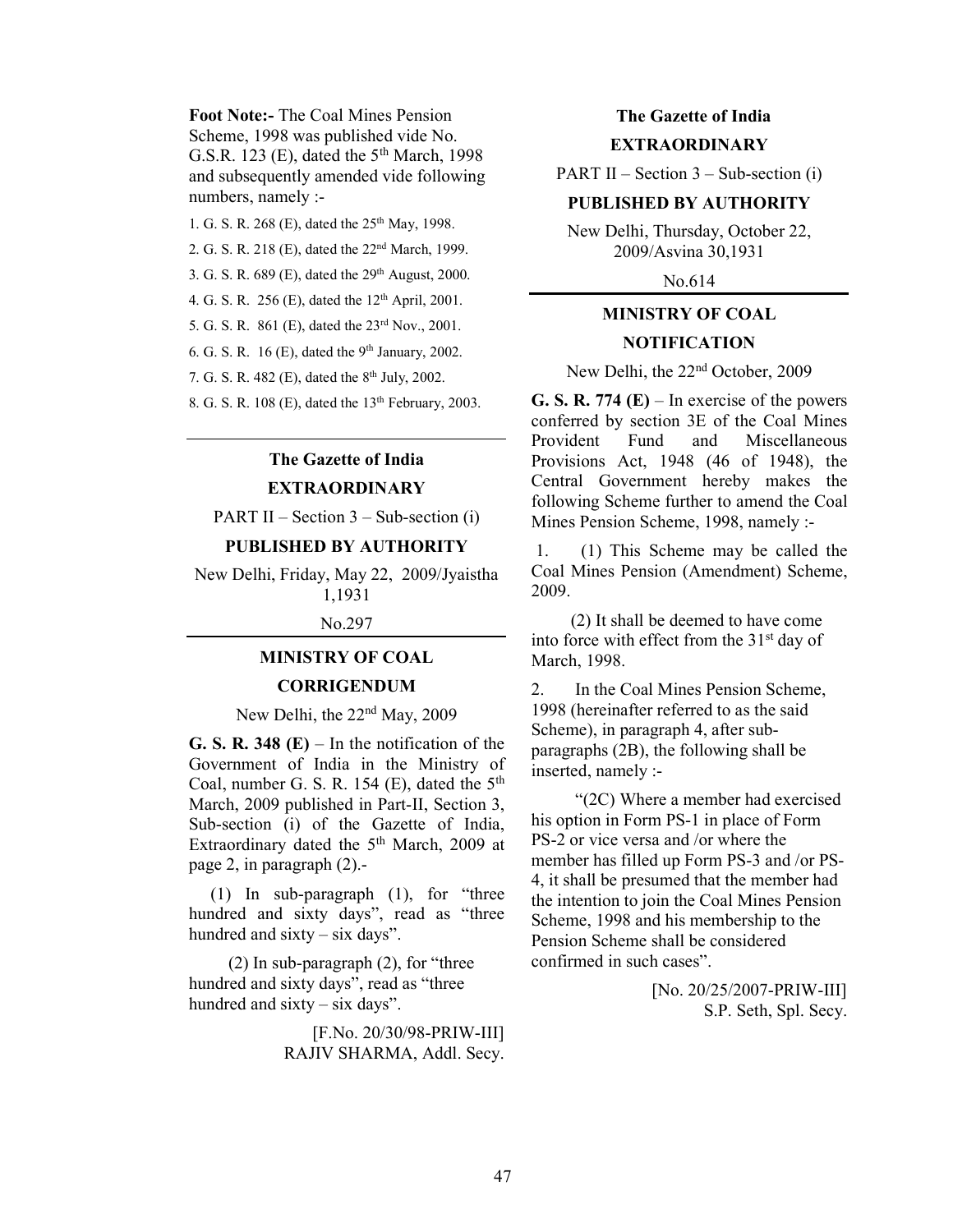Foot Note:- The Coal Mines Pension Scheme, 1998 was published vide No. G.S.R. 123 (E), dated the 5<sup>th</sup> March, 1998 and subsequently amended vide following numbers, namely :-

- 1. G. S. R. 268 (E), dated the 25<sup>th</sup> May, 1998.
- 2. G. S. R. 218 (E), dated the 22nd March, 1999.

3. G. S. R.  $689$  (E), dated the  $29<sup>th</sup>$  August, 2000.

4. G. S. R. 256 (E), dated the 12th April, 2001.

5. G. S. R. 861 (E), dated the 23rd Nov., 2001.

6. G. S. R.  $16$  (E), dated the 9<sup>th</sup> January, 2002.

7. G. S. R. 482 (E), dated the 8th July, 2002.

8. G. S. R. 108 (E), dated the 13<sup>th</sup> February, 2003.

# The Gazette of India EXTRAORDINARY

PART II – Section  $3$  – Sub-section (i)

#### PUBLISHED BY AUTHORITY

New Delhi, Friday, May 22, 2009/Jyaistha 1,1931

No.297

#### MINISTRY OF COAL

#### **CORRIGENDUM**

New Delhi, the 22<sup>nd</sup> May, 2009

G. S. R. 348  $(E)$  – In the notification of the Government of India in the Ministry of Coal, number G. S. R. 154 (E), dated the  $5<sup>th</sup>$ March, 2009 published in Part-II, Section 3, Sub-section (i) of the Gazette of India, Extraordinary dated the 5<sup>th</sup> March, 2009 at page 2, in paragraph (2).-

 (1) In sub-paragraph (1), for "three hundred and sixty days", read as "three hundred and  $sixty - six days$ ".

 (2) In sub-paragraph (2), for "three hundred and sixty days", read as "three hundred and  $sixty - six days$ ".

> [F.No. 20/30/98-PRIW-III] RAJIV SHARMA, Addl. Secy.

# The Gazette of India

## EXTRAORDINARY

PART II – Section  $3$  – Sub-section (i)

## PUBLISHED BY AUTHORITY

New Delhi, Thursday, October 22, 2009/Asvina 30,1931

No.614

# MINISTRY OF COAL

## **NOTIFICATION**

New Delhi, the 22nd October, 2009

G. S. R. 774  $(E)$  – In exercise of the powers conferred by section 3E of the Coal Mines Provident Fund and Miscellaneous Provisions Act, 1948 (46 of 1948), the Central Government hereby makes the following Scheme further to amend the Coal Mines Pension Scheme, 1998, namely :-

 1. (1) This Scheme may be called the Coal Mines Pension (Amendment) Scheme, 2009.

 (2) It shall be deemed to have come into force with effect from the 31st day of March, 1998.

2. In the Coal Mines Pension Scheme, 1998 (hereinafter referred to as the said Scheme), in paragraph 4, after subparagraphs (2B), the following shall be inserted, namely :-

 "(2C) Where a member had exercised his option in Form PS-1 in place of Form PS-2 or vice versa and /or where the member has filled up Form PS-3 and /or PS-4, it shall be presumed that the member had the intention to join the Coal Mines Pension Scheme, 1998 and his membership to the Pension Scheme shall be considered confirmed in such cases".

> [No. 20/25/2007-PRIW-III] S.P. Seth, Spl. Secy.